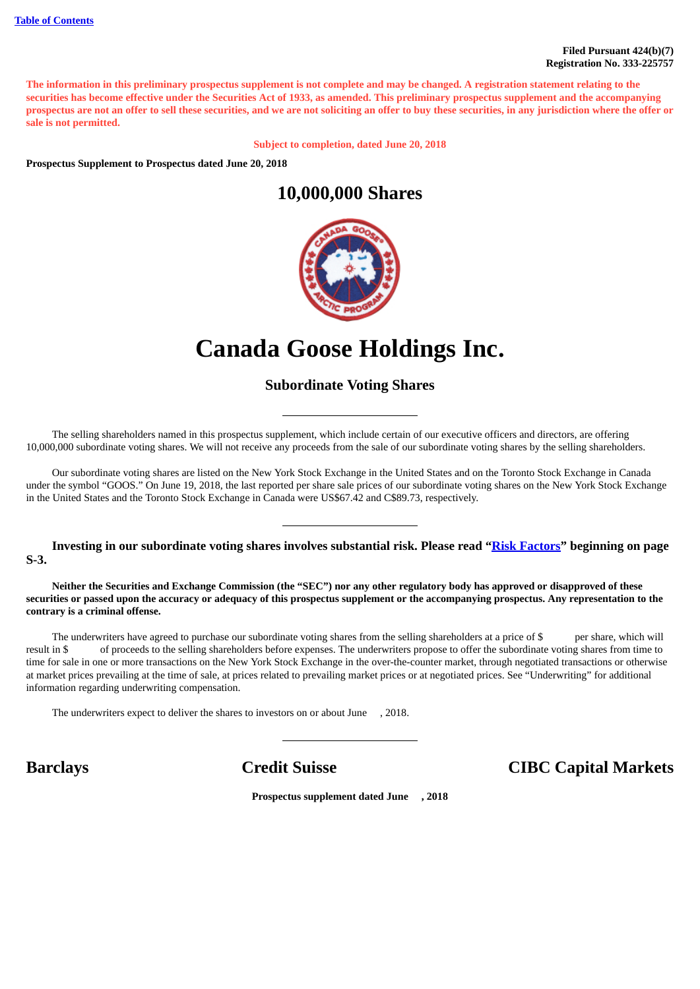The information in this preliminary prospectus supplement is not complete and may be changed. A registration statement relating to the securities has become effective under the Securities Act of 1933, as amended. This preliminary prospectus supplement and the accompanying prospectus are not an offer to sell these securities, and we are not soliciting an offer to buy these securities, in any jurisdiction where the offer or **sale is not permitted.**

**Subject to completion, dated June 20, 2018**

**Prospectus Supplement to Prospectus dated June 20, 2018**

## **10,000,000 Shares**



## **Canada Goose Holdings Inc.**

## **Subordinate Voting Shares**

The selling shareholders named in this prospectus supplement, which include certain of our executive officers and directors, are offering 10,000,000 subordinate voting shares. We will not receive any proceeds from the sale of our subordinate voting shares by the selling shareholders.

Our subordinate voting shares are listed on the New York Stock Exchange in the United States and on the Toronto Stock Exchange in Canada under the symbol "GOOS." On June 19, 2018, the last reported per share sale prices of our subordinate voting shares on the New York Stock Exchange in the United States and the Toronto Stock Exchange in Canada were US\$67.42 and C\$89.73, respectively.

## **Investing in our subordinate voting shares involves substantial risk. Please read ["Risk Factors"](#page-5-0) beginning on page S-3.**

Neither the Securities and Exchange Commission (the "SEC") nor any other regulatory body has approved or disapproved of these securities or passed upon the accuracy or adequacy of this prospectus supplement or the accompanying prospectus. Any representation to the **contrary is a criminal offense.**

The underwriters have agreed to purchase our subordinate voting shares from the selling shareholders at a price of \$ per share, which will result in \$ of proceeds to the selling shareholders before expenses. The underwriters propose to offer the subordinate voting shares from time to time for sale in one or more transactions on the New York Stock Exchange in the over-the-counter market, through negotiated transactions or otherwise at market prices prevailing at the time of sale, at prices related to prevailing market prices or at negotiated prices. See "Underwriting" for additional information regarding underwriting compensation.

The underwriters expect to deliver the shares to investors on or about June , 2018.

**Barclays Credit Suisse CIBC Capital Markets**

**Prospectus supplement dated June , 2018**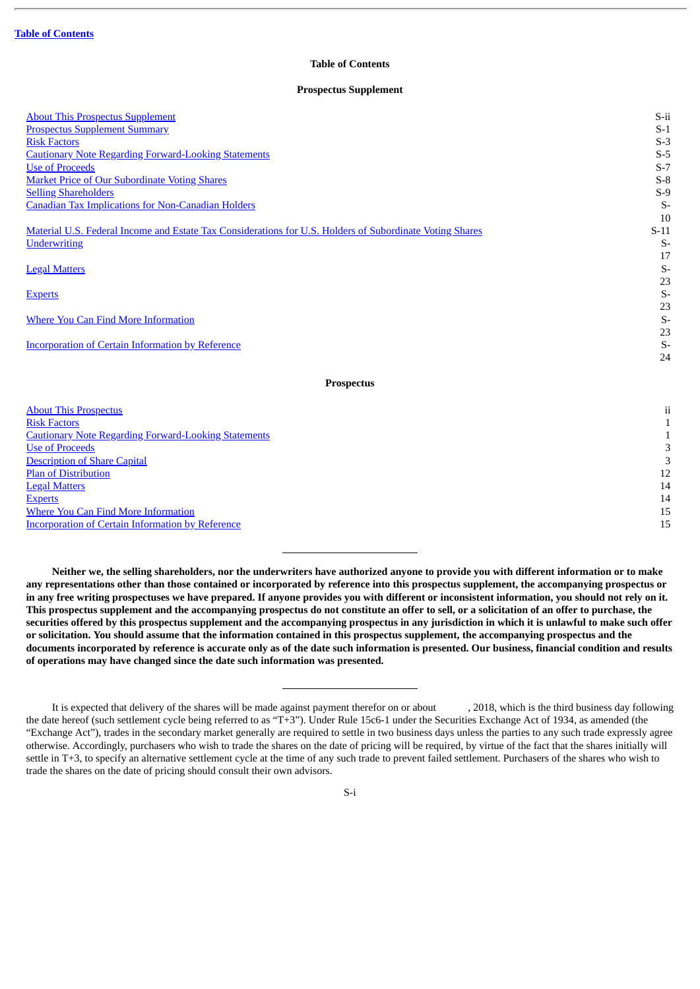## **Prospectus Supplement**

<span id="page-1-0"></span>

| <b>About This Prospectus Supplement</b>                                                                  | S-ii         |
|----------------------------------------------------------------------------------------------------------|--------------|
| <b>Prospectus Supplement Summary</b>                                                                     | $S-1$        |
| <b>Risk Factors</b>                                                                                      | $S-3$        |
| <b>Cautionary Note Regarding Forward-Looking Statements</b>                                              | $S-5$        |
| <b>Use of Proceeds</b>                                                                                   | $S-7$        |
| <b>Market Price of Our Subordinate Voting Shares</b>                                                     | $S-8$        |
| <b>Selling Shareholders</b>                                                                              | $S-9$        |
| <b>Canadian Tax Implications for Non-Canadian Holders</b>                                                | $S-$         |
|                                                                                                          | 10           |
| Material U.S. Federal Income and Estate Tax Considerations for U.S. Holders of Subordinate Voting Shares | $S-11$       |
| <b>Underwriting</b>                                                                                      | $S-$         |
|                                                                                                          | 17           |
| <b>Legal Matters</b>                                                                                     | $S-$         |
|                                                                                                          | 23           |
| <b>Experts</b>                                                                                           | $S-$         |
|                                                                                                          | 23           |
| <b>Where You Can Find More Information</b>                                                               | $S-$         |
|                                                                                                          | 23           |
| <b>Incorporation of Certain Information by Reference</b>                                                 | $S-$         |
|                                                                                                          | 24           |
| <b>Prospectus</b>                                                                                        |              |
| <b>About This Prospectus</b>                                                                             | ii           |
| <b>Risk Factors</b>                                                                                      | $\mathbf{1}$ |
| <b>Cautionary Note Regarding Forward-Looking Statements</b>                                              | $\mathbf{1}$ |
| <b>Use of Proceeds</b>                                                                                   | 3            |
| <b>Description of Share Capital</b>                                                                      | 3            |
| <b>Plan of Distribution</b>                                                                              | 12           |

| <u>Legal Matters</u>                                     |    |
|----------------------------------------------------------|----|
| <b>Experts</b>                                           | 14 |
| Where You Can Find More Information                      | 15 |
| <b>Incorporation of Certain Information by Reference</b> | 15 |
|                                                          |    |

Neither we, the selling shareholders, nor the underwriters have authorized anyone to provide you with different information or to make any representations other than those contained or incorporated by reference into this prospectus supplement, the accompanying prospectus or in any free writing prospectuses we have prepared. If anyone provides you with different or inconsistent information, you should not rely on it. This prospectus supplement and the accompanying prospectus do not constitute an offer to sell, or a solicitation of an offer to purchase, the securities offered by this prospectus supplement and the accompanying prospectus in any jurisdiction in which it is unlawful to make such offer or solicitation. You should assume that the information contained in this prospectus supplement, the accompanying prospectus and the documents incorporated by reference is accurate only as of the date such information is presented. Our business, financial condition and results **of operations may have changed since the date such information was presented.**

S-i

It is expected that delivery of the shares will be made against payment therefor on or about , 2018, which is the third business day following the date hereof (such settlement cycle being referred to as "T+3"). Under Rule 15c6-1 under the Securities Exchange Act of 1934, as amended (the "Exchange Act"), trades in the secondary market generally are required to settle in two business days unless the parties to any such trade expressly agree otherwise. Accordingly, purchasers who wish to trade the shares on the date of pricing will be required, by virtue of the fact that the shares initially will settle in T+3, to specify an alternative settlement cycle at the time of any such trade to prevent failed settlement. Purchasers of the shares who wish to trade the shares on the date of pricing should consult their own advisors.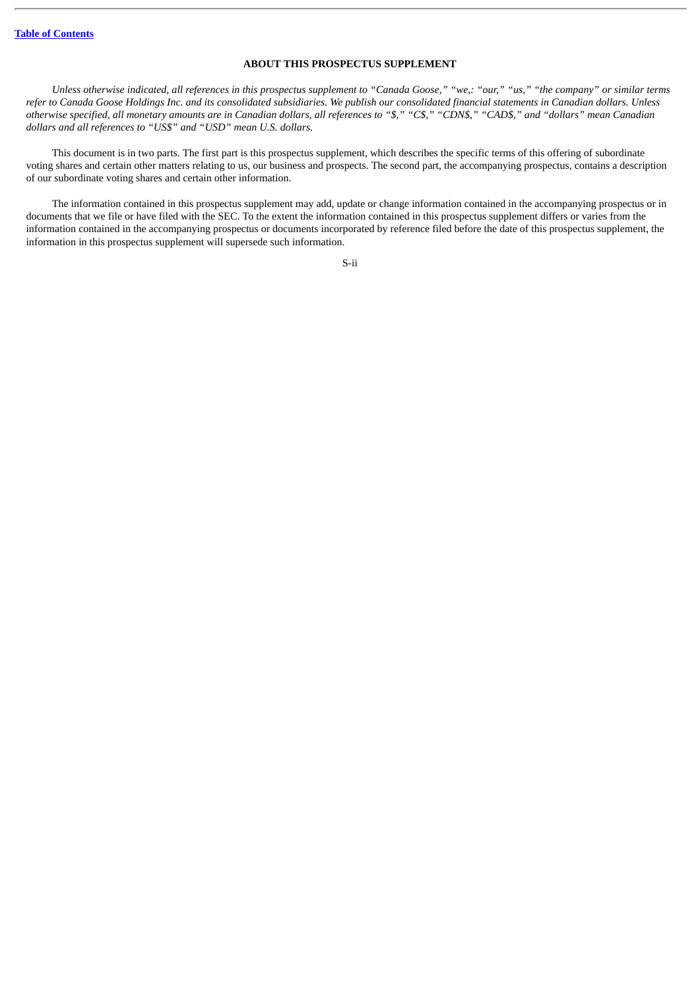## **ABOUT THIS PROSPECTUS SUPPLEMENT**

<span id="page-2-0"></span>Unless otherwise indicated, all references in this prospectus supplement to "Canada Goose," "we,: "our," "us," "the company" or similar terms refer to Canada Goose Holdinas Inc. and its consolidated subsidiaries. We publish our consolidated financial statements in Canadian dollars. Unless otherwise specified, all monetary amounts are in Canadian dollars, all references to "\$," "C\$," "CDN\$," "CAD\$," and "dollars" mean Canadian *dollars and all references to "US\$" and "USD" mean U.S. dollars.*

This document is in two parts. The first part is this prospectus supplement, which describes the specific terms of this offering of subordinate voting shares and certain other matters relating to us, our business and prospects. The second part, the accompanying prospectus, contains a description of our subordinate voting shares and certain other information.

The information contained in this prospectus supplement may add, update or change information contained in the accompanying prospectus or in documents that we file or have filed with the SEC. To the extent the information contained in this prospectus supplement differs or varies from the information contained in the accompanying prospectus or documents incorporated by reference filed before the date of this prospectus supplement, the information in this prospectus supplement will supersede such information.

|   | i. |  |
|---|----|--|
| × |    |  |
| I | ۰, |  |
| ٧ |    |  |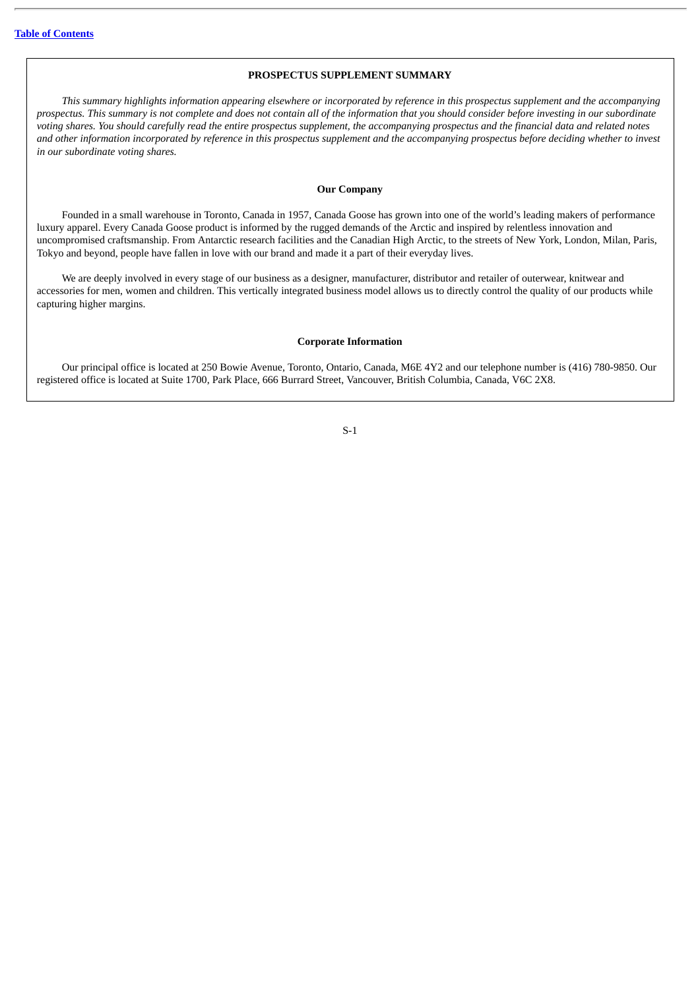## **PROSPECTUS SUPPLEMENT SUMMARY**

<span id="page-3-0"></span>This summary highlights information appearing elsewhere or incorporated by reference in this prospectus supplement and the accompanying prospectus. This summary is not complete and does not contain all of the information that you should consider before investing in our subordinate voting shares. You should carefully read the entire prospectus supplement, the accompanying prospectus and the financial data and related notes and other information incorporated by reference in this prospectus supplement and the accompanying prospectus before deciding whether to invest *in our subordinate voting shares.*

## **Our Company**

Founded in a small warehouse in Toronto, Canada in 1957, Canada Goose has grown into one of the world's leading makers of performance luxury apparel. Every Canada Goose product is informed by the rugged demands of the Arctic and inspired by relentless innovation and uncompromised craftsmanship. From Antarctic research facilities and the Canadian High Arctic, to the streets of New York, London, Milan, Paris, Tokyo and beyond, people have fallen in love with our brand and made it a part of their everyday lives.

We are deeply involved in every stage of our business as a designer, manufacturer, distributor and retailer of outerwear, knitwear and accessories for men, women and children. This vertically integrated business model allows us to directly control the quality of our products while capturing higher margins.

#### **Corporate Information**

Our principal office is located at 250 Bowie Avenue, Toronto, Ontario, Canada, M6E 4Y2 and our telephone number is (416) 780-9850. Our registered office is located at Suite 1700, Park Place, 666 Burrard Street, Vancouver, British Columbia, Canada, V6C 2X8.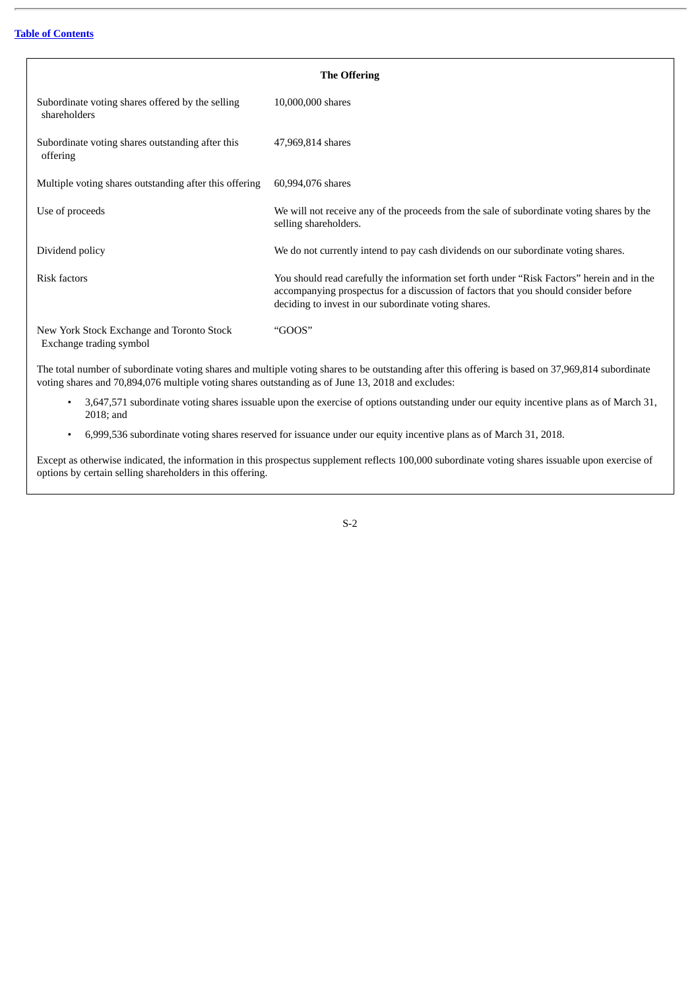| <b>The Offering</b>                                                  |                                                                                                                                                                                                                                           |  |  |  |
|----------------------------------------------------------------------|-------------------------------------------------------------------------------------------------------------------------------------------------------------------------------------------------------------------------------------------|--|--|--|
| Subordinate voting shares offered by the selling<br>shareholders     | 10,000,000 shares                                                                                                                                                                                                                         |  |  |  |
| Subordinate voting shares outstanding after this<br>offering         | 47,969,814 shares                                                                                                                                                                                                                         |  |  |  |
| Multiple voting shares outstanding after this offering               | 60,994,076 shares                                                                                                                                                                                                                         |  |  |  |
| Use of proceeds                                                      | We will not receive any of the proceeds from the sale of subordinate voting shares by the<br>selling shareholders.                                                                                                                        |  |  |  |
| Dividend policy                                                      | We do not currently intend to pay cash dividends on our subordinate voting shares.                                                                                                                                                        |  |  |  |
| Risk factors                                                         | You should read carefully the information set forth under "Risk Factors" herein and in the<br>accompanying prospectus for a discussion of factors that you should consider before<br>deciding to invest in our subordinate voting shares. |  |  |  |
| New York Stock Exchange and Toronto Stock<br>Exchange trading symbol | "GOOS"                                                                                                                                                                                                                                    |  |  |  |

The total number of subordinate voting shares and multiple voting shares to be outstanding after this offering is based on 37,969,814 subordinate voting shares and 70,894,076 multiple voting shares outstanding as of June 13, 2018 and excludes:

- 3,647,571 subordinate voting shares issuable upon the exercise of options outstanding under our equity incentive plans as of March 31, 2018; and
- 6,999,536 subordinate voting shares reserved for issuance under our equity incentive plans as of March 31, 2018.

Except as otherwise indicated, the information in this prospectus supplement reflects 100,000 subordinate voting shares issuable upon exercise of options by certain selling shareholders in this offering.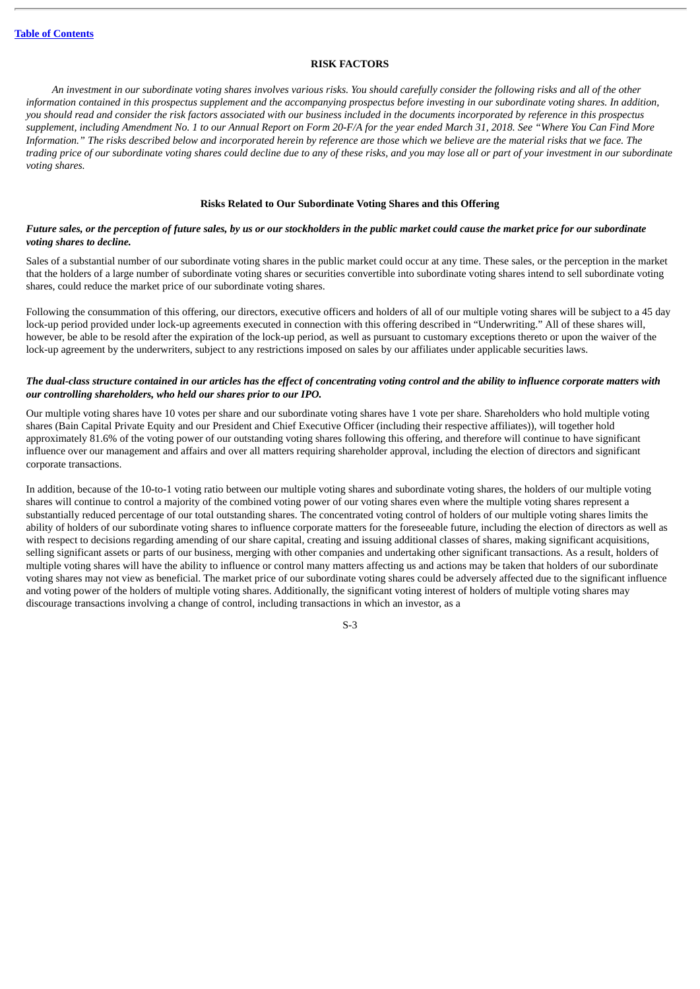## **RISK FACTORS**

<span id="page-5-0"></span>An investment in our subordinate voting shares involves various risks. You should carefully consider the following risks and all of the other information contained in this prospectus supplement and the accompanying prospectus before investing in our subordinate voting shares. In addition, you should read and consider the risk factors associated with our business included in the documents incorporated by reference in this prospectus supplement, including Amendment No. 1 to our Annual Report on Form 20-F/A for the year ended March 31, 2018. See "Where You Can Find More Information." The risks described below and incorporated herein by reference are those which we believe are the material risks that we face. The trading price of our subordinate voting shares could decline due to any of these risks, and you may lose all or part of your investment in our subordinate *voting shares.*

## **Risks Related to Our Subordinate Voting Shares and this Offering**

## Future sales, or the perception of future sales, by us or our stockholders in the public market could cause the market price for our subordinate *voting shares to decline.*

Sales of a substantial number of our subordinate voting shares in the public market could occur at any time. These sales, or the perception in the market that the holders of a large number of subordinate voting shares or securities convertible into subordinate voting shares intend to sell subordinate voting shares, could reduce the market price of our subordinate voting shares.

Following the consummation of this offering, our directors, executive officers and holders of all of our multiple voting shares will be subject to a 45 day lock-up period provided under lock-up agreements executed in connection with this offering described in "Underwriting." All of these shares will, however, be able to be resold after the expiration of the lock-up period, as well as pursuant to customary exceptions thereto or upon the waiver of the lock-up agreement by the underwriters, subject to any restrictions imposed on sales by our affiliates under applicable securities laws.

## The dual-class structure contained in our articles has the effect of concentrating voting control and the ability to influence corporate matters with *our controlling shareholders, who held our shares prior to our IPO.*

Our multiple voting shares have 10 votes per share and our subordinate voting shares have 1 vote per share. Shareholders who hold multiple voting shares (Bain Capital Private Equity and our President and Chief Executive Officer (including their respective affiliates)), will together hold approximately 81.6% of the voting power of our outstanding voting shares following this offering, and therefore will continue to have significant influence over our management and affairs and over all matters requiring shareholder approval, including the election of directors and significant corporate transactions.

In addition, because of the 10-to-1 voting ratio between our multiple voting shares and subordinate voting shares, the holders of our multiple voting shares will continue to control a majority of the combined voting power of our voting shares even where the multiple voting shares represent a substantially reduced percentage of our total outstanding shares. The concentrated voting control of holders of our multiple voting shares limits the ability of holders of our subordinate voting shares to influence corporate matters for the foreseeable future, including the election of directors as well as with respect to decisions regarding amending of our share capital, creating and issuing additional classes of shares, making significant acquisitions, selling significant assets or parts of our business, merging with other companies and undertaking other significant transactions. As a result, holders of multiple voting shares will have the ability to influence or control many matters affecting us and actions may be taken that holders of our subordinate voting shares may not view as beneficial. The market price of our subordinate voting shares could be adversely affected due to the significant influence and voting power of the holders of multiple voting shares. Additionally, the significant voting interest of holders of multiple voting shares may discourage transactions involving a change of control, including transactions in which an investor, as a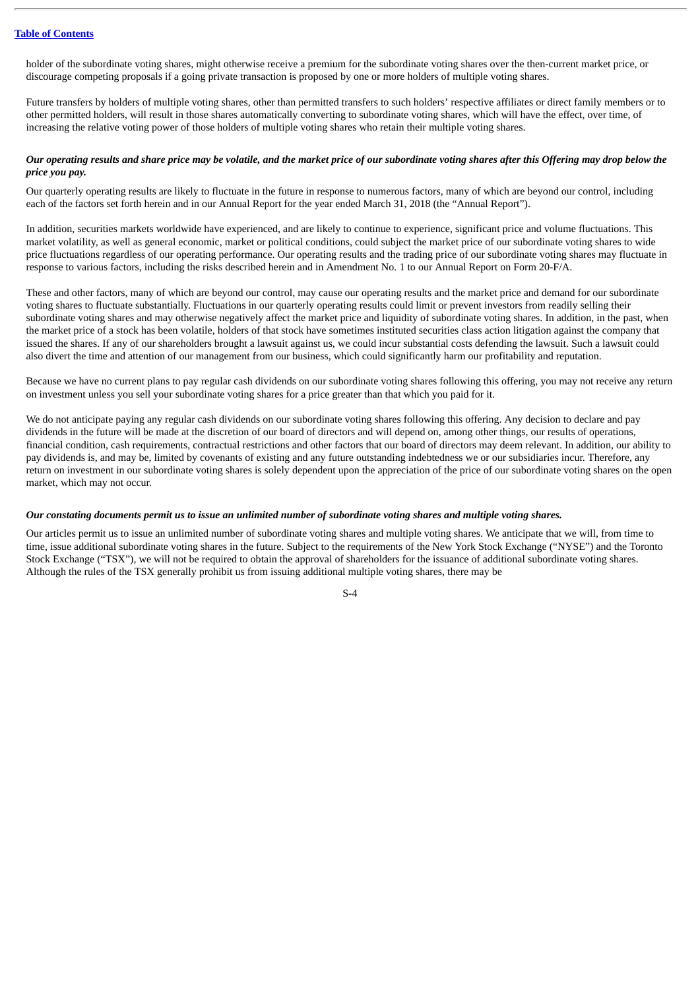holder of the subordinate voting shares, might otherwise receive a premium for the subordinate voting shares over the then-current market price, or discourage competing proposals if a going private transaction is proposed by one or more holders of multiple voting shares.

Future transfers by holders of multiple voting shares, other than permitted transfers to such holders' respective affiliates or direct family members or to other permitted holders, will result in those shares automatically converting to subordinate voting shares, which will have the effect, over time, of increasing the relative voting power of those holders of multiple voting shares who retain their multiple voting shares.

## Our operating results and share price may be volatile, and the market price of our subordinate voting shares after this Offering may drop below the *price you pay.*

Our quarterly operating results are likely to fluctuate in the future in response to numerous factors, many of which are beyond our control, including each of the factors set forth herein and in our Annual Report for the year ended March 31, 2018 (the "Annual Report").

In addition, securities markets worldwide have experienced, and are likely to continue to experience, significant price and volume fluctuations. This market volatility, as well as general economic, market or political conditions, could subject the market price of our subordinate voting shares to wide price fluctuations regardless of our operating performance. Our operating results and the trading price of our subordinate voting shares may fluctuate in response to various factors, including the risks described herein and in Amendment No. 1 to our Annual Report on Form 20-F/A.

These and other factors, many of which are beyond our control, may cause our operating results and the market price and demand for our subordinate voting shares to fluctuate substantially. Fluctuations in our quarterly operating results could limit or prevent investors from readily selling their subordinate voting shares and may otherwise negatively affect the market price and liquidity of subordinate voting shares. In addition, in the past, when the market price of a stock has been volatile, holders of that stock have sometimes instituted securities class action litigation against the company that issued the shares. If any of our shareholders brought a lawsuit against us, we could incur substantial costs defending the lawsuit. Such a lawsuit could also divert the time and attention of our management from our business, which could significantly harm our profitability and reputation.

Because we have no current plans to pay regular cash dividends on our subordinate voting shares following this offering, you may not receive any return on investment unless you sell your subordinate voting shares for a price greater than that which you paid for it.

We do not anticipate paying any regular cash dividends on our subordinate voting shares following this offering. Any decision to declare and pay dividends in the future will be made at the discretion of our board of directors and will depend on, among other things, our results of operations, financial condition, cash requirements, contractual restrictions and other factors that our board of directors may deem relevant. In addition, our ability to pay dividends is, and may be, limited by covenants of existing and any future outstanding indebtedness we or our subsidiaries incur. Therefore, any return on investment in our subordinate voting shares is solely dependent upon the appreciation of the price of our subordinate voting shares on the open market, which may not occur.

## Our constating documents permit us to issue an unlimited number of subordinate voting shares and multiple voting shares.

Our articles permit us to issue an unlimited number of subordinate voting shares and multiple voting shares. We anticipate that we will, from time to time, issue additional subordinate voting shares in the future. Subject to the requirements of the New York Stock Exchange ("NYSE") and the Toronto Stock Exchange ("TSX"), we will not be required to obtain the approval of shareholders for the issuance of additional subordinate voting shares. Although the rules of the TSX generally prohibit us from issuing additional multiple voting shares, there may be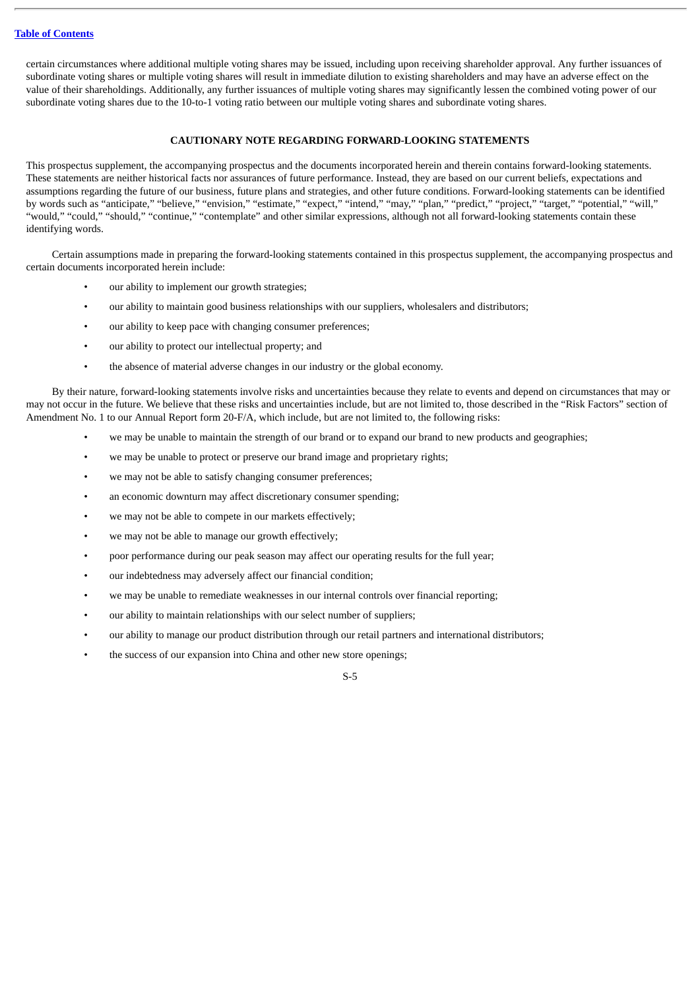certain circumstances where additional multiple voting shares may be issued, including upon receiving shareholder approval. Any further issuances of subordinate voting shares or multiple voting shares will result in immediate dilution to existing shareholders and may have an adverse effect on the value of their shareholdings. Additionally, any further issuances of multiple voting shares may significantly lessen the combined voting power of our subordinate voting shares due to the 10-to-1 voting ratio between our multiple voting shares and subordinate voting shares.

## **CAUTIONARY NOTE REGARDING FORWARD-LOOKING STATEMENTS**

<span id="page-7-0"></span>This prospectus supplement, the accompanying prospectus and the documents incorporated herein and therein contains forward-looking statements. These statements are neither historical facts nor assurances of future performance. Instead, they are based on our current beliefs, expectations and assumptions regarding the future of our business, future plans and strategies, and other future conditions. Forward-looking statements can be identified by words such as "anticipate," "believe," "envision," "estimate," "expect," "intend," "may," "plan," "predict," "project," "target," "potential," "will," "would," "could," "should," "continue," "contemplate" and other similar expressions, although not all forward-looking statements contain these identifying words.

Certain assumptions made in preparing the forward-looking statements contained in this prospectus supplement, the accompanying prospectus and certain documents incorporated herein include:

- our ability to implement our growth strategies;
- our ability to maintain good business relationships with our suppliers, wholesalers and distributors;
- our ability to keep pace with changing consumer preferences;
- our ability to protect our intellectual property; and
- the absence of material adverse changes in our industry or the global economy.

By their nature, forward-looking statements involve risks and uncertainties because they relate to events and depend on circumstances that may or may not occur in the future. We believe that these risks and uncertainties include, but are not limited to, those described in the "Risk Factors" section of Amendment No. 1 to our Annual Report form 20-F/A, which include, but are not limited to, the following risks:

- we may be unable to maintain the strength of our brand or to expand our brand to new products and geographies;
- we may be unable to protect or preserve our brand image and proprietary rights;
- we may not be able to satisfy changing consumer preferences;
- an economic downturn may affect discretionary consumer spending;
- we may not be able to compete in our markets effectively;
- we may not be able to manage our growth effectively;
- poor performance during our peak season may affect our operating results for the full year;
- our indebtedness may adversely affect our financial condition;
- we may be unable to remediate weaknesses in our internal controls over financial reporting;
- our ability to maintain relationships with our select number of suppliers;
- our ability to manage our product distribution through our retail partners and international distributors;
- the success of our expansion into China and other new store openings;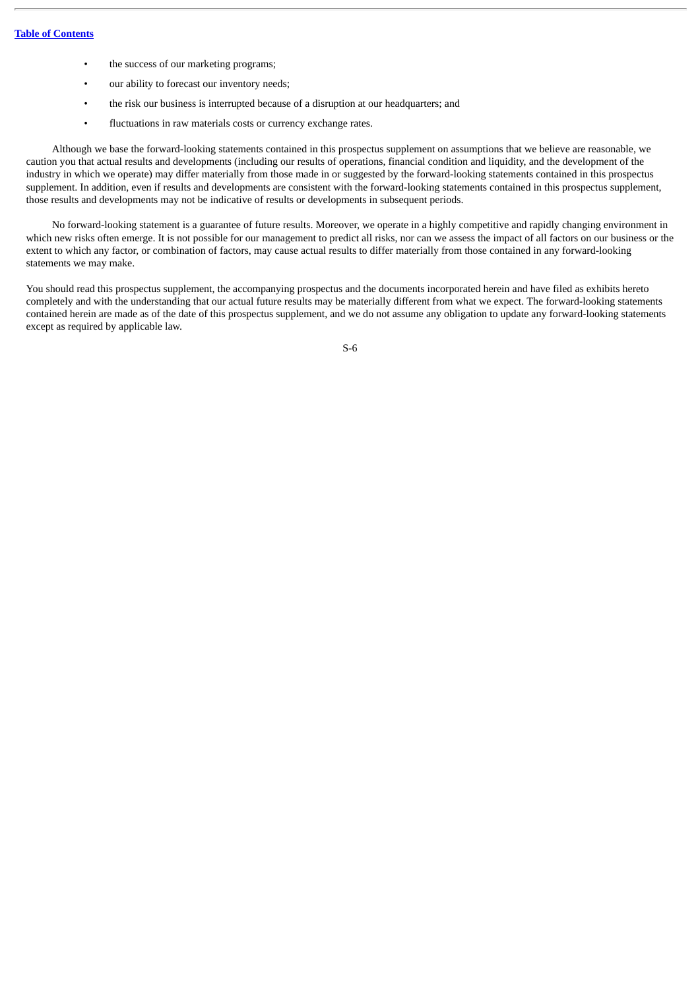- the success of our marketing programs;
- our ability to forecast our inventory needs;
- the risk our business is interrupted because of a disruption at our headquarters; and
- fluctuations in raw materials costs or currency exchange rates.

Although we base the forward-looking statements contained in this prospectus supplement on assumptions that we believe are reasonable, we caution you that actual results and developments (including our results of operations, financial condition and liquidity, and the development of the industry in which we operate) may differ materially from those made in or suggested by the forward-looking statements contained in this prospectus supplement. In addition, even if results and developments are consistent with the forward-looking statements contained in this prospectus supplement, those results and developments may not be indicative of results or developments in subsequent periods.

No forward-looking statement is a guarantee of future results. Moreover, we operate in a highly competitive and rapidly changing environment in which new risks often emerge. It is not possible for our management to predict all risks, nor can we assess the impact of all factors on our business or the extent to which any factor, or combination of factors, may cause actual results to differ materially from those contained in any forward-looking statements we may make.

You should read this prospectus supplement, the accompanying prospectus and the documents incorporated herein and have filed as exhibits hereto completely and with the understanding that our actual future results may be materially different from what we expect. The forward-looking statements contained herein are made as of the date of this prospectus supplement, and we do not assume any obligation to update any forward-looking statements except as required by applicable law.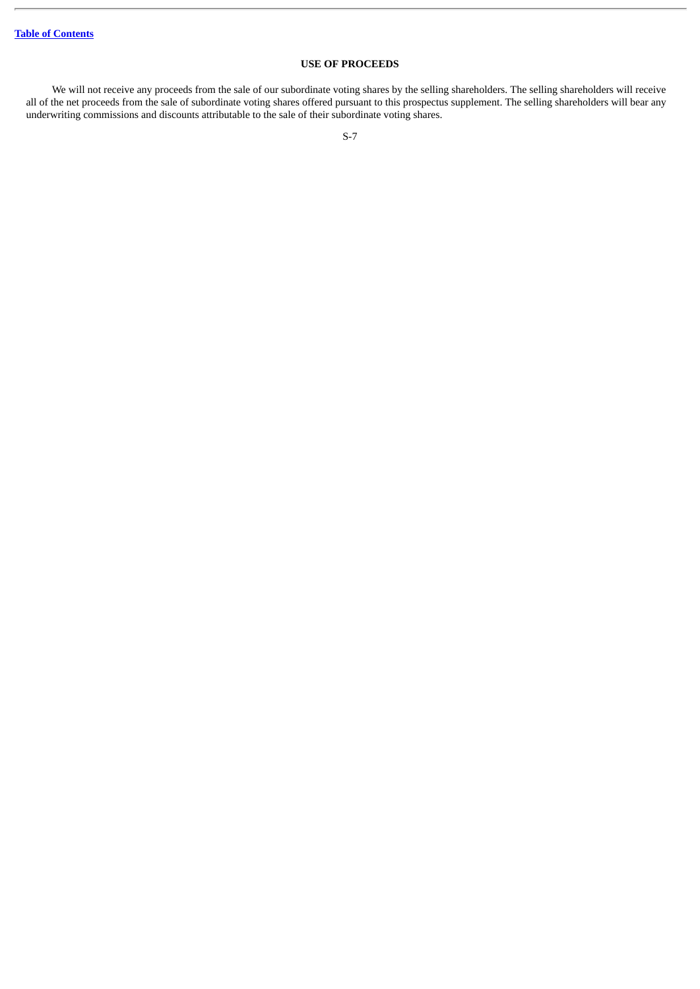## **USE OF PROCEEDS**

<span id="page-9-0"></span>We will not receive any proceeds from the sale of our subordinate voting shares by the selling shareholders. The selling shareholders will receive all of the net proceeds from the sale of subordinate voting shares offered pursuant to this prospectus supplement. The selling shareholders will bear any underwriting commissions and discounts attributable to the sale of their subordinate voting shares.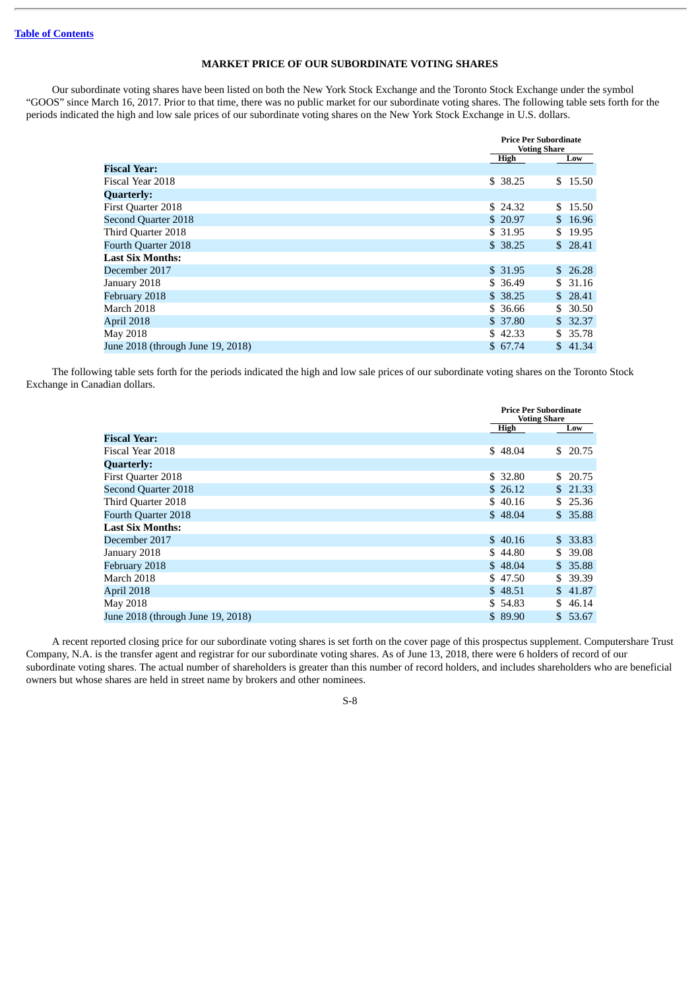## **MARKET PRICE OF OUR SUBORDINATE VOTING SHARES**

<span id="page-10-0"></span>Our subordinate voting shares have been listed on both the New York Stock Exchange and the Toronto Stock Exchange under the symbol "GOOS" since March 16, 2017. Prior to that time, there was no public market for our subordinate voting shares. The following table sets forth for the periods indicated the high and low sale prices of our subordinate voting shares on the New York Stock Exchange in U.S. dollars.

|                                   |          | <b>Price Per Subordinate</b><br><b>Voting Share</b> |  |
|-----------------------------------|----------|-----------------------------------------------------|--|
|                                   | High     | Low                                                 |  |
| <b>Fiscal Year:</b>               |          |                                                     |  |
| Fiscal Year 2018                  | \$38.25  | 15.50<br>S.                                         |  |
| Quarterly:                        |          |                                                     |  |
| <b>First Quarter 2018</b>         | \$24.32  | 15.50<br>\$.                                        |  |
| <b>Second Quarter 2018</b>        | \$20.97  | 16.96<br>\$                                         |  |
| Third Quarter 2018                | \$ 31.95 | 19.95<br>\$                                         |  |
| <b>Fourth Quarter 2018</b>        | \$38.25  | \$28.41                                             |  |
| <b>Last Six Months:</b>           |          |                                                     |  |
| December 2017                     | \$31.95  | 26.28<br>\$                                         |  |
| January 2018                      | \$ 36.49 | 31.16<br>\$.                                        |  |
| February 2018                     | \$38.25  | \$28.41                                             |  |
| March 2018                        | \$ 36.66 | 30.50<br>\$.                                        |  |
| April 2018                        | \$ 37.80 | \$32.37                                             |  |
| May 2018                          | \$42.33  | 35.78<br>\$                                         |  |
| June 2018 (through June 19, 2018) | \$67.74  | 41.34<br>\$                                         |  |

The following table sets forth for the periods indicated the high and low sale prices of our subordinate voting shares on the Toronto Stock Exchange in Canadian dollars.

|                                   | <b>Price Per Subordinate</b><br><b>Voting Share</b> |         |
|-----------------------------------|-----------------------------------------------------|---------|
|                                   | High                                                | Low     |
| Fiscal Year:                      |                                                     |         |
| Fiscal Year 2018                  | \$48.04<br>S.                                       | 20.75   |
| Quarterly:                        |                                                     |         |
| <b>First Quarter 2018</b>         | \$32.80<br>S.                                       | 20.75   |
| Second Quarter 2018               | \$26.12<br>\$.                                      | 21.33   |
| Third Quarter 2018                | \$40.16<br>S.                                       | 25.36   |
| <b>Fourth Quarter 2018</b>        | \$48.04                                             | \$35.88 |
| <b>Last Six Months:</b>           |                                                     |         |
| December 2017                     | \$40.16                                             | \$33.83 |
| January 2018                      | \$<br>\$44.80                                       | 39.08   |
| February 2018                     | \$48.04                                             | \$35.88 |
| March 2018                        | \$47.50<br>S.                                       | 39.39   |
| April 2018                        | \$48.51<br>\$                                       | 41.87   |
| May 2018                          | \$54.83<br>\$                                       | 46.14   |
| June 2018 (through June 19, 2018) | \$89.90<br>\$.                                      | 53.67   |

A recent reported closing price for our subordinate voting shares is set forth on the cover page of this prospectus supplement. Computershare Trust Company, N.A. is the transfer agent and registrar for our subordinate voting shares. As of June 13, 2018, there were 6 holders of record of our subordinate voting shares. The actual number of shareholders is greater than this number of record holders, and includes shareholders who are beneficial owners but whose shares are held in street name by brokers and other nominees.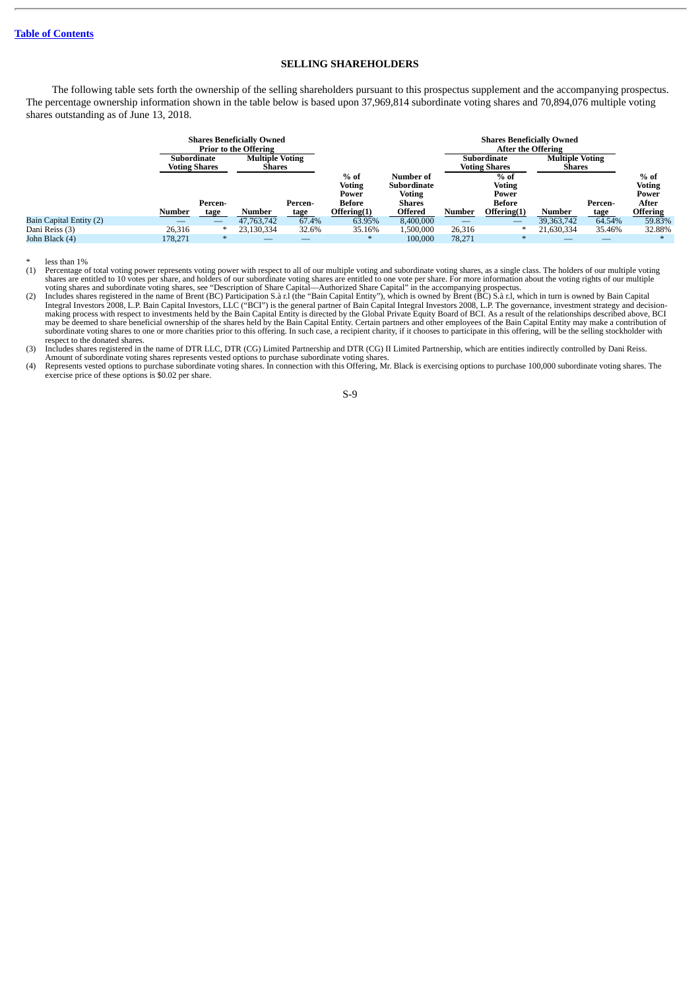## **SELLING SHAREHOLDERS**

<span id="page-11-0"></span>The following table sets forth the ownership of the selling shareholders pursuant to this prospectus supplement and the accompanying prospectus. The percentage ownership information shown in the table below is based upon 37,969,814 subordinate voting shares and 70,894,076 multiple voting shares outstanding as of June 13, 2018.

|                         | <b>Shares Beneficially Owned</b><br><b>Prior to the Offering</b> |         |                        |         |               |                    |        | <b>Shares Beneficially Owned</b><br><b>After the Offering</b> |                        |         |                 |
|-------------------------|------------------------------------------------------------------|---------|------------------------|---------|---------------|--------------------|--------|---------------------------------------------------------------|------------------------|---------|-----------------|
|                         | Subordinate                                                      |         | <b>Multiple Voting</b> |         |               |                    |        | Subordinate                                                   | <b>Multiple Voting</b> |         |                 |
|                         | Voting Shares                                                    |         | Shares                 |         |               |                    |        | <b>Voting Shares</b>                                          | Shares                 |         |                 |
|                         |                                                                  |         |                        |         | $%$ of        | Number of          |        | $%$ of                                                        |                        |         | $%$ of          |
|                         |                                                                  |         |                        |         | <b>Voting</b> | <b>Subordinate</b> |        | <b>Voting</b>                                                 |                        |         | <b>Voting</b>   |
|                         |                                                                  |         |                        |         | Power         | <b>Voting</b>      |        | Power                                                         |                        |         | Power           |
|                         |                                                                  | Percen- |                        | Percen- | Before        | <b>Shares</b>      |        | <b>Before</b>                                                 |                        | Percen- | After           |
|                         | Number                                                           | tage    | Number                 | tage    | Offering(1)   | <b>Offered</b>     | Number | Offering(1)                                                   | Number                 | tage    | <b>Offering</b> |
| Bain Capital Entity (2) |                                                                  |         | 47,763,742             | 67.4%   | 63.95%        | 8,400,000          |        | $\qquad \qquad -$                                             | 39, 363, 742           | 64.54%  | 59.83%          |
| Dani Reiss (3)          | 26,316                                                           | -14     | 23,130,334             | 32.6%   | 35.16%        | 1,500,000          | 26,316 | *                                                             | 21,630,334             | 35.46%  | 32.88%          |
| John Black (4)          | 178.271                                                          | $*$     |                        |         |               | 100,000            | 78.271 | $*$                                                           |                        |         |                 |

<sup>\*</sup> less than  $1\%$ <br>(1) Percentage of

shares are entitled to 10 votes per share, and holders of our subordinate voting shares are entitled to one vote per share. For more information about the voting rights of our multiple<br>voting shares and subordinate voting subordinate voting shares to one or more charities prior to this offering. In such case, a recipient charity, if it chooses to participate in this offering, will be the selling stockholder with respect to the donated shares.

(3) Includes shares registered in the name of DTR LLC, DTR (CG) Limited Partnership and DTR (CG) II Limited Partnership, which are entities indirectly controlled by Dani Reiss.

Amount of subordinate voting shares represents vested options to purchase subordinate voting shares.<br>(4) Represents vested options to purchase subordinate voting shares. In connection with this Offering, Mr. Black is exerc exercise price of these options is \$0.02 per share.

<sup>(1)</sup> Percentage of total voting power represents voting power with respect to all of our multiple voting and subordinate voting shares, as a single class. The holders of our multiple voting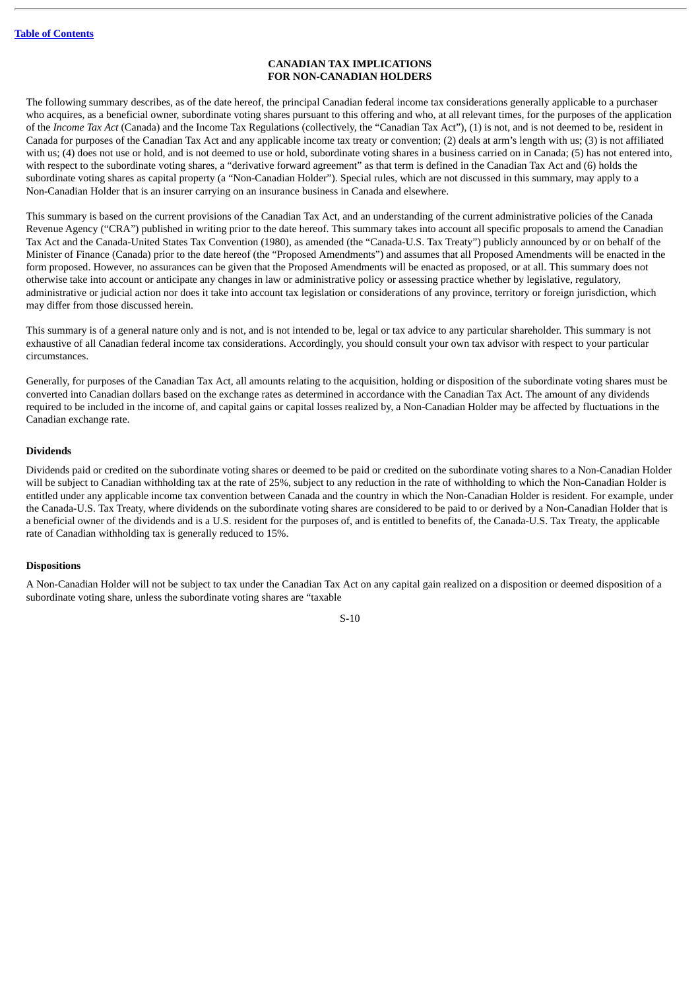## **CANADIAN TAX IMPLICATIONS FOR NON-CANADIAN HOLDERS**

<span id="page-12-0"></span>The following summary describes, as of the date hereof, the principal Canadian federal income tax considerations generally applicable to a purchaser who acquires, as a beneficial owner, subordinate voting shares pursuant to this offering and who, at all relevant times, for the purposes of the application of the *Income Tax Act* (Canada) and the Income Tax Regulations (collectively, the "Canadian Tax Act"), (1) is not, and is not deemed to be, resident in Canada for purposes of the Canadian Tax Act and any applicable income tax treaty or convention; (2) deals at arm's length with us; (3) is not affiliated with us; (4) does not use or hold, and is not deemed to use or hold, subordinate voting shares in a business carried on in Canada; (5) has not entered into, with respect to the subordinate voting shares, a "derivative forward agreement" as that term is defined in the Canadian Tax Act and (6) holds the subordinate voting shares as capital property (a "Non-Canadian Holder"). Special rules, which are not discussed in this summary, may apply to a Non-Canadian Holder that is an insurer carrying on an insurance business in Canada and elsewhere.

This summary is based on the current provisions of the Canadian Tax Act, and an understanding of the current administrative policies of the Canada Revenue Agency ("CRA") published in writing prior to the date hereof. This summary takes into account all specific proposals to amend the Canadian Tax Act and the Canada-United States Tax Convention (1980), as amended (the "Canada-U.S. Tax Treaty") publicly announced by or on behalf of the Minister of Finance (Canada) prior to the date hereof (the "Proposed Amendments") and assumes that all Proposed Amendments will be enacted in the form proposed. However, no assurances can be given that the Proposed Amendments will be enacted as proposed, or at all. This summary does not otherwise take into account or anticipate any changes in law or administrative policy or assessing practice whether by legislative, regulatory, administrative or judicial action nor does it take into account tax legislation or considerations of any province, territory or foreign jurisdiction, which may differ from those discussed herein.

This summary is of a general nature only and is not, and is not intended to be, legal or tax advice to any particular shareholder. This summary is not exhaustive of all Canadian federal income tax considerations. Accordingly, you should consult your own tax advisor with respect to your particular circumstances.

Generally, for purposes of the Canadian Tax Act, all amounts relating to the acquisition, holding or disposition of the subordinate voting shares must be converted into Canadian dollars based on the exchange rates as determined in accordance with the Canadian Tax Act. The amount of any dividends required to be included in the income of, and capital gains or capital losses realized by, a Non-Canadian Holder may be affected by fluctuations in the Canadian exchange rate.

## **Dividends**

Dividends paid or credited on the subordinate voting shares or deemed to be paid or credited on the subordinate voting shares to a Non-Canadian Holder will be subject to Canadian withholding tax at the rate of 25%, subject to any reduction in the rate of withholding to which the Non-Canadian Holder is entitled under any applicable income tax convention between Canada and the country in which the Non-Canadian Holder is resident. For example, under the Canada-U.S. Tax Treaty, where dividends on the subordinate voting shares are considered to be paid to or derived by a Non-Canadian Holder that is a beneficial owner of the dividends and is a U.S. resident for the purposes of, and is entitled to benefits of, the Canada-U.S. Tax Treaty, the applicable rate of Canadian withholding tax is generally reduced to 15%.

## **Dispositions**

A Non-Canadian Holder will not be subject to tax under the Canadian Tax Act on any capital gain realized on a disposition or deemed disposition of a subordinate voting share, unless the subordinate voting shares are "taxable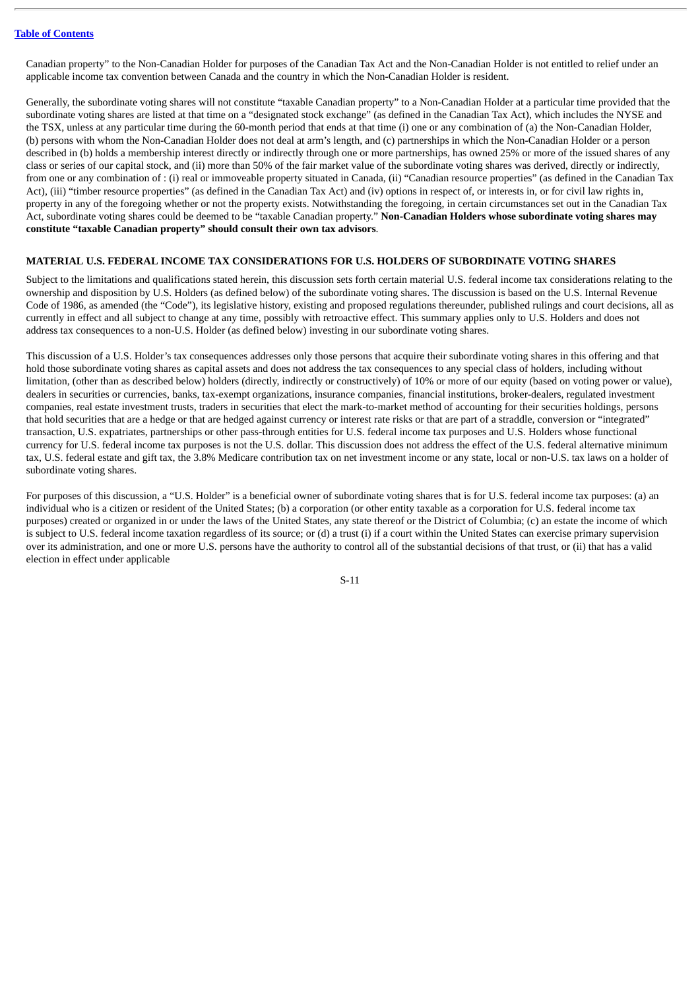Canadian property" to the Non-Canadian Holder for purposes of the Canadian Tax Act and the Non-Canadian Holder is not entitled to relief under an applicable income tax convention between Canada and the country in which the Non-Canadian Holder is resident.

Generally, the subordinate voting shares will not constitute "taxable Canadian property" to a Non-Canadian Holder at a particular time provided that the subordinate voting shares are listed at that time on a "designated stock exchange" (as defined in the Canadian Tax Act), which includes the NYSE and the TSX, unless at any particular time during the 60-month period that ends at that time (i) one or any combination of (a) the Non-Canadian Holder, (b) persons with whom the Non-Canadian Holder does not deal at arm's length, and (c) partnerships in which the Non-Canadian Holder or a person described in (b) holds a membership interest directly or indirectly through one or more partnerships, has owned 25% or more of the issued shares of any class or series of our capital stock, and (ii) more than 50% of the fair market value of the subordinate voting shares was derived, directly or indirectly, from one or any combination of : (i) real or immoveable property situated in Canada, (ii) "Canadian resource properties" (as defined in the Canadian Tax Act), (iii) "timber resource properties" (as defined in the Canadian Tax Act) and (iv) options in respect of, or interests in, or for civil law rights in, property in any of the foregoing whether or not the property exists. Notwithstanding the foregoing, in certain circumstances set out in the Canadian Tax Act, subordinate voting shares could be deemed to be "taxable Canadian property." **Non-Canadian Holders whose subordinate voting shares may constitute "taxable Canadian property" should consult their own tax advisors**.

#### <span id="page-13-0"></span>**MATERIAL U.S. FEDERAL INCOME TAX CONSIDERATIONS FOR U.S. HOLDERS OF SUBORDINATE VOTING SHARES**

Subject to the limitations and qualifications stated herein, this discussion sets forth certain material U.S. federal income tax considerations relating to the ownership and disposition by U.S. Holders (as defined below) of the subordinate voting shares. The discussion is based on the U.S. Internal Revenue Code of 1986, as amended (the "Code"), its legislative history, existing and proposed regulations thereunder, published rulings and court decisions, all as currently in effect and all subject to change at any time, possibly with retroactive effect. This summary applies only to U.S. Holders and does not address tax consequences to a non-U.S. Holder (as defined below) investing in our subordinate voting shares.

This discussion of a U.S. Holder's tax consequences addresses only those persons that acquire their subordinate voting shares in this offering and that hold those subordinate voting shares as capital assets and does not address the tax consequences to any special class of holders, including without limitation, (other than as described below) holders (directly, indirectly or constructively) of 10% or more of our equity (based on voting power or value), dealers in securities or currencies, banks, tax-exempt organizations, insurance companies, financial institutions, broker-dealers, regulated investment companies, real estate investment trusts, traders in securities that elect the mark-to-market method of accounting for their securities holdings, persons that hold securities that are a hedge or that are hedged against currency or interest rate risks or that are part of a straddle, conversion or "integrated" transaction, U.S. expatriates, partnerships or other pass-through entities for U.S. federal income tax purposes and U.S. Holders whose functional currency for U.S. federal income tax purposes is not the U.S. dollar. This discussion does not address the effect of the U.S. federal alternative minimum tax, U.S. federal estate and gift tax, the 3.8% Medicare contribution tax on net investment income or any state, local or non-U.S. tax laws on a holder of subordinate voting shares.

For purposes of this discussion, a "U.S. Holder" is a beneficial owner of subordinate voting shares that is for U.S. federal income tax purposes: (a) an individual who is a citizen or resident of the United States; (b) a corporation (or other entity taxable as a corporation for U.S. federal income tax purposes) created or organized in or under the laws of the United States, any state thereof or the District of Columbia; (c) an estate the income of which is subject to U.S. federal income taxation regardless of its source; or (d) a trust (i) if a court within the United States can exercise primary supervision over its administration, and one or more U.S. persons have the authority to control all of the substantial decisions of that trust, or (ii) that has a valid election in effect under applicable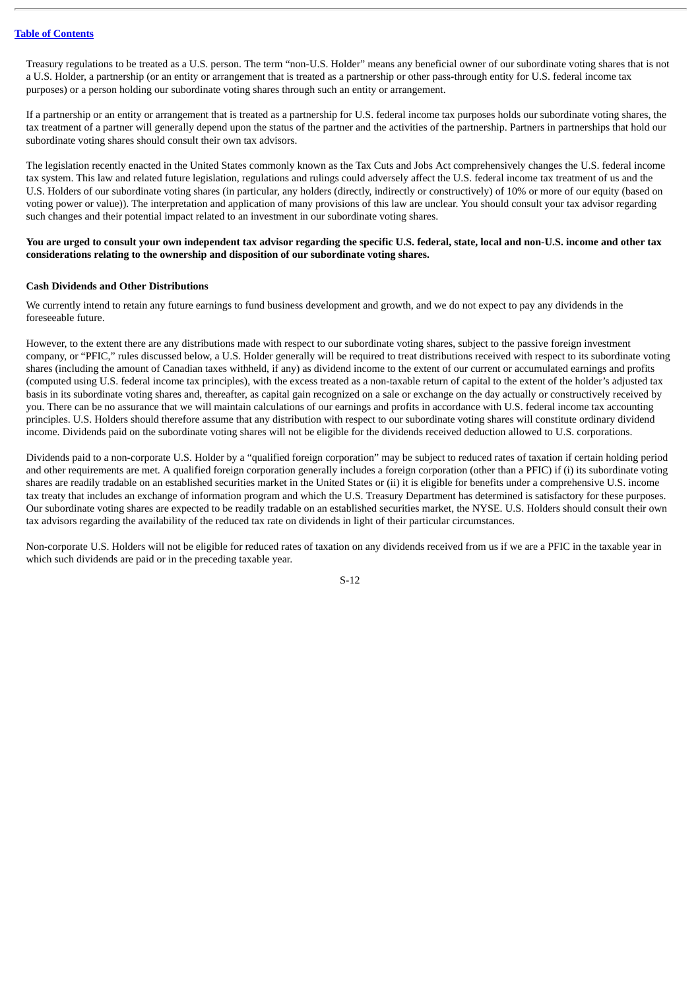Treasury regulations to be treated as a U.S. person. The term "non-U.S. Holder" means any beneficial owner of our subordinate voting shares that is not a U.S. Holder, a partnership (or an entity or arrangement that is treated as a partnership or other pass-through entity for U.S. federal income tax purposes) or a person holding our subordinate voting shares through such an entity or arrangement.

If a partnership or an entity or arrangement that is treated as a partnership for U.S. federal income tax purposes holds our subordinate voting shares, the tax treatment of a partner will generally depend upon the status of the partner and the activities of the partnership. Partners in partnerships that hold our subordinate voting shares should consult their own tax advisors.

The legislation recently enacted in the United States commonly known as the Tax Cuts and Jobs Act comprehensively changes the U.S. federal income tax system. This law and related future legislation, regulations and rulings could adversely affect the U.S. federal income tax treatment of us and the U.S. Holders of our subordinate voting shares (in particular, any holders (directly, indirectly or constructively) of 10% or more of our equity (based on voting power or value)). The interpretation and application of many provisions of this law are unclear. You should consult your tax advisor regarding such changes and their potential impact related to an investment in our subordinate voting shares.

## You are urged to consult your own independent tax advisor regarding the specific U.S. federal, state, local and non-U.S. income and other tax **considerations relating to the ownership and disposition of our subordinate voting shares.**

#### **Cash Dividends and Other Distributions**

We currently intend to retain any future earnings to fund business development and growth, and we do not expect to pay any dividends in the foreseeable future.

However, to the extent there are any distributions made with respect to our subordinate voting shares, subject to the passive foreign investment company, or "PFIC," rules discussed below, a U.S. Holder generally will be required to treat distributions received with respect to its subordinate voting shares (including the amount of Canadian taxes withheld, if any) as dividend income to the extent of our current or accumulated earnings and profits (computed using U.S. federal income tax principles), with the excess treated as a non-taxable return of capital to the extent of the holder's adjusted tax basis in its subordinate voting shares and, thereafter, as capital gain recognized on a sale or exchange on the day actually or constructively received by you. There can be no assurance that we will maintain calculations of our earnings and profits in accordance with U.S. federal income tax accounting principles. U.S. Holders should therefore assume that any distribution with respect to our subordinate voting shares will constitute ordinary dividend income. Dividends paid on the subordinate voting shares will not be eligible for the dividends received deduction allowed to U.S. corporations.

Dividends paid to a non-corporate U.S. Holder by a "qualified foreign corporation" may be subject to reduced rates of taxation if certain holding period and other requirements are met. A qualified foreign corporation generally includes a foreign corporation (other than a PFIC) if (i) its subordinate voting shares are readily tradable on an established securities market in the United States or (ii) it is eligible for benefits under a comprehensive U.S. income tax treaty that includes an exchange of information program and which the U.S. Treasury Department has determined is satisfactory for these purposes. Our subordinate voting shares are expected to be readily tradable on an established securities market, the NYSE. U.S. Holders should consult their own tax advisors regarding the availability of the reduced tax rate on dividends in light of their particular circumstances.

Non-corporate U.S. Holders will not be eligible for reduced rates of taxation on any dividends received from us if we are a PFIC in the taxable year in which such dividends are paid or in the preceding taxable year.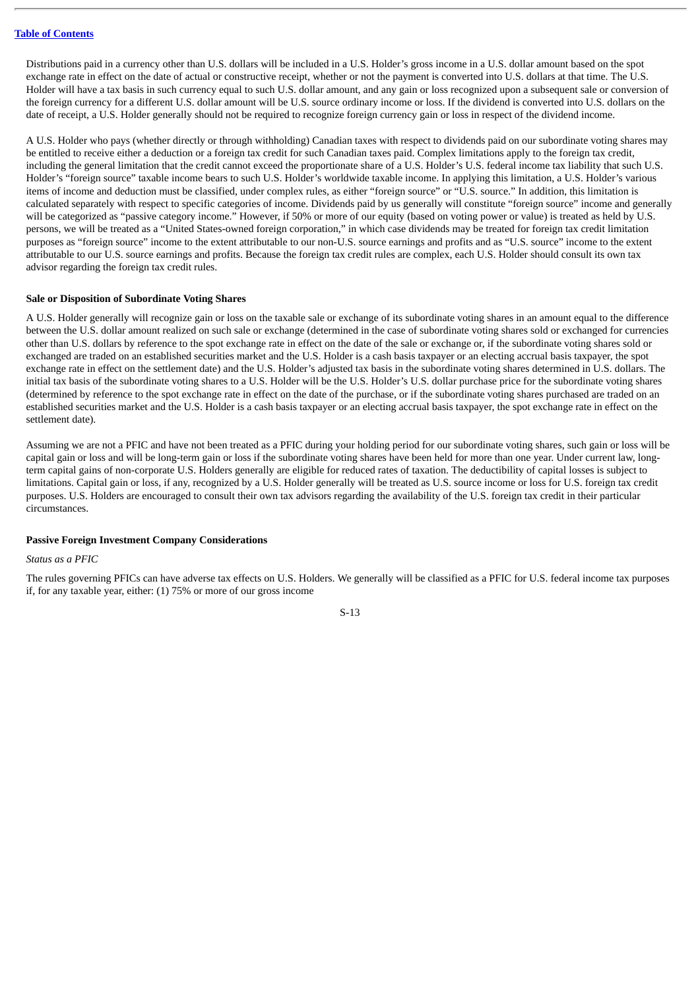Distributions paid in a currency other than U.S. dollars will be included in a U.S. Holder's gross income in a U.S. dollar amount based on the spot exchange rate in effect on the date of actual or constructive receipt, whether or not the payment is converted into U.S. dollars at that time. The U.S. Holder will have a tax basis in such currency equal to such U.S. dollar amount, and any gain or loss recognized upon a subsequent sale or conversion of the foreign currency for a different U.S. dollar amount will be U.S. source ordinary income or loss. If the dividend is converted into U.S. dollars on the date of receipt, a U.S. Holder generally should not be required to recognize foreign currency gain or loss in respect of the dividend income.

A U.S. Holder who pays (whether directly or through withholding) Canadian taxes with respect to dividends paid on our subordinate voting shares may be entitled to receive either a deduction or a foreign tax credit for such Canadian taxes paid. Complex limitations apply to the foreign tax credit, including the general limitation that the credit cannot exceed the proportionate share of a U.S. Holder's U.S. federal income tax liability that such U.S. Holder's "foreign source" taxable income bears to such U.S. Holder's worldwide taxable income. In applying this limitation, a U.S. Holder's various items of income and deduction must be classified, under complex rules, as either "foreign source" or "U.S. source." In addition, this limitation is calculated separately with respect to specific categories of income. Dividends paid by us generally will constitute "foreign source" income and generally will be categorized as "passive category income." However, if 50% or more of our equity (based on voting power or value) is treated as held by U.S. persons, we will be treated as a "United States-owned foreign corporation," in which case dividends may be treated for foreign tax credit limitation purposes as "foreign source" income to the extent attributable to our non-U.S. source earnings and profits and as "U.S. source" income to the extent attributable to our U.S. source earnings and profits. Because the foreign tax credit rules are complex, each U.S. Holder should consult its own tax advisor regarding the foreign tax credit rules.

#### **Sale or Disposition of Subordinate Voting Shares**

A U.S. Holder generally will recognize gain or loss on the taxable sale or exchange of its subordinate voting shares in an amount equal to the difference between the U.S. dollar amount realized on such sale or exchange (determined in the case of subordinate voting shares sold or exchanged for currencies other than U.S. dollars by reference to the spot exchange rate in effect on the date of the sale or exchange or, if the subordinate voting shares sold or exchanged are traded on an established securities market and the U.S. Holder is a cash basis taxpayer or an electing accrual basis taxpayer, the spot exchange rate in effect on the settlement date) and the U.S. Holder's adjusted tax basis in the subordinate voting shares determined in U.S. dollars. The initial tax basis of the subordinate voting shares to a U.S. Holder will be the U.S. Holder's U.S. dollar purchase price for the subordinate voting shares (determined by reference to the spot exchange rate in effect on the date of the purchase, or if the subordinate voting shares purchased are traded on an established securities market and the U.S. Holder is a cash basis taxpayer or an electing accrual basis taxpayer, the spot exchange rate in effect on the settlement date).

Assuming we are not a PFIC and have not been treated as a PFIC during your holding period for our subordinate voting shares, such gain or loss will be capital gain or loss and will be long-term gain or loss if the subordinate voting shares have been held for more than one year. Under current law, longterm capital gains of non-corporate U.S. Holders generally are eligible for reduced rates of taxation. The deductibility of capital losses is subject to limitations. Capital gain or loss, if any, recognized by a U.S. Holder generally will be treated as U.S. source income or loss for U.S. foreign tax credit purposes. U.S. Holders are encouraged to consult their own tax advisors regarding the availability of the U.S. foreign tax credit in their particular circumstances.

#### **Passive Foreign Investment Company Considerations**

#### *Status as a PFIC*

The rules governing PFICs can have adverse tax effects on U.S. Holders. We generally will be classified as a PFIC for U.S. federal income tax purposes if, for any taxable year, either: (1) 75% or more of our gross income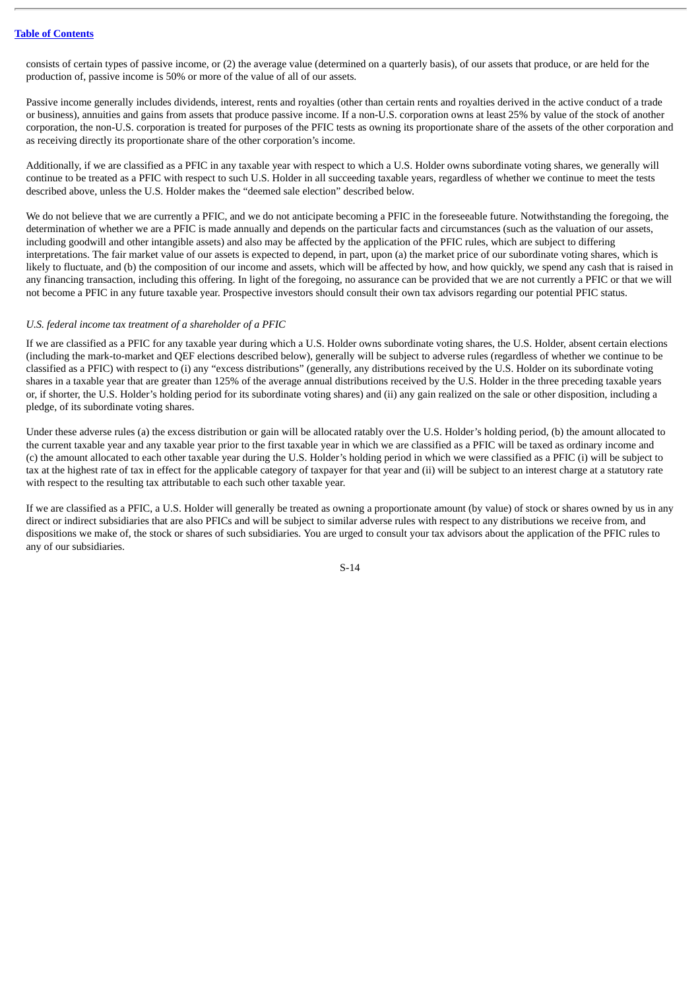consists of certain types of passive income, or (2) the average value (determined on a quarterly basis), of our assets that produce, or are held for the production of, passive income is 50% or more of the value of all of our assets.

Passive income generally includes dividends, interest, rents and royalties (other than certain rents and royalties derived in the active conduct of a trade or business), annuities and gains from assets that produce passive income. If a non-U.S. corporation owns at least 25% by value of the stock of another corporation, the non-U.S. corporation is treated for purposes of the PFIC tests as owning its proportionate share of the assets of the other corporation and as receiving directly its proportionate share of the other corporation's income.

Additionally, if we are classified as a PFIC in any taxable year with respect to which a U.S. Holder owns subordinate voting shares, we generally will continue to be treated as a PFIC with respect to such U.S. Holder in all succeeding taxable years, regardless of whether we continue to meet the tests described above, unless the U.S. Holder makes the "deemed sale election" described below.

We do not believe that we are currently a PFIC, and we do not anticipate becoming a PFIC in the foreseeable future. Notwithstanding the foregoing, the determination of whether we are a PFIC is made annually and depends on the particular facts and circumstances (such as the valuation of our assets, including goodwill and other intangible assets) and also may be affected by the application of the PFIC rules, which are subject to differing interpretations. The fair market value of our assets is expected to depend, in part, upon (a) the market price of our subordinate voting shares, which is likely to fluctuate, and (b) the composition of our income and assets, which will be affected by how, and how quickly, we spend any cash that is raised in any financing transaction, including this offering. In light of the foregoing, no assurance can be provided that we are not currently a PFIC or that we will not become a PFIC in any future taxable year. Prospective investors should consult their own tax advisors regarding our potential PFIC status.

## *U.S. federal income tax treatment of a shareholder of a PFIC*

If we are classified as a PFIC for any taxable year during which a U.S. Holder owns subordinate voting shares, the U.S. Holder, absent certain elections (including the mark-to-market and QEF elections described below), generally will be subject to adverse rules (regardless of whether we continue to be classified as a PFIC) with respect to (i) any "excess distributions" (generally, any distributions received by the U.S. Holder on its subordinate voting shares in a taxable year that are greater than 125% of the average annual distributions received by the U.S. Holder in the three preceding taxable years or, if shorter, the U.S. Holder's holding period for its subordinate voting shares) and (ii) any gain realized on the sale or other disposition, including a pledge, of its subordinate voting shares.

Under these adverse rules (a) the excess distribution or gain will be allocated ratably over the U.S. Holder's holding period, (b) the amount allocated to the current taxable year and any taxable year prior to the first taxable year in which we are classified as a PFIC will be taxed as ordinary income and (c) the amount allocated to each other taxable year during the U.S. Holder's holding period in which we were classified as a PFIC (i) will be subject to tax at the highest rate of tax in effect for the applicable category of taxpayer for that year and (ii) will be subject to an interest charge at a statutory rate with respect to the resulting tax attributable to each such other taxable year.

If we are classified as a PFIC, a U.S. Holder will generally be treated as owning a proportionate amount (by value) of stock or shares owned by us in any direct or indirect subsidiaries that are also PFICs and will be subject to similar adverse rules with respect to any distributions we receive from, and dispositions we make of, the stock or shares of such subsidiaries. You are urged to consult your tax advisors about the application of the PFIC rules to any of our subsidiaries.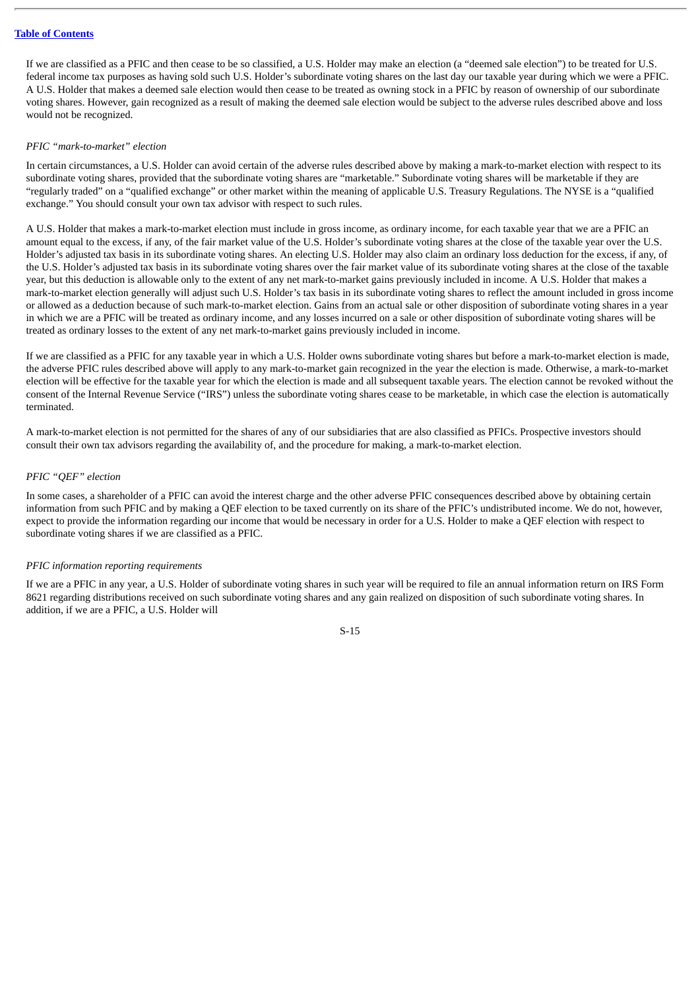If we are classified as a PFIC and then cease to be so classified, a U.S. Holder may make an election (a "deemed sale election") to be treated for U.S. federal income tax purposes as having sold such U.S. Holder's subordinate voting shares on the last day our taxable year during which we were a PFIC. A U.S. Holder that makes a deemed sale election would then cease to be treated as owning stock in a PFIC by reason of ownership of our subordinate voting shares. However, gain recognized as a result of making the deemed sale election would be subject to the adverse rules described above and loss would not be recognized.

## *PFIC "mark-to-market" election*

In certain circumstances, a U.S. Holder can avoid certain of the adverse rules described above by making a mark-to-market election with respect to its subordinate voting shares, provided that the subordinate voting shares are "marketable." Subordinate voting shares will be marketable if they are "regularly traded" on a "qualified exchange" or other market within the meaning of applicable U.S. Treasury Regulations. The NYSE is a "qualified exchange." You should consult your own tax advisor with respect to such rules.

A U.S. Holder that makes a mark-to-market election must include in gross income, as ordinary income, for each taxable year that we are a PFIC an amount equal to the excess, if any, of the fair market value of the U.S. Holder's subordinate voting shares at the close of the taxable year over the U.S. Holder's adjusted tax basis in its subordinate voting shares. An electing U.S. Holder may also claim an ordinary loss deduction for the excess, if any, of the U.S. Holder's adjusted tax basis in its subordinate voting shares over the fair market value of its subordinate voting shares at the close of the taxable year, but this deduction is allowable only to the extent of any net mark-to-market gains previously included in income. A U.S. Holder that makes a mark-to-market election generally will adjust such U.S. Holder's tax basis in its subordinate voting shares to reflect the amount included in gross income or allowed as a deduction because of such mark-to-market election. Gains from an actual sale or other disposition of subordinate voting shares in a year in which we are a PFIC will be treated as ordinary income, and any losses incurred on a sale or other disposition of subordinate voting shares will be treated as ordinary losses to the extent of any net mark-to-market gains previously included in income.

If we are classified as a PFIC for any taxable year in which a U.S. Holder owns subordinate voting shares but before a mark-to-market election is made, the adverse PFIC rules described above will apply to any mark-to-market gain recognized in the year the election is made. Otherwise, a mark-to-market election will be effective for the taxable year for which the election is made and all subsequent taxable years. The election cannot be revoked without the consent of the Internal Revenue Service ("IRS") unless the subordinate voting shares cease to be marketable, in which case the election is automatically terminated.

A mark-to-market election is not permitted for the shares of any of our subsidiaries that are also classified as PFICs. Prospective investors should consult their own tax advisors regarding the availability of, and the procedure for making, a mark-to-market election.

## *PFIC "QEF" election*

In some cases, a shareholder of a PFIC can avoid the interest charge and the other adverse PFIC consequences described above by obtaining certain information from such PFIC and by making a QEF election to be taxed currently on its share of the PFIC's undistributed income. We do not, however, expect to provide the information regarding our income that would be necessary in order for a U.S. Holder to make a QEF election with respect to subordinate voting shares if we are classified as a PFIC.

## *PFIC information reporting requirements*

If we are a PFIC in any year, a U.S. Holder of subordinate voting shares in such year will be required to file an annual information return on IRS Form 8621 regarding distributions received on such subordinate voting shares and any gain realized on disposition of such subordinate voting shares. In addition, if we are a PFIC, a U.S. Holder will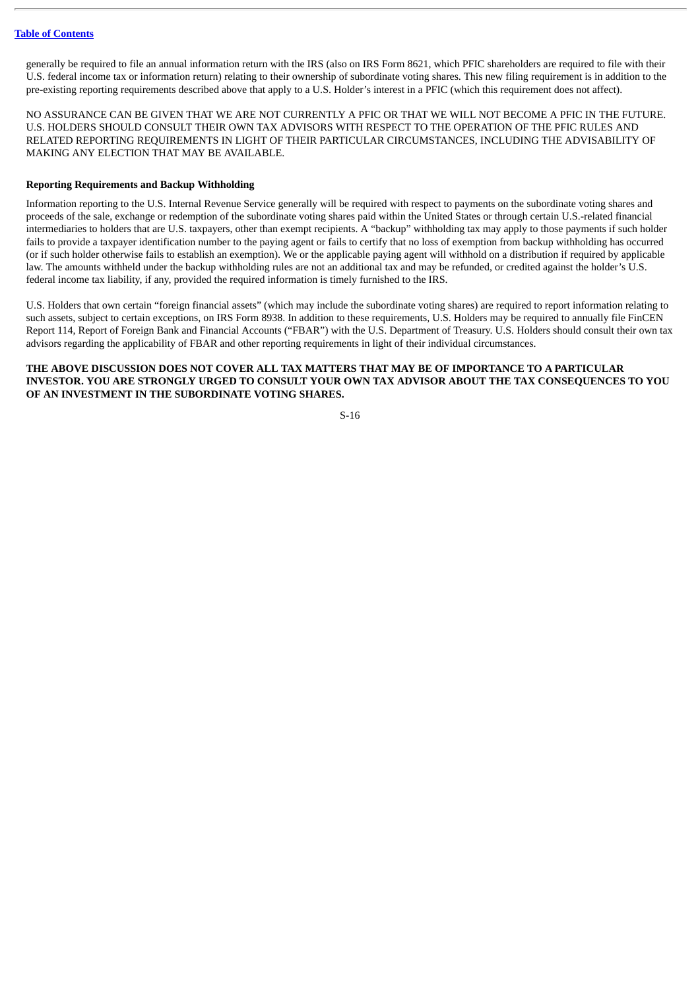generally be required to file an annual information return with the IRS (also on IRS Form 8621, which PFIC shareholders are required to file with their U.S. federal income tax or information return) relating to their ownership of subordinate voting shares. This new filing requirement is in addition to the pre-existing reporting requirements described above that apply to a U.S. Holder's interest in a PFIC (which this requirement does not affect).

NO ASSURANCE CAN BE GIVEN THAT WE ARE NOT CURRENTLY A PFIC OR THAT WE WILL NOT BECOME A PFIC IN THE FUTURE. U.S. HOLDERS SHOULD CONSULT THEIR OWN TAX ADVISORS WITH RESPECT TO THE OPERATION OF THE PFIC RULES AND RELATED REPORTING REQUIREMENTS IN LIGHT OF THEIR PARTICULAR CIRCUMSTANCES, INCLUDING THE ADVISABILITY OF MAKING ANY ELECTION THAT MAY BE AVAILABLE.

## **Reporting Requirements and Backup Withholding**

Information reporting to the U.S. Internal Revenue Service generally will be required with respect to payments on the subordinate voting shares and proceeds of the sale, exchange or redemption of the subordinate voting shares paid within the United States or through certain U.S.-related financial intermediaries to holders that are U.S. taxpayers, other than exempt recipients. A "backup" withholding tax may apply to those payments if such holder fails to provide a taxpayer identification number to the paying agent or fails to certify that no loss of exemption from backup withholding has occurred (or if such holder otherwise fails to establish an exemption). We or the applicable paying agent will withhold on a distribution if required by applicable law. The amounts withheld under the backup withholding rules are not an additional tax and may be refunded, or credited against the holder's U.S. federal income tax liability, if any, provided the required information is timely furnished to the IRS.

U.S. Holders that own certain "foreign financial assets" (which may include the subordinate voting shares) are required to report information relating to such assets, subject to certain exceptions, on IRS Form 8938. In addition to these requirements, U.S. Holders may be required to annually file FinCEN Report 114, Report of Foreign Bank and Financial Accounts ("FBAR") with the U.S. Department of Treasury. U.S. Holders should consult their own tax advisors regarding the applicability of FBAR and other reporting requirements in light of their individual circumstances.

## **THE ABOVE DISCUSSION DOES NOT COVER ALL TAX MATTERS THAT MAY BE OF IMPORTANCE TO A PARTICULAR INVESTOR. YOU ARE STRONGLY URGED TO CONSULT YOUR OWN TAX ADVISOR ABOUT THE TAX CONSEQUENCES TO YOU OF AN INVESTMENT IN THE SUBORDINATE VOTING SHARES.**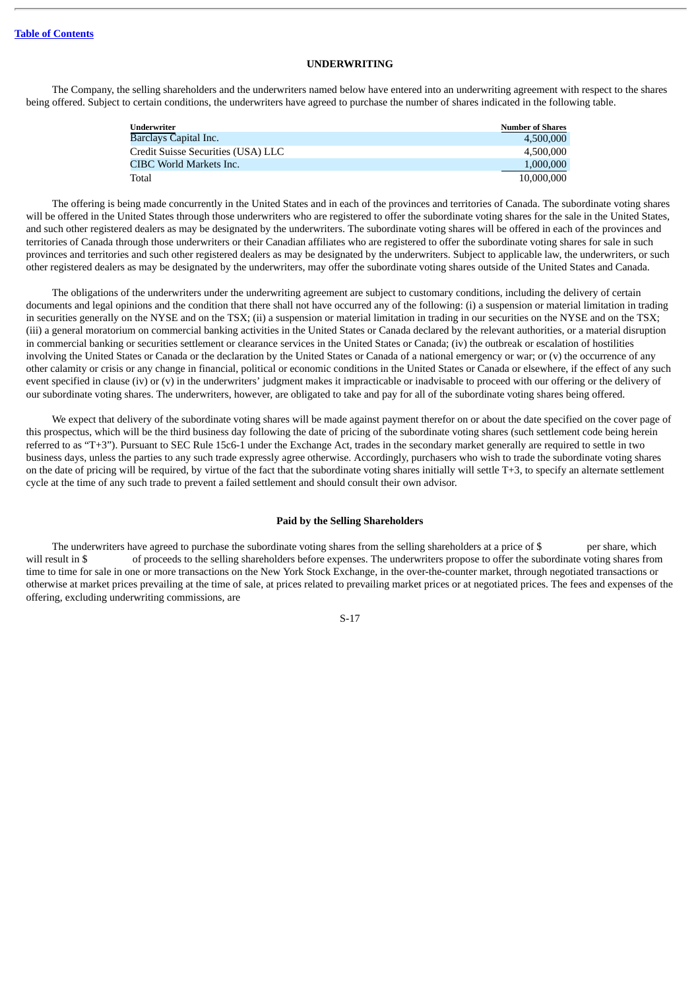## **UNDERWRITING**

<span id="page-19-0"></span>The Company, the selling shareholders and the underwriters named below have entered into an underwriting agreement with respect to the shares being offered. Subject to certain conditions, the underwriters have agreed to purchase the number of shares indicated in the following table.

| Underwriter                        | Number of Shares |
|------------------------------------|------------------|
| Barclays Capital Inc.              | 4.500,000        |
| Credit Suisse Securities (USA) LLC | 4.500.000        |
| CIBC World Markets Inc.            | 1.000.000        |
| Total                              | 10.000.000       |

The offering is being made concurrently in the United States and in each of the provinces and territories of Canada. The subordinate voting shares will be offered in the United States through those underwriters who are registered to offer the subordinate voting shares for the sale in the United States, and such other registered dealers as may be designated by the underwriters. The subordinate voting shares will be offered in each of the provinces and territories of Canada through those underwriters or their Canadian affiliates who are registered to offer the subordinate voting shares for sale in such provinces and territories and such other registered dealers as may be designated by the underwriters. Subject to applicable law, the underwriters, or such other registered dealers as may be designated by the underwriters, may offer the subordinate voting shares outside of the United States and Canada.

The obligations of the underwriters under the underwriting agreement are subject to customary conditions, including the delivery of certain documents and legal opinions and the condition that there shall not have occurred any of the following: (i) a suspension or material limitation in trading in securities generally on the NYSE and on the TSX; (ii) a suspension or material limitation in trading in our securities on the NYSE and on the TSX; (iii) a general moratorium on commercial banking activities in the United States or Canada declared by the relevant authorities, or a material disruption in commercial banking or securities settlement or clearance services in the United States or Canada; (iv) the outbreak or escalation of hostilities involving the United States or Canada or the declaration by the United States or Canada of a national emergency or war; or (v) the occurrence of any other calamity or crisis or any change in financial, political or economic conditions in the United States or Canada or elsewhere, if the effect of any such event specified in clause (iv) or (v) in the underwriters' judgment makes it impracticable or inadvisable to proceed with our offering or the delivery of our subordinate voting shares. The underwriters, however, are obligated to take and pay for all of the subordinate voting shares being offered.

We expect that delivery of the subordinate voting shares will be made against payment therefor on or about the date specified on the cover page of this prospectus, which will be the third business day following the date of pricing of the subordinate voting shares (such settlement code being herein referred to as "T+3"). Pursuant to SEC Rule 15c6-1 under the Exchange Act, trades in the secondary market generally are required to settle in two business days, unless the parties to any such trade expressly agree otherwise. Accordingly, purchasers who wish to trade the subordinate voting shares on the date of pricing will be required, by virtue of the fact that the subordinate voting shares initially will settle T+3, to specify an alternate settlement cycle at the time of any such trade to prevent a failed settlement and should consult their own advisor.

## **Paid by the Selling Shareholders**

The underwriters have agreed to purchase the subordinate voting shares from the selling shareholders at a price of \$ per share, which will result in \$ of proceeds to the selling shareholders before expenses. The underwriters propose to offer the subordinate voting shares from time to time for sale in one or more transactions on the New York Stock Exchange, in the over-the-counter market, through negotiated transactions or otherwise at market prices prevailing at the time of sale, at prices related to prevailing market prices or at negotiated prices. The fees and expenses of the offering, excluding underwriting commissions, are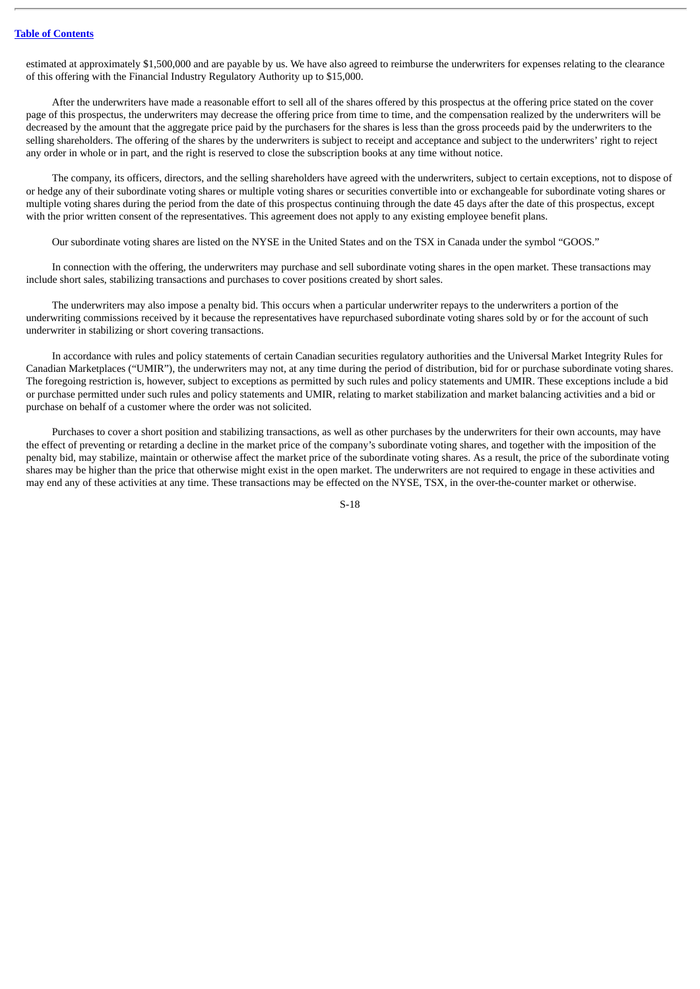estimated at approximately \$1,500,000 and are payable by us. We have also agreed to reimburse the underwriters for expenses relating to the clearance of this offering with the Financial Industry Regulatory Authority up to \$15,000.

After the underwriters have made a reasonable effort to sell all of the shares offered by this prospectus at the offering price stated on the cover page of this prospectus, the underwriters may decrease the offering price from time to time, and the compensation realized by the underwriters will be decreased by the amount that the aggregate price paid by the purchasers for the shares is less than the gross proceeds paid by the underwriters to the selling shareholders. The offering of the shares by the underwriters is subject to receipt and acceptance and subject to the underwriters' right to reject any order in whole or in part, and the right is reserved to close the subscription books at any time without notice.

The company, its officers, directors, and the selling shareholders have agreed with the underwriters, subject to certain exceptions, not to dispose of or hedge any of their subordinate voting shares or multiple voting shares or securities convertible into or exchangeable for subordinate voting shares or multiple voting shares during the period from the date of this prospectus continuing through the date 45 days after the date of this prospectus, except with the prior written consent of the representatives. This agreement does not apply to any existing employee benefit plans.

Our subordinate voting shares are listed on the NYSE in the United States and on the TSX in Canada under the symbol "GOOS."

In connection with the offering, the underwriters may purchase and sell subordinate voting shares in the open market. These transactions may include short sales, stabilizing transactions and purchases to cover positions created by short sales.

The underwriters may also impose a penalty bid. This occurs when a particular underwriter repays to the underwriters a portion of the underwriting commissions received by it because the representatives have repurchased subordinate voting shares sold by or for the account of such underwriter in stabilizing or short covering transactions.

In accordance with rules and policy statements of certain Canadian securities regulatory authorities and the Universal Market Integrity Rules for Canadian Marketplaces ("UMIR"), the underwriters may not, at any time during the period of distribution, bid for or purchase subordinate voting shares. The foregoing restriction is, however, subject to exceptions as permitted by such rules and policy statements and UMIR. These exceptions include a bid or purchase permitted under such rules and policy statements and UMIR, relating to market stabilization and market balancing activities and a bid or purchase on behalf of a customer where the order was not solicited.

Purchases to cover a short position and stabilizing transactions, as well as other purchases by the underwriters for their own accounts, may have the effect of preventing or retarding a decline in the market price of the company's subordinate voting shares, and together with the imposition of the penalty bid, may stabilize, maintain or otherwise affect the market price of the subordinate voting shares. As a result, the price of the subordinate voting shares may be higher than the price that otherwise might exist in the open market. The underwriters are not required to engage in these activities and may end any of these activities at any time. These transactions may be effected on the NYSE, TSX, in the over-the-counter market or otherwise.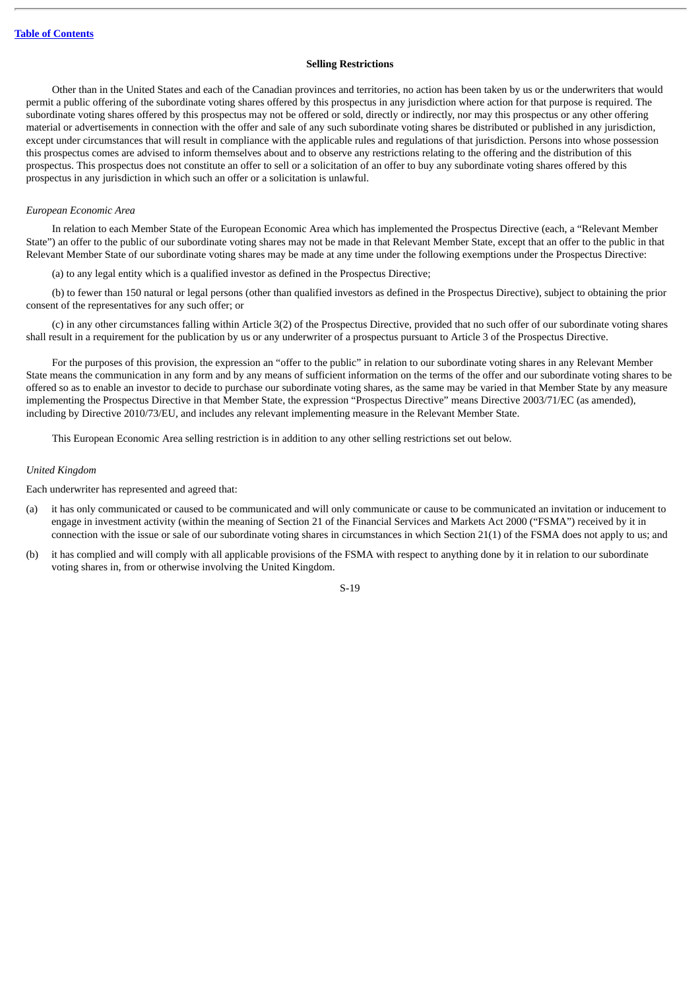#### **Selling Restrictions**

Other than in the United States and each of the Canadian provinces and territories, no action has been taken by us or the underwriters that would permit a public offering of the subordinate voting shares offered by this prospectus in any jurisdiction where action for that purpose is required. The subordinate voting shares offered by this prospectus may not be offered or sold, directly or indirectly, nor may this prospectus or any other offering material or advertisements in connection with the offer and sale of any such subordinate voting shares be distributed or published in any jurisdiction, except under circumstances that will result in compliance with the applicable rules and regulations of that jurisdiction. Persons into whose possession this prospectus comes are advised to inform themselves about and to observe any restrictions relating to the offering and the distribution of this prospectus. This prospectus does not constitute an offer to sell or a solicitation of an offer to buy any subordinate voting shares offered by this prospectus in any jurisdiction in which such an offer or a solicitation is unlawful.

#### *European Economic Area*

In relation to each Member State of the European Economic Area which has implemented the Prospectus Directive (each, a "Relevant Member State") an offer to the public of our subordinate voting shares may not be made in that Relevant Member State, except that an offer to the public in that Relevant Member State of our subordinate voting shares may be made at any time under the following exemptions under the Prospectus Directive:

(a) to any legal entity which is a qualified investor as defined in the Prospectus Directive;

(b) to fewer than 150 natural or legal persons (other than qualified investors as defined in the Prospectus Directive), subject to obtaining the prior consent of the representatives for any such offer; or

(c) in any other circumstances falling within Article 3(2) of the Prospectus Directive, provided that no such offer of our subordinate voting shares shall result in a requirement for the publication by us or any underwriter of a prospectus pursuant to Article 3 of the Prospectus Directive.

For the purposes of this provision, the expression an "offer to the public" in relation to our subordinate voting shares in any Relevant Member State means the communication in any form and by any means of sufficient information on the terms of the offer and our subordinate voting shares to be offered so as to enable an investor to decide to purchase our subordinate voting shares, as the same may be varied in that Member State by any measure implementing the Prospectus Directive in that Member State, the expression "Prospectus Directive" means Directive 2003/71/EC (as amended), including by Directive 2010/73/EU, and includes any relevant implementing measure in the Relevant Member State.

This European Economic Area selling restriction is in addition to any other selling restrictions set out below.

#### *United Kingdom*

Each underwriter has represented and agreed that:

- (a) it has only communicated or caused to be communicated and will only communicate or cause to be communicated an invitation or inducement to engage in investment activity (within the meaning of Section 21 of the Financial Services and Markets Act 2000 ("FSMA") received by it in connection with the issue or sale of our subordinate voting shares in circumstances in which Section 21(1) of the FSMA does not apply to us; and
- (b) it has complied and will comply with all applicable provisions of the FSMA with respect to anything done by it in relation to our subordinate voting shares in, from or otherwise involving the United Kingdom.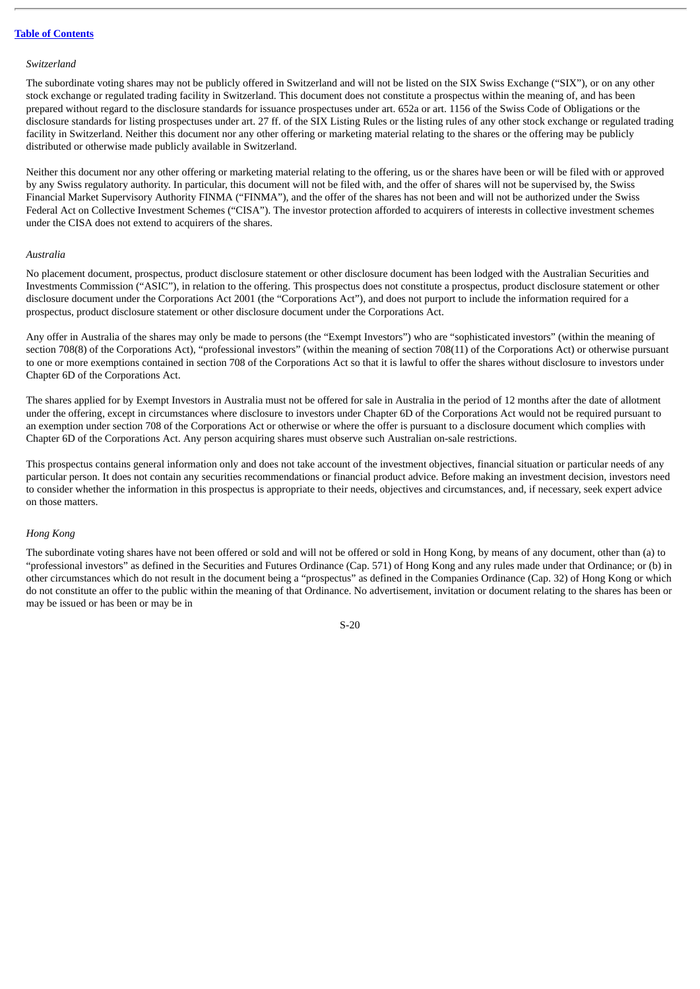#### *Switzerland*

The subordinate voting shares may not be publicly offered in Switzerland and will not be listed on the SIX Swiss Exchange ("SIX"), or on any other stock exchange or regulated trading facility in Switzerland. This document does not constitute a prospectus within the meaning of, and has been prepared without regard to the disclosure standards for issuance prospectuses under art. 652a or art. 1156 of the Swiss Code of Obligations or the disclosure standards for listing prospectuses under art. 27 ff. of the SIX Listing Rules or the listing rules of any other stock exchange or regulated trading facility in Switzerland. Neither this document nor any other offering or marketing material relating to the shares or the offering may be publicly distributed or otherwise made publicly available in Switzerland.

Neither this document nor any other offering or marketing material relating to the offering, us or the shares have been or will be filed with or approved by any Swiss regulatory authority. In particular, this document will not be filed with, and the offer of shares will not be supervised by, the Swiss Financial Market Supervisory Authority FINMA ("FINMA"), and the offer of the shares has not been and will not be authorized under the Swiss Federal Act on Collective Investment Schemes ("CISA"). The investor protection afforded to acquirers of interests in collective investment schemes under the CISA does not extend to acquirers of the shares.

### *Australia*

No placement document, prospectus, product disclosure statement or other disclosure document has been lodged with the Australian Securities and Investments Commission ("ASIC"), in relation to the offering. This prospectus does not constitute a prospectus, product disclosure statement or other disclosure document under the Corporations Act 2001 (the "Corporations Act"), and does not purport to include the information required for a prospectus, product disclosure statement or other disclosure document under the Corporations Act.

Any offer in Australia of the shares may only be made to persons (the "Exempt Investors") who are "sophisticated investors" (within the meaning of section 708(8) of the Corporations Act), "professional investors" (within the meaning of section 708(11) of the Corporations Act) or otherwise pursuant to one or more exemptions contained in section 708 of the Corporations Act so that it is lawful to offer the shares without disclosure to investors under Chapter 6D of the Corporations Act.

The shares applied for by Exempt Investors in Australia must not be offered for sale in Australia in the period of 12 months after the date of allotment under the offering, except in circumstances where disclosure to investors under Chapter 6D of the Corporations Act would not be required pursuant to an exemption under section 708 of the Corporations Act or otherwise or where the offer is pursuant to a disclosure document which complies with Chapter 6D of the Corporations Act. Any person acquiring shares must observe such Australian on-sale restrictions.

This prospectus contains general information only and does not take account of the investment objectives, financial situation or particular needs of any particular person. It does not contain any securities recommendations or financial product advice. Before making an investment decision, investors need to consider whether the information in this prospectus is appropriate to their needs, objectives and circumstances, and, if necessary, seek expert advice on those matters.

## *Hong Kong*

The subordinate voting shares have not been offered or sold and will not be offered or sold in Hong Kong, by means of any document, other than (a) to "professional investors" as defined in the Securities and Futures Ordinance (Cap. 571) of Hong Kong and any rules made under that Ordinance; or (b) in other circumstances which do not result in the document being a "prospectus" as defined in the Companies Ordinance (Cap. 32) of Hong Kong or which do not constitute an offer to the public within the meaning of that Ordinance. No advertisement, invitation or document relating to the shares has been or may be issued or has been or may be in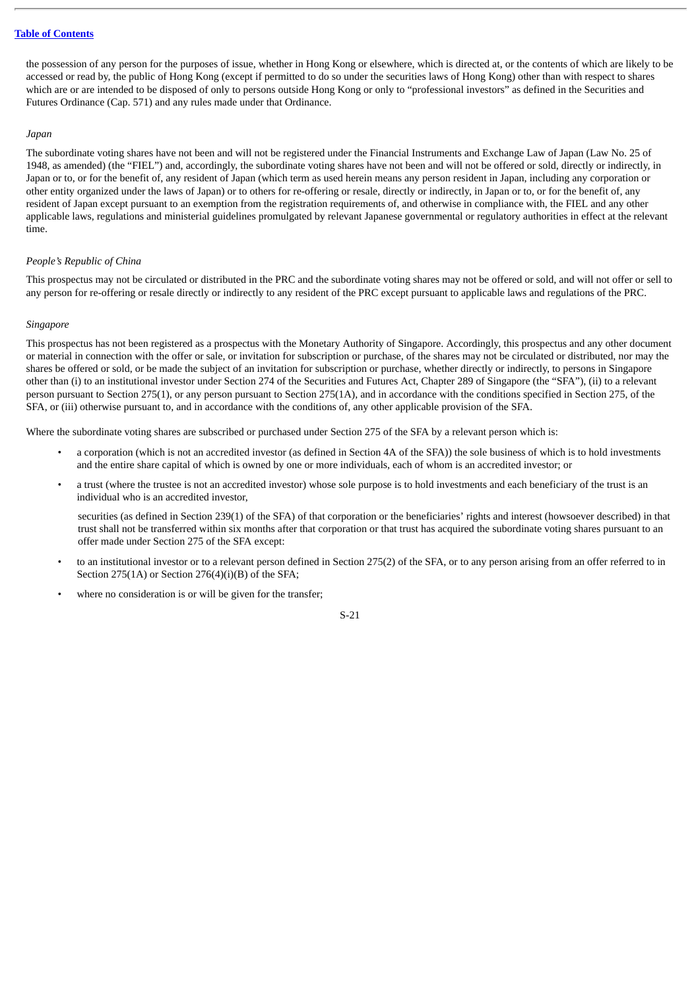the possession of any person for the purposes of issue, whether in Hong Kong or elsewhere, which is directed at, or the contents of which are likely to be accessed or read by, the public of Hong Kong (except if permitted to do so under the securities laws of Hong Kong) other than with respect to shares which are or are intended to be disposed of only to persons outside Hong Kong or only to "professional investors" as defined in the Securities and Futures Ordinance (Cap. 571) and any rules made under that Ordinance.

## *Japan*

The subordinate voting shares have not been and will not be registered under the Financial Instruments and Exchange Law of Japan (Law No. 25 of 1948, as amended) (the "FIEL") and, accordingly, the subordinate voting shares have not been and will not be offered or sold, directly or indirectly, in Japan or to, or for the benefit of, any resident of Japan (which term as used herein means any person resident in Japan, including any corporation or other entity organized under the laws of Japan) or to others for re-offering or resale, directly or indirectly, in Japan or to, or for the benefit of, any resident of Japan except pursuant to an exemption from the registration requirements of, and otherwise in compliance with, the FIEL and any other applicable laws, regulations and ministerial guidelines promulgated by relevant Japanese governmental or regulatory authorities in effect at the relevant time.

## *People's Republic of China*

This prospectus may not be circulated or distributed in the PRC and the subordinate voting shares may not be offered or sold, and will not offer or sell to any person for re-offering or resale directly or indirectly to any resident of the PRC except pursuant to applicable laws and regulations of the PRC.

## *Singapore*

This prospectus has not been registered as a prospectus with the Monetary Authority of Singapore. Accordingly, this prospectus and any other document or material in connection with the offer or sale, or invitation for subscription or purchase, of the shares may not be circulated or distributed, nor may the shares be offered or sold, or be made the subject of an invitation for subscription or purchase, whether directly or indirectly, to persons in Singapore other than (i) to an institutional investor under Section 274 of the Securities and Futures Act, Chapter 289 of Singapore (the "SFA"), (ii) to a relevant person pursuant to Section 275(1), or any person pursuant to Section 275(1A), and in accordance with the conditions specified in Section 275, of the SFA, or (iii) otherwise pursuant to, and in accordance with the conditions of, any other applicable provision of the SFA.

Where the subordinate voting shares are subscribed or purchased under Section 275 of the SFA by a relevant person which is:

- a corporation (which is not an accredited investor (as defined in Section 4A of the SFA)) the sole business of which is to hold investments and the entire share capital of which is owned by one or more individuals, each of whom is an accredited investor; or
- a trust (where the trustee is not an accredited investor) whose sole purpose is to hold investments and each beneficiary of the trust is an individual who is an accredited investor,

securities (as defined in Section 239(1) of the SFA) of that corporation or the beneficiaries' rights and interest (howsoever described) in that trust shall not be transferred within six months after that corporation or that trust has acquired the subordinate voting shares pursuant to an offer made under Section 275 of the SFA except:

- to an institutional investor or to a relevant person defined in Section 275(2) of the SFA, or to any person arising from an offer referred to in Section 275(1A) or Section 276(4)(i)(B) of the SFA;
- where no consideration is or will be given for the transfer;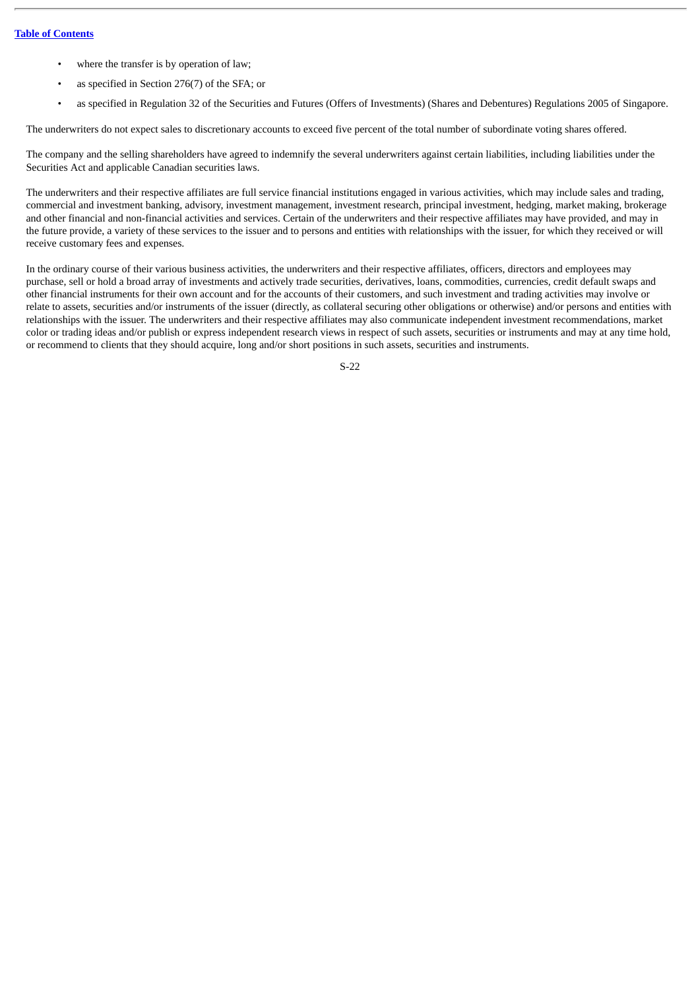- where the transfer is by operation of law;
- as specified in Section 276(7) of the SFA; or
- as specified in Regulation 32 of the Securities and Futures (Offers of Investments) (Shares and Debentures) Regulations 2005 of Singapore.

The underwriters do not expect sales to discretionary accounts to exceed five percent of the total number of subordinate voting shares offered.

The company and the selling shareholders have agreed to indemnify the several underwriters against certain liabilities, including liabilities under the Securities Act and applicable Canadian securities laws.

The underwriters and their respective affiliates are full service financial institutions engaged in various activities, which may include sales and trading, commercial and investment banking, advisory, investment management, investment research, principal investment, hedging, market making, brokerage and other financial and non-financial activities and services. Certain of the underwriters and their respective affiliates may have provided, and may in the future provide, a variety of these services to the issuer and to persons and entities with relationships with the issuer, for which they received or will receive customary fees and expenses.

In the ordinary course of their various business activities, the underwriters and their respective affiliates, officers, directors and employees may purchase, sell or hold a broad array of investments and actively trade securities, derivatives, loans, commodities, currencies, credit default swaps and other financial instruments for their own account and for the accounts of their customers, and such investment and trading activities may involve or relate to assets, securities and/or instruments of the issuer (directly, as collateral securing other obligations or otherwise) and/or persons and entities with relationships with the issuer. The underwriters and their respective affiliates may also communicate independent investment recommendations, market color or trading ideas and/or publish or express independent research views in respect of such assets, securities or instruments and may at any time hold, or recommend to clients that they should acquire, long and/or short positions in such assets, securities and instruments.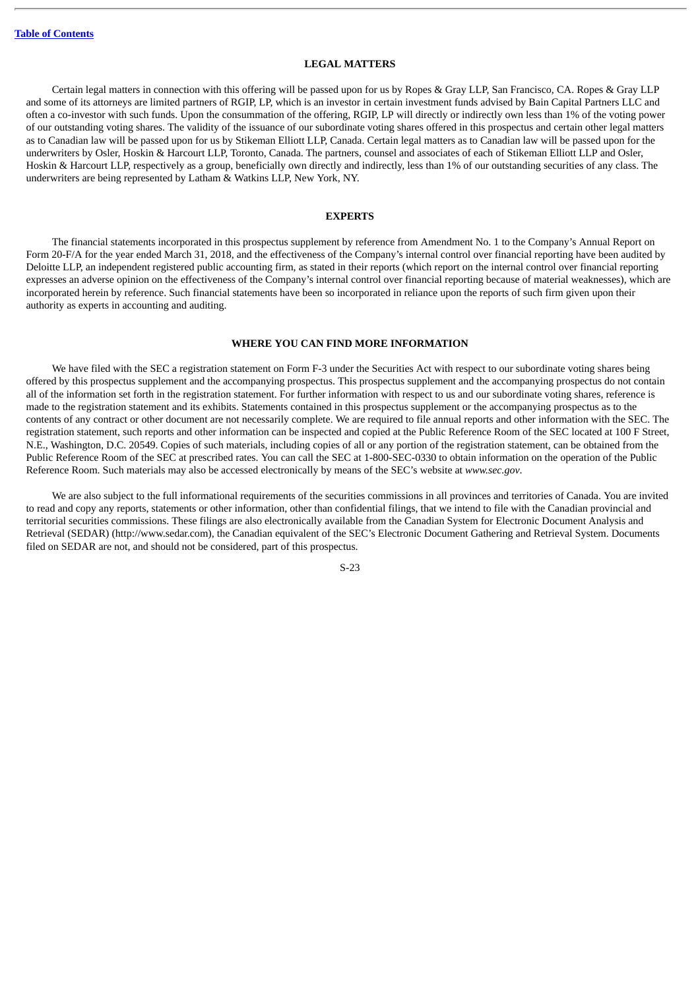## **LEGAL MATTERS**

<span id="page-25-0"></span>Certain legal matters in connection with this offering will be passed upon for us by Ropes & Gray LLP, San Francisco, CA. Ropes & Gray LLP and some of its attorneys are limited partners of RGIP, LP, which is an investor in certain investment funds advised by Bain Capital Partners LLC and often a co-investor with such funds. Upon the consummation of the offering, RGIP, LP will directly or indirectly own less than 1% of the voting power of our outstanding voting shares. The validity of the issuance of our subordinate voting shares offered in this prospectus and certain other legal matters as to Canadian law will be passed upon for us by Stikeman Elliott LLP, Canada. Certain legal matters as to Canadian law will be passed upon for the underwriters by Osler, Hoskin & Harcourt LLP, Toronto, Canada. The partners, counsel and associates of each of Stikeman Elliott LLP and Osler, Hoskin & Harcourt LLP, respectively as a group, beneficially own directly and indirectly, less than 1% of our outstanding securities of any class. The underwriters are being represented by Latham & Watkins LLP, New York, NY.

#### **EXPERTS**

<span id="page-25-1"></span>The financial statements incorporated in this prospectus supplement by reference from Amendment No. 1 to the Company's Annual Report on Form 20-F/A for the year ended March 31, 2018, and the effectiveness of the Company's internal control over financial reporting have been audited by Deloitte LLP, an independent registered public accounting firm, as stated in their reports (which report on the internal control over financial reporting expresses an adverse opinion on the effectiveness of the Company's internal control over financial reporting because of material weaknesses), which are incorporated herein by reference. Such financial statements have been so incorporated in reliance upon the reports of such firm given upon their authority as experts in accounting and auditing.

## **WHERE YOU CAN FIND MORE INFORMATION**

<span id="page-25-2"></span>We have filed with the SEC a registration statement on Form F-3 under the Securities Act with respect to our subordinate voting shares being offered by this prospectus supplement and the accompanying prospectus. This prospectus supplement and the accompanying prospectus do not contain all of the information set forth in the registration statement. For further information with respect to us and our subordinate voting shares, reference is made to the registration statement and its exhibits. Statements contained in this prospectus supplement or the accompanying prospectus as to the contents of any contract or other document are not necessarily complete. We are required to file annual reports and other information with the SEC. The registration statement, such reports and other information can be inspected and copied at the Public Reference Room of the SEC located at 100 F Street, N.E., Washington, D.C. 20549. Copies of such materials, including copies of all or any portion of the registration statement, can be obtained from the Public Reference Room of the SEC at prescribed rates. You can call the SEC at 1-800-SEC-0330 to obtain information on the operation of the Public Reference Room. Such materials may also be accessed electronically by means of the SEC's website at *www.sec.gov*.

We are also subject to the full informational requirements of the securities commissions in all provinces and territories of Canada. You are invited to read and copy any reports, statements or other information, other than confidential filings, that we intend to file with the Canadian provincial and territorial securities commissions. These filings are also electronically available from the Canadian System for Electronic Document Analysis and Retrieval (SEDAR) (http://www.sedar.com), the Canadian equivalent of the SEC's Electronic Document Gathering and Retrieval System. Documents filed on SEDAR are not, and should not be considered, part of this prospectus.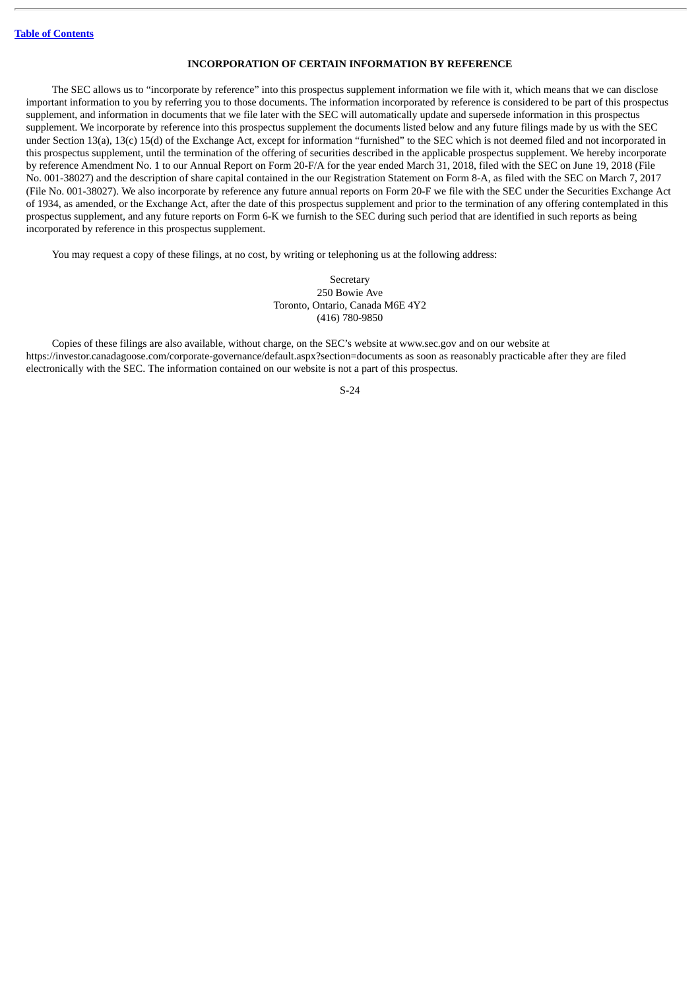## **INCORPORATION OF CERTAIN INFORMATION BY REFERENCE**

<span id="page-26-0"></span>The SEC allows us to "incorporate by reference" into this prospectus supplement information we file with it, which means that we can disclose important information to you by referring you to those documents. The information incorporated by reference is considered to be part of this prospectus supplement, and information in documents that we file later with the SEC will automatically update and supersede information in this prospectus supplement. We incorporate by reference into this prospectus supplement the documents listed below and any future filings made by us with the SEC under Section 13(a), 13(c) 15(d) of the Exchange Act, except for information "furnished" to the SEC which is not deemed filed and not incorporated in this prospectus supplement, until the termination of the offering of securities described in the applicable prospectus supplement. We hereby incorporate by reference Amendment No. 1 to our Annual Report on Form 20-F/A for the year ended March 31, 2018, filed with the SEC on June 19, 2018 (File No. 001-38027) and the description of share capital contained in the our Registration Statement on Form 8-A, as filed with the SEC on March 7, 2017 (File No. 001-38027). We also incorporate by reference any future annual reports on Form 20-F we file with the SEC under the Securities Exchange Act of 1934, as amended, or the Exchange Act, after the date of this prospectus supplement and prior to the termination of any offering contemplated in this prospectus supplement, and any future reports on Form 6-K we furnish to the SEC during such period that are identified in such reports as being incorporated by reference in this prospectus supplement.

You may request a copy of these filings, at no cost, by writing or telephoning us at the following address:

Secretary 250 Bowie Ave Toronto, Ontario, Canada M6E 4Y2 (416) 780-9850

Copies of these filings are also available, without charge, on the SEC's website at www.sec.gov and on our website at https://investor.canadagoose.com/corporate-governance/default.aspx?section=documents as soon as reasonably practicable after they are filed electronically with the SEC. The information contained on our website is not a part of this prospectus.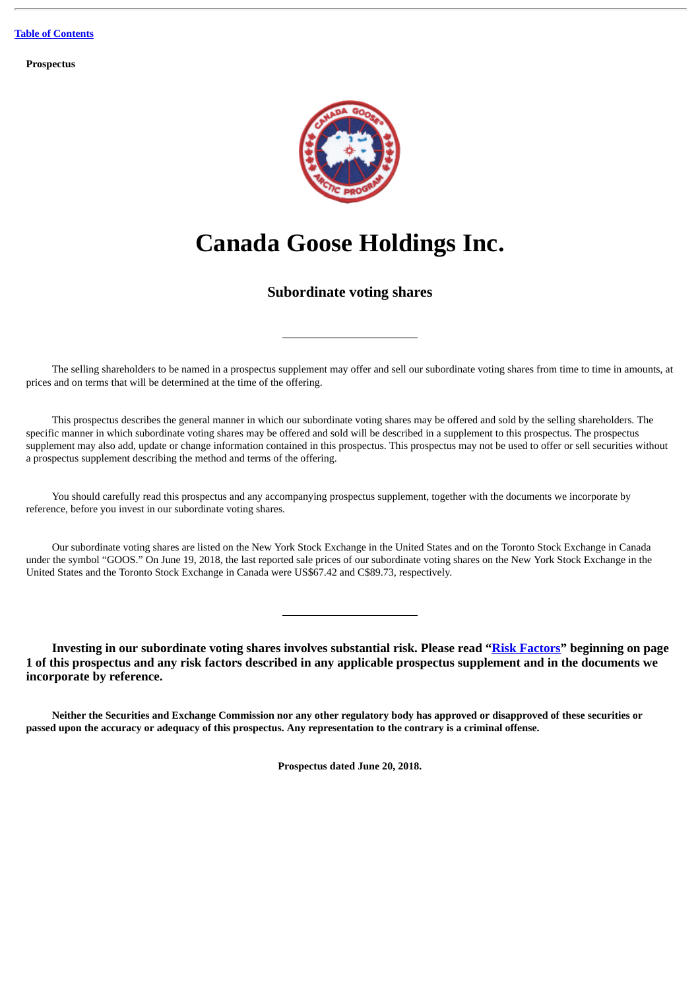**Prospectus**



## **Canada Goose Holdings Inc.**

## **Subordinate voting shares**

The selling shareholders to be named in a prospectus supplement may offer and sell our subordinate voting shares from time to time in amounts, at prices and on terms that will be determined at the time of the offering.

This prospectus describes the general manner in which our subordinate voting shares may be offered and sold by the selling shareholders. The specific manner in which subordinate voting shares may be offered and sold will be described in a supplement to this prospectus. The prospectus supplement may also add, update or change information contained in this prospectus. This prospectus may not be used to offer or sell securities without a prospectus supplement describing the method and terms of the offering.

You should carefully read this prospectus and any accompanying prospectus supplement, together with the documents we incorporate by reference, before you invest in our subordinate voting shares.

Our subordinate voting shares are listed on the New York Stock Exchange in the United States and on the Toronto Stock Exchange in Canada under the symbol "GOOS." On June 19, 2018, the last reported sale prices of our subordinate voting shares on the New York Stock Exchange in the United States and the Toronto Stock Exchange in Canada were US\$67.42 and C\$89.73, respectively.

**Investing in our subordinate voting shares involves substantial risk. Please read ["Risk Factors"](#page-30-0) beginning on page 1 of this prospectus and any risk factors described in any applicable prospectus supplement and in the documents we incorporate by reference.**

Neither the Securities and Exchange Commission nor any other regulatory body has approved or disapproved of these securities or passed upon the accuracy or adequacy of this prospectus. Any representation to the contrary is a criminal offense.

**Prospectus dated June 20, 2018.**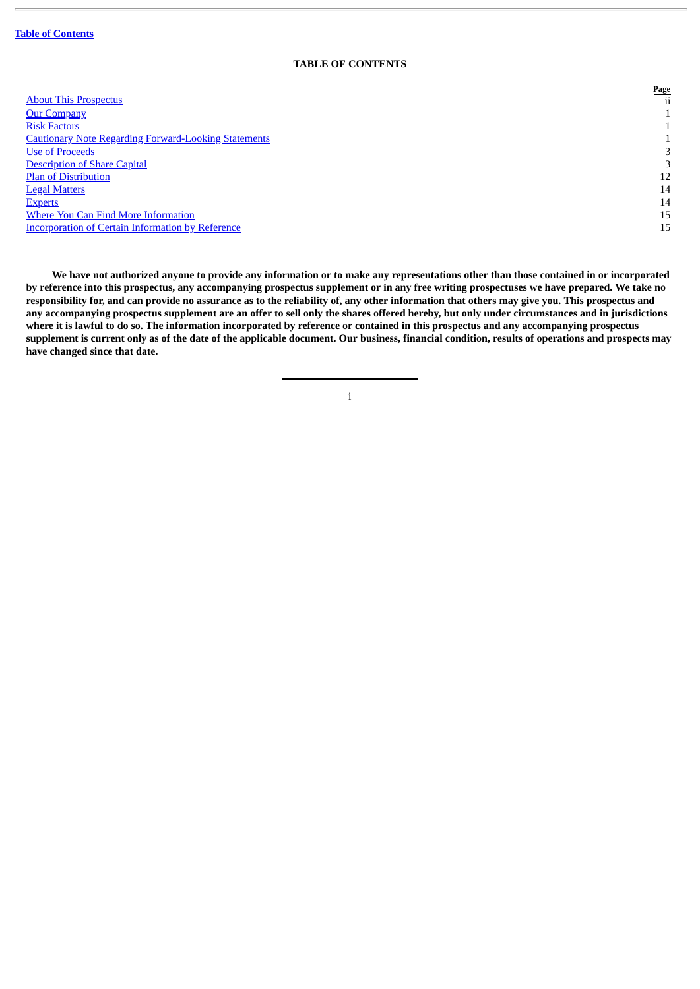## **TABLE OF CONTENTS**

|                                                             | <b>Page</b> |
|-------------------------------------------------------------|-------------|
| <b>About This Prospectus</b>                                | Ĥ           |
| <b>Our Company</b>                                          |             |
| <b>Risk Factors</b>                                         |             |
| <b>Cautionary Note Regarding Forward-Looking Statements</b> |             |
| <b>Use of Proceeds</b>                                      | 3           |
| <b>Description of Share Capital</b>                         | 3           |
| <b>Plan of Distribution</b>                                 | 12          |
| <b>Legal Matters</b>                                        | 14          |
| <b>Experts</b>                                              | 14          |
| Where You Can Find More Information                         | 15          |
| <b>Incorporation of Certain Information by Reference</b>    | 15          |
|                                                             |             |

We have not authorized anyone to provide any information or to make any representations other than those contained in or incorporated by reference into this prospectus, any accompanying prospectus supplement or in any free writing prospectuses we have prepared. We take no responsibility for, and can provide no assurance as to the reliability of, any other information that others may give you. This prospectus and any accompanying prospectus supplement are an offer to sell only the shares offered hereby, but only under circumstances and in jurisdictions where it is lawful to do so. The information incorporated by reference or contained in this prospectus and any accompanying prospectus supplement is current only as of the date of the applicable document. Our business, financial condition, results of operations and prospects may **have changed since that date.**

i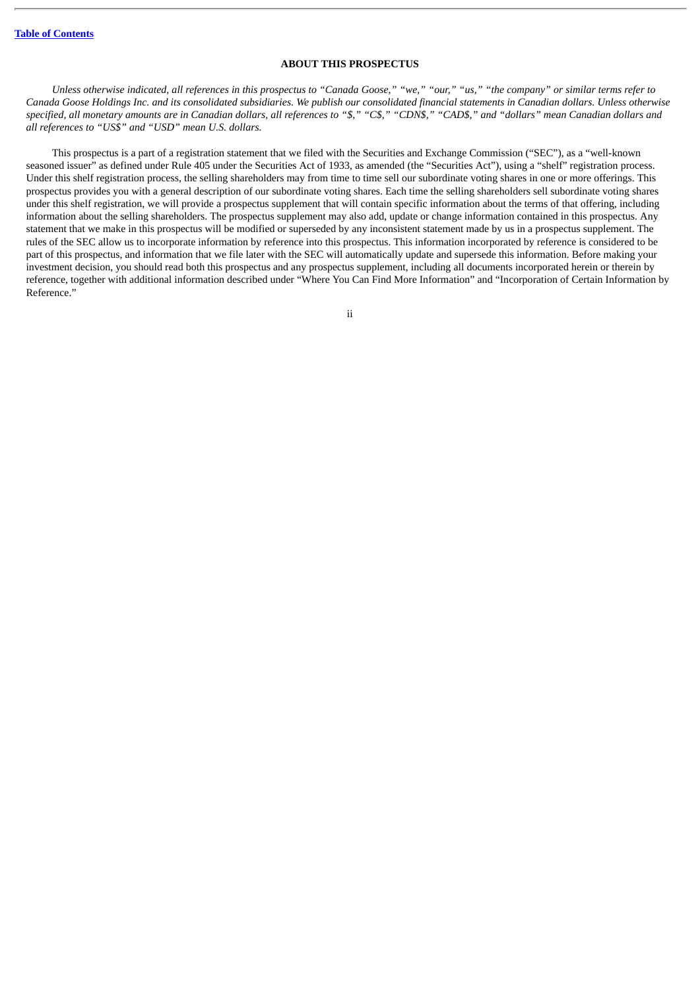## **ABOUT THIS PROSPECTUS**

<span id="page-29-0"></span>Unless otherwise indicated, all references in this prospectus to "Canada Goose," "we," "our," "us," "the company" or similar terms refer to Canada Goose Holdings Inc. and its consolidated subsidiaries. We publish our consolidated financial statements in Canadian dollars. Unless otherwise specified, all monetary amounts are in Canadian dollars, all references to "\$," "CS," "CDN\$," "CAD\$," and "dollars" mean Canadian dollars and *all references to "US\$" and "USD" mean U.S. dollars.*

This prospectus is a part of a registration statement that we filed with the Securities and Exchange Commission ("SEC"), as a "well-known seasoned issuer" as defined under Rule 405 under the Securities Act of 1933, as amended (the "Securities Act"), using a "shelf" registration process. Under this shelf registration process, the selling shareholders may from time to time sell our subordinate voting shares in one or more offerings. This prospectus provides you with a general description of our subordinate voting shares. Each time the selling shareholders sell subordinate voting shares under this shelf registration, we will provide a prospectus supplement that will contain specific information about the terms of that offering, including information about the selling shareholders. The prospectus supplement may also add, update or change information contained in this prospectus. Any statement that we make in this prospectus will be modified or superseded by any inconsistent statement made by us in a prospectus supplement. The rules of the SEC allow us to incorporate information by reference into this prospectus. This information incorporated by reference is considered to be part of this prospectus, and information that we file later with the SEC will automatically update and supersede this information. Before making your investment decision, you should read both this prospectus and any prospectus supplement, including all documents incorporated herein or therein by reference, together with additional information described under "Where You Can Find More Information" and "Incorporation of Certain Information by Reference."

ii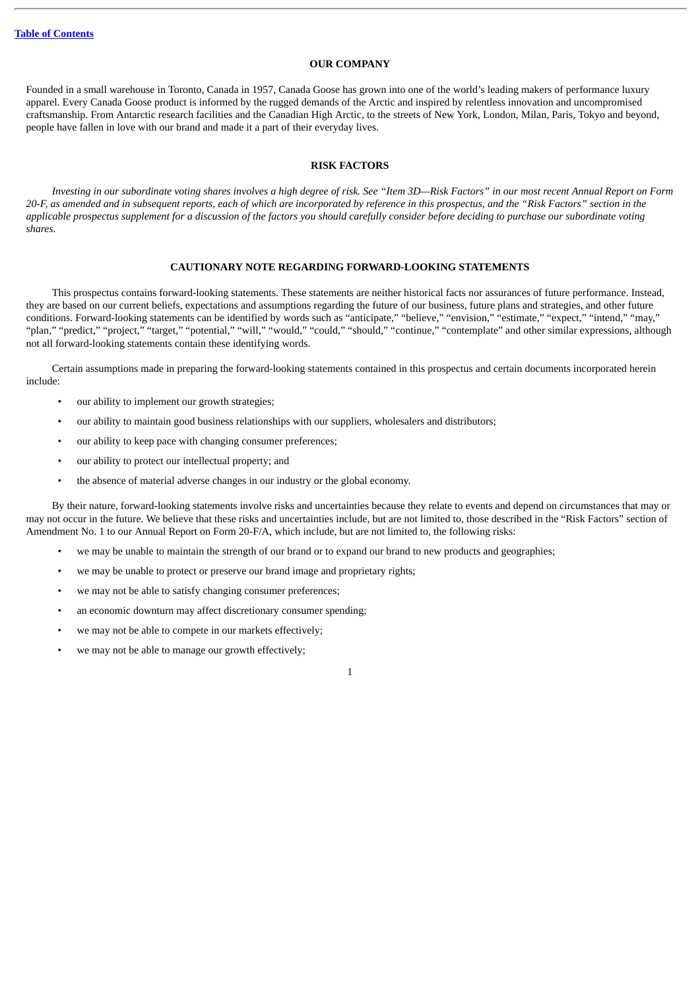## **OUR COMPANY**

<span id="page-30-2"></span>Founded in a small warehouse in Toronto, Canada in 1957, Canada Goose has grown into one of the world's leading makers of performance luxury apparel. Every Canada Goose product is informed by the rugged demands of the Arctic and inspired by relentless innovation and uncompromised craftsmanship. From Antarctic research facilities and the Canadian High Arctic, to the streets of New York, London, Milan, Paris, Tokyo and beyond, people have fallen in love with our brand and made it a part of their everyday lives.

#### **RISK FACTORS**

<span id="page-30-0"></span>Investing in our subordinate voting shares involves a high dearee of risk. See "Item 3D—Risk Factors" in our most recent Annual Report on Form 20-F, as amended and in subsequent reports, each of which are incorporated by reference in this prospectus, and the "Risk Factors" section in the applicable prospectus supplement for a discussion of the factors you should carefully consider before deciding to purchase our subordinate voting *shares.*

## **CAUTIONARY NOTE REGARDING FORWARD-LOOKING STATEMENTS**

<span id="page-30-1"></span>This prospectus contains forward-looking statements. These statements are neither historical facts nor assurances of future performance. Instead, they are based on our current beliefs, expectations and assumptions regarding the future of our business, future plans and strategies, and other future conditions. Forward-looking statements can be identified by words such as "anticipate," "believe," "envision," "estimate," "expect," "intend," "may," "plan," "predict," "project," "target," "potential," "will," "would," "could," "should," "continue," "contemplate" and other similar expressions, although not all forward-looking statements contain these identifying words.

Certain assumptions made in preparing the forward-looking statements contained in this prospectus and certain documents incorporated herein include:

- our ability to implement our growth strategies;
- our ability to maintain good business relationships with our suppliers, wholesalers and distributors;
- our ability to keep pace with changing consumer preferences;
- our ability to protect our intellectual property; and
- the absence of material adverse changes in our industry or the global economy.

By their nature, forward-looking statements involve risks and uncertainties because they relate to events and depend on circumstances that may or may not occur in the future. We believe that these risks and uncertainties include, but are not limited to, those described in the "Risk Factors" section of Amendment No. 1 to our Annual Report on Form 20-F/A, which include, but are not limited to, the following risks:

- we may be unable to maintain the strength of our brand or to expand our brand to new products and geographies;
- we may be unable to protect or preserve our brand image and proprietary rights;
- we may not be able to satisfy changing consumer preferences;
- an economic downturn may affect discretionary consumer spending;
- we may not be able to compete in our markets effectively;
- we may not be able to manage our growth effectively;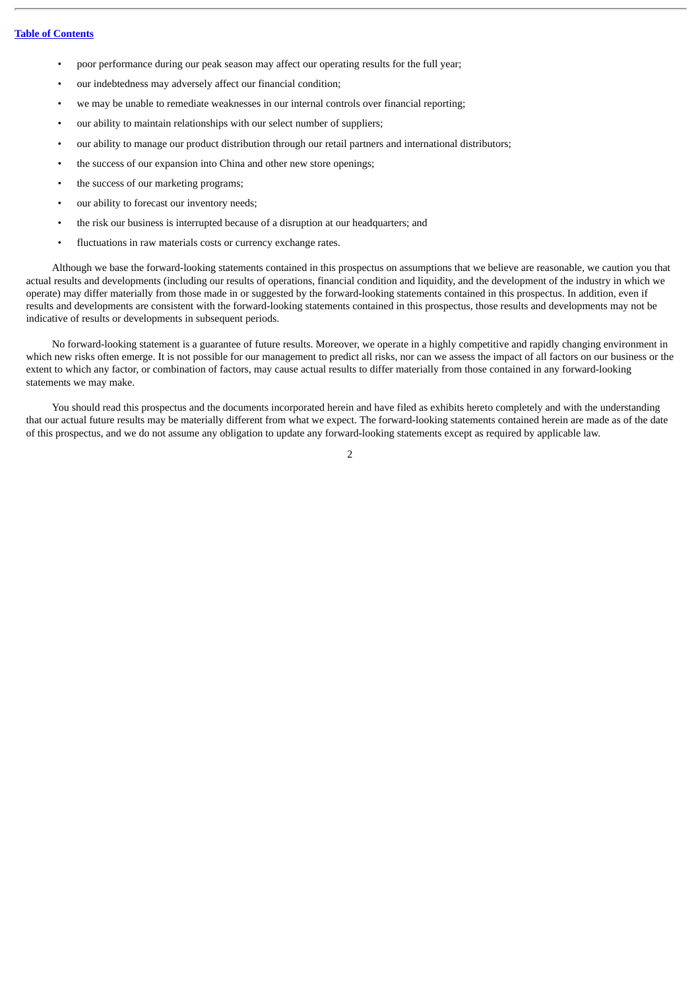- poor performance during our peak season may affect our operating results for the full year;
- our indebtedness may adversely affect our financial condition;
- we may be unable to remediate weaknesses in our internal controls over financial reporting;
- our ability to maintain relationships with our select number of suppliers;
- our ability to manage our product distribution through our retail partners and international distributors;
- the success of our expansion into China and other new store openings;
- the success of our marketing programs;
- our ability to forecast our inventory needs;
- the risk our business is interrupted because of a disruption at our headquarters; and
- fluctuations in raw materials costs or currency exchange rates.

Although we base the forward-looking statements contained in this prospectus on assumptions that we believe are reasonable, we caution you that actual results and developments (including our results of operations, financial condition and liquidity, and the development of the industry in which we operate) may differ materially from those made in or suggested by the forward-looking statements contained in this prospectus. In addition, even if results and developments are consistent with the forward-looking statements contained in this prospectus, those results and developments may not be indicative of results or developments in subsequent periods.

No forward-looking statement is a guarantee of future results. Moreover, we operate in a highly competitive and rapidly changing environment in which new risks often emerge. It is not possible for our management to predict all risks, nor can we assess the impact of all factors on our business or the extent to which any factor, or combination of factors, may cause actual results to differ materially from those contained in any forward-looking statements we may make.

You should read this prospectus and the documents incorporated herein and have filed as exhibits hereto completely and with the understanding that our actual future results may be materially different from what we expect. The forward-looking statements contained herein are made as of the date of this prospectus, and we do not assume any obligation to update any forward-looking statements except as required by applicable law.

 $\overline{2}$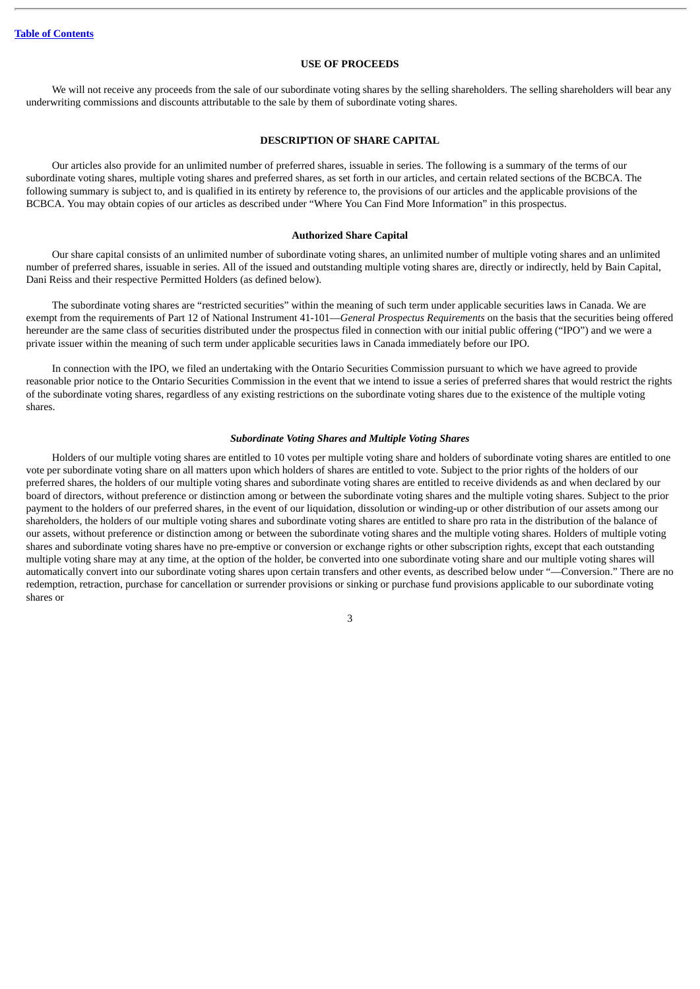## **USE OF PROCEEDS**

<span id="page-32-0"></span>We will not receive any proceeds from the sale of our subordinate voting shares by the selling shareholders. The selling shareholders will bear any underwriting commissions and discounts attributable to the sale by them of subordinate voting shares.

## **DESCRIPTION OF SHARE CAPITAL**

<span id="page-32-1"></span>Our articles also provide for an unlimited number of preferred shares, issuable in series. The following is a summary of the terms of our subordinate voting shares, multiple voting shares and preferred shares, as set forth in our articles, and certain related sections of the BCBCA. The following summary is subject to, and is qualified in its entirety by reference to, the provisions of our articles and the applicable provisions of the BCBCA. You may obtain copies of our articles as described under "Where You Can Find More Information" in this prospectus.

#### **Authorized Share Capital**

Our share capital consists of an unlimited number of subordinate voting shares, an unlimited number of multiple voting shares and an unlimited number of preferred shares, issuable in series. All of the issued and outstanding multiple voting shares are, directly or indirectly, held by Bain Capital, Dani Reiss and their respective Permitted Holders (as defined below).

The subordinate voting shares are "restricted securities" within the meaning of such term under applicable securities laws in Canada. We are exempt from the requirements of Part 12 of National Instrument 41-101—*General Prospectus Requirements* on the basis that the securities being offered hereunder are the same class of securities distributed under the prospectus filed in connection with our initial public offering ("IPO") and we were a private issuer within the meaning of such term under applicable securities laws in Canada immediately before our IPO.

In connection with the IPO, we filed an undertaking with the Ontario Securities Commission pursuant to which we have agreed to provide reasonable prior notice to the Ontario Securities Commission in the event that we intend to issue a series of preferred shares that would restrict the rights of the subordinate voting shares, regardless of any existing restrictions on the subordinate voting shares due to the existence of the multiple voting shares.

#### *Subordinate Voting Shares and Multiple Voting Shares*

Holders of our multiple voting shares are entitled to 10 votes per multiple voting share and holders of subordinate voting shares are entitled to one vote per subordinate voting share on all matters upon which holders of shares are entitled to vote. Subject to the prior rights of the holders of our preferred shares, the holders of our multiple voting shares and subordinate voting shares are entitled to receive dividends as and when declared by our board of directors, without preference or distinction among or between the subordinate voting shares and the multiple voting shares. Subject to the prior payment to the holders of our preferred shares, in the event of our liquidation, dissolution or winding-up or other distribution of our assets among our shareholders, the holders of our multiple voting shares and subordinate voting shares are entitled to share pro rata in the distribution of the balance of our assets, without preference or distinction among or between the subordinate voting shares and the multiple voting shares. Holders of multiple voting shares and subordinate voting shares have no pre-emptive or conversion or exchange rights or other subscription rights, except that each outstanding multiple voting share may at any time, at the option of the holder, be converted into one subordinate voting share and our multiple voting shares will automatically convert into our subordinate voting shares upon certain transfers and other events, as described below under "—Conversion." There are no redemption, retraction, purchase for cancellation or surrender provisions or sinking or purchase fund provisions applicable to our subordinate voting shares or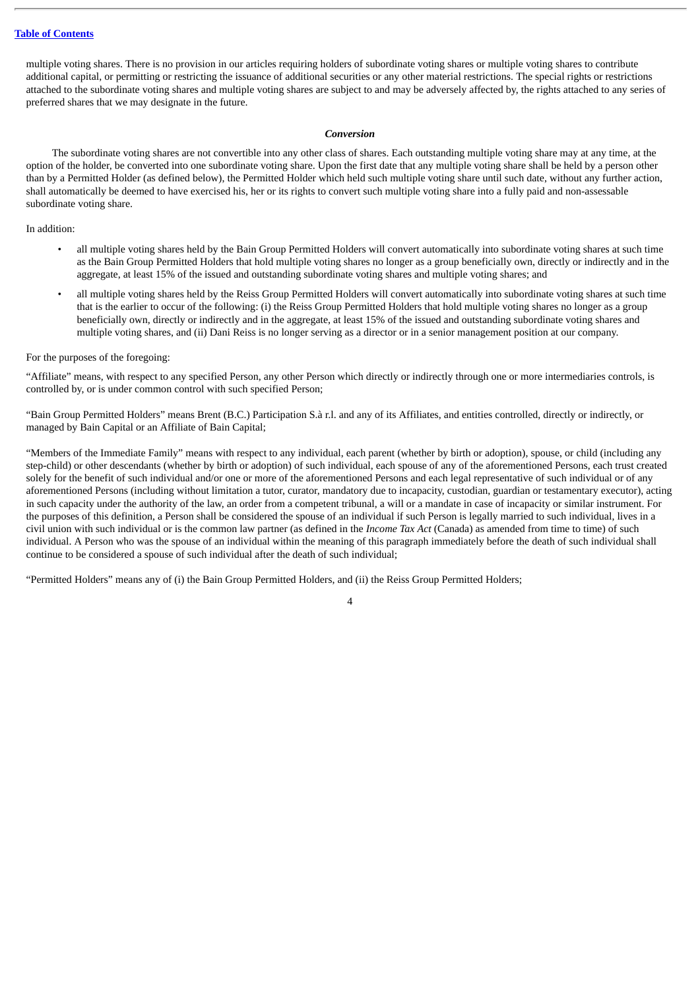multiple voting shares. There is no provision in our articles requiring holders of subordinate voting shares or multiple voting shares to contribute additional capital, or permitting or restricting the issuance of additional securities or any other material restrictions. The special rights or restrictions attached to the subordinate voting shares and multiple voting shares are subject to and may be adversely affected by, the rights attached to any series of preferred shares that we may designate in the future.

## *Conversion*

The subordinate voting shares are not convertible into any other class of shares. Each outstanding multiple voting share may at any time, at the option of the holder, be converted into one subordinate voting share. Upon the first date that any multiple voting share shall be held by a person other than by a Permitted Holder (as defined below), the Permitted Holder which held such multiple voting share until such date, without any further action, shall automatically be deemed to have exercised his, her or its rights to convert such multiple voting share into a fully paid and non-assessable subordinate voting share.

## In addition:

- all multiple voting shares held by the Bain Group Permitted Holders will convert automatically into subordinate voting shares at such time as the Bain Group Permitted Holders that hold multiple voting shares no longer as a group beneficially own, directly or indirectly and in the aggregate, at least 15% of the issued and outstanding subordinate voting shares and multiple voting shares; and
- all multiple voting shares held by the Reiss Group Permitted Holders will convert automatically into subordinate voting shares at such time that is the earlier to occur of the following: (i) the Reiss Group Permitted Holders that hold multiple voting shares no longer as a group beneficially own, directly or indirectly and in the aggregate, at least 15% of the issued and outstanding subordinate voting shares and multiple voting shares, and (ii) Dani Reiss is no longer serving as a director or in a senior management position at our company.

#### For the purposes of the foregoing:

"Affiliate" means, with respect to any specified Person, any other Person which directly or indirectly through one or more intermediaries controls, is controlled by, or is under common control with such specified Person;

"Bain Group Permitted Holders" means Brent (B.C.) Participation S.à r.l. and any of its Affiliates, and entities controlled, directly or indirectly, or managed by Bain Capital or an Affiliate of Bain Capital;

"Members of the Immediate Family" means with respect to any individual, each parent (whether by birth or adoption), spouse, or child (including any step-child) or other descendants (whether by birth or adoption) of such individual, each spouse of any of the aforementioned Persons, each trust created solely for the benefit of such individual and/or one or more of the aforementioned Persons and each legal representative of such individual or of any aforementioned Persons (including without limitation a tutor, curator, mandatory due to incapacity, custodian, guardian or testamentary executor), acting in such capacity under the authority of the law, an order from a competent tribunal, a will or a mandate in case of incapacity or similar instrument. For the purposes of this definition, a Person shall be considered the spouse of an individual if such Person is legally married to such individual, lives in a civil union with such individual or is the common law partner (as defined in the *Income Tax Act* (Canada) as amended from time to time) of such individual. A Person who was the spouse of an individual within the meaning of this paragraph immediately before the death of such individual shall continue to be considered a spouse of such individual after the death of such individual;

 $\overline{A}$ 

"Permitted Holders" means any of (i) the Bain Group Permitted Holders, and (ii) the Reiss Group Permitted Holders;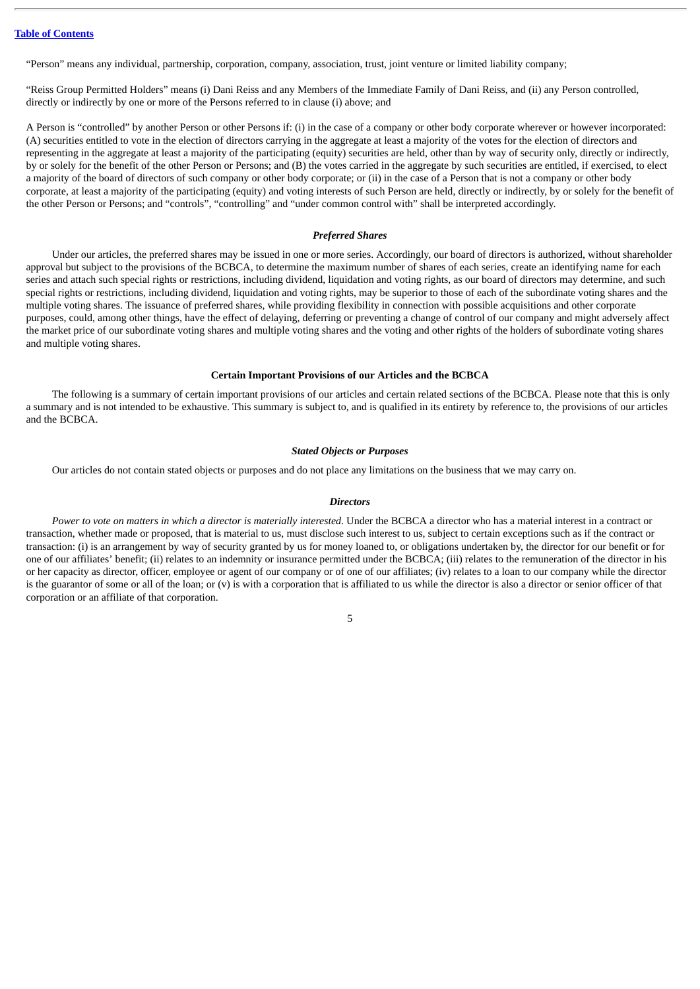"Person" means any individual, partnership, corporation, company, association, trust, joint venture or limited liability company;

"Reiss Group Permitted Holders" means (i) Dani Reiss and any Members of the Immediate Family of Dani Reiss, and (ii) any Person controlled, directly or indirectly by one or more of the Persons referred to in clause (i) above; and

A Person is "controlled" by another Person or other Persons if: (i) in the case of a company or other body corporate wherever or however incorporated: (A) securities entitled to vote in the election of directors carrying in the aggregate at least a majority of the votes for the election of directors and representing in the aggregate at least a majority of the participating (equity) securities are held, other than by way of security only, directly or indirectly, by or solely for the benefit of the other Person or Persons; and (B) the votes carried in the aggregate by such securities are entitled, if exercised, to elect a majority of the board of directors of such company or other body corporate; or (ii) in the case of a Person that is not a company or other body corporate, at least a majority of the participating (equity) and voting interests of such Person are held, directly or indirectly, by or solely for the benefit of the other Person or Persons; and "controls", "controlling" and "under common control with" shall be interpreted accordingly.

#### *Preferred Shares*

Under our articles, the preferred shares may be issued in one or more series. Accordingly, our board of directors is authorized, without shareholder approval but subject to the provisions of the BCBCA, to determine the maximum number of shares of each series, create an identifying name for each series and attach such special rights or restrictions, including dividend, liquidation and voting rights, as our board of directors may determine, and such special rights or restrictions, including dividend, liquidation and voting rights, may be superior to those of each of the subordinate voting shares and the multiple voting shares. The issuance of preferred shares, while providing flexibility in connection with possible acquisitions and other corporate purposes, could, among other things, have the effect of delaying, deferring or preventing a change of control of our company and might adversely affect the market price of our subordinate voting shares and multiple voting shares and the voting and other rights of the holders of subordinate voting shares and multiple voting shares.

#### **Certain Important Provisions of our Articles and the BCBCA**

The following is a summary of certain important provisions of our articles and certain related sections of the BCBCA. Please note that this is only a summary and is not intended to be exhaustive. This summary is subject to, and is qualified in its entirety by reference to, the provisions of our articles and the BCBCA.

#### *Stated Objects or Purposes*

Our articles do not contain stated objects or purposes and do not place any limitations on the business that we may carry on.

#### *Directors*

Power to vote on matters in which a director is materially interested. Under the BCBCA a director who has a material interest in a contract or transaction, whether made or proposed, that is material to us, must disclose such interest to us, subject to certain exceptions such as if the contract or transaction: (i) is an arrangement by way of security granted by us for money loaned to, or obligations undertaken by, the director for our benefit or for one of our affiliates' benefit; (ii) relates to an indemnity or insurance permitted under the BCBCA; (iii) relates to the remuneration of the director in his or her capacity as director, officer, employee or agent of our company or of one of our affiliates; (iv) relates to a loan to our company while the director is the guarantor of some or all of the loan; or (v) is with a corporation that is affiliated to us while the director is also a director or senior officer of that corporation or an affiliate of that corporation.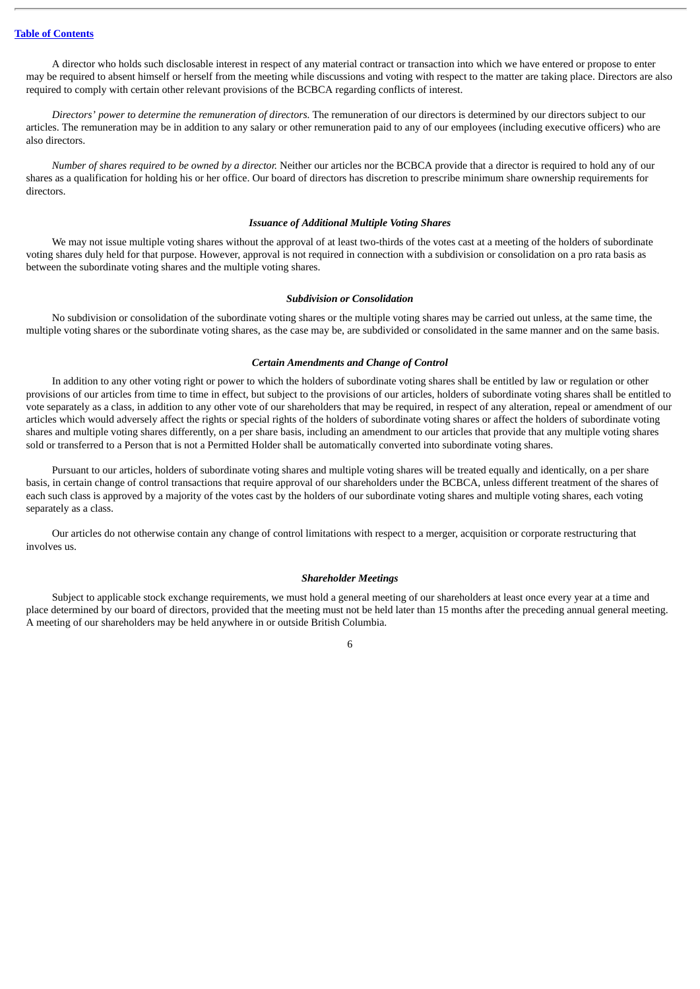A director who holds such disclosable interest in respect of any material contract or transaction into which we have entered or propose to enter may be required to absent himself or herself from the meeting while discussions and voting with respect to the matter are taking place. Directors are also required to comply with certain other relevant provisions of the BCBCA regarding conflicts of interest.

*Directors' power to determine the remuneration of directors.* The remuneration of our directors is determined by our directors subject to our articles. The remuneration may be in addition to any salary or other remuneration paid to any of our employees (including executive officers) who are also directors.

*Number of shares required to be owned by a director.* Neither our articles nor the BCBCA provide that a director is required to hold any of our shares as a qualification for holding his or her office. Our board of directors has discretion to prescribe minimum share ownership requirements for directors.

#### *Issuance of Additional Multiple Voting Shares*

We may not issue multiple voting shares without the approval of at least two-thirds of the votes cast at a meeting of the holders of subordinate voting shares duly held for that purpose. However, approval is not required in connection with a subdivision or consolidation on a pro rata basis as between the subordinate voting shares and the multiple voting shares.

#### *Subdivision or Consolidation*

No subdivision or consolidation of the subordinate voting shares or the multiple voting shares may be carried out unless, at the same time, the multiple voting shares or the subordinate voting shares, as the case may be, are subdivided or consolidated in the same manner and on the same basis.

## *Certain Amendments and Change of Control*

In addition to any other voting right or power to which the holders of subordinate voting shares shall be entitled by law or regulation or other provisions of our articles from time to time in effect, but subject to the provisions of our articles, holders of subordinate voting shares shall be entitled to vote separately as a class, in addition to any other vote of our shareholders that may be required, in respect of any alteration, repeal or amendment of our articles which would adversely affect the rights or special rights of the holders of subordinate voting shares or affect the holders of subordinate voting shares and multiple voting shares differently, on a per share basis, including an amendment to our articles that provide that any multiple voting shares sold or transferred to a Person that is not a Permitted Holder shall be automatically converted into subordinate voting shares.

Pursuant to our articles, holders of subordinate voting shares and multiple voting shares will be treated equally and identically, on a per share basis, in certain change of control transactions that require approval of our shareholders under the BCBCA, unless different treatment of the shares of each such class is approved by a majority of the votes cast by the holders of our subordinate voting shares and multiple voting shares, each voting separately as a class.

Our articles do not otherwise contain any change of control limitations with respect to a merger, acquisition or corporate restructuring that involves us.

#### *Shareholder Meetings*

Subject to applicable stock exchange requirements, we must hold a general meeting of our shareholders at least once every year at a time and place determined by our board of directors, provided that the meeting must not be held later than 15 months after the preceding annual general meeting. A meeting of our shareholders may be held anywhere in or outside British Columbia.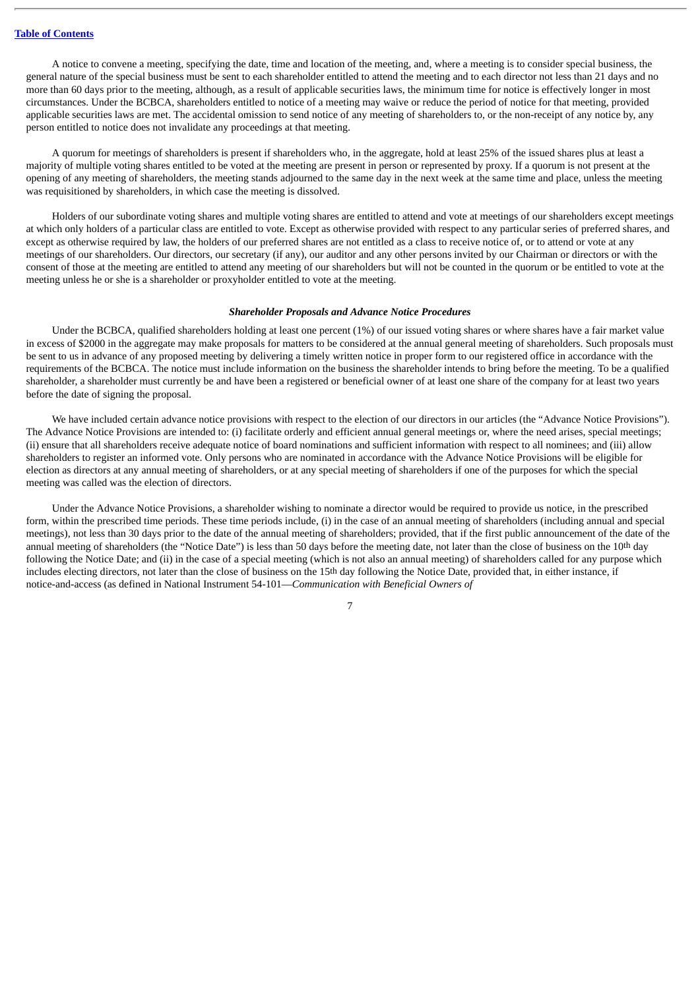A notice to convene a meeting, specifying the date, time and location of the meeting, and, where a meeting is to consider special business, the general nature of the special business must be sent to each shareholder entitled to attend the meeting and to each director not less than 21 days and no more than 60 days prior to the meeting, although, as a result of applicable securities laws, the minimum time for notice is effectively longer in most circumstances. Under the BCBCA, shareholders entitled to notice of a meeting may waive or reduce the period of notice for that meeting, provided applicable securities laws are met. The accidental omission to send notice of any meeting of shareholders to, or the non-receipt of any notice by, any person entitled to notice does not invalidate any proceedings at that meeting.

A quorum for meetings of shareholders is present if shareholders who, in the aggregate, hold at least 25% of the issued shares plus at least a majority of multiple voting shares entitled to be voted at the meeting are present in person or represented by proxy. If a quorum is not present at the opening of any meeting of shareholders, the meeting stands adjourned to the same day in the next week at the same time and place, unless the meeting was requisitioned by shareholders, in which case the meeting is dissolved.

Holders of our subordinate voting shares and multiple voting shares are entitled to attend and vote at meetings of our shareholders except meetings at which only holders of a particular class are entitled to vote. Except as otherwise provided with respect to any particular series of preferred shares, and except as otherwise required by law, the holders of our preferred shares are not entitled as a class to receive notice of, or to attend or vote at any meetings of our shareholders. Our directors, our secretary (if any), our auditor and any other persons invited by our Chairman or directors or with the consent of those at the meeting are entitled to attend any meeting of our shareholders but will not be counted in the quorum or be entitled to vote at the meeting unless he or she is a shareholder or proxyholder entitled to vote at the meeting.

## *Shareholder Proposals and Advance Notice Procedures*

Under the BCBCA, qualified shareholders holding at least one percent (1%) of our issued voting shares or where shares have a fair market value in excess of \$2000 in the aggregate may make proposals for matters to be considered at the annual general meeting of shareholders. Such proposals must be sent to us in advance of any proposed meeting by delivering a timely written notice in proper form to our registered office in accordance with the requirements of the BCBCA. The notice must include information on the business the shareholder intends to bring before the meeting. To be a qualified shareholder, a shareholder must currently be and have been a registered or beneficial owner of at least one share of the company for at least two years before the date of signing the proposal.

We have included certain advance notice provisions with respect to the election of our directors in our articles (the "Advance Notice Provisions"). The Advance Notice Provisions are intended to: (i) facilitate orderly and efficient annual general meetings or, where the need arises, special meetings; (ii) ensure that all shareholders receive adequate notice of board nominations and sufficient information with respect to all nominees; and (iii) allow shareholders to register an informed vote. Only persons who are nominated in accordance with the Advance Notice Provisions will be eligible for election as directors at any annual meeting of shareholders, or at any special meeting of shareholders if one of the purposes for which the special meeting was called was the election of directors.

Under the Advance Notice Provisions, a shareholder wishing to nominate a director would be required to provide us notice, in the prescribed form, within the prescribed time periods. These time periods include, (i) in the case of an annual meeting of shareholders (including annual and special meetings), not less than 30 days prior to the date of the annual meeting of shareholders; provided, that if the first public announcement of the date of the annual meeting of shareholders (the "Notice Date") is less than 50 days before the meeting date, not later than the close of business on the 10<sup>th</sup> day following the Notice Date; and (ii) in the case of a special meeting (which is not also an annual meeting) of shareholders called for any purpose which includes electing directors, not later than the close of business on the 15th day following the Notice Date, provided that, in either instance, if notice-and-access (as defined in National Instrument 54-101—*Communication with Beneficial Owners of*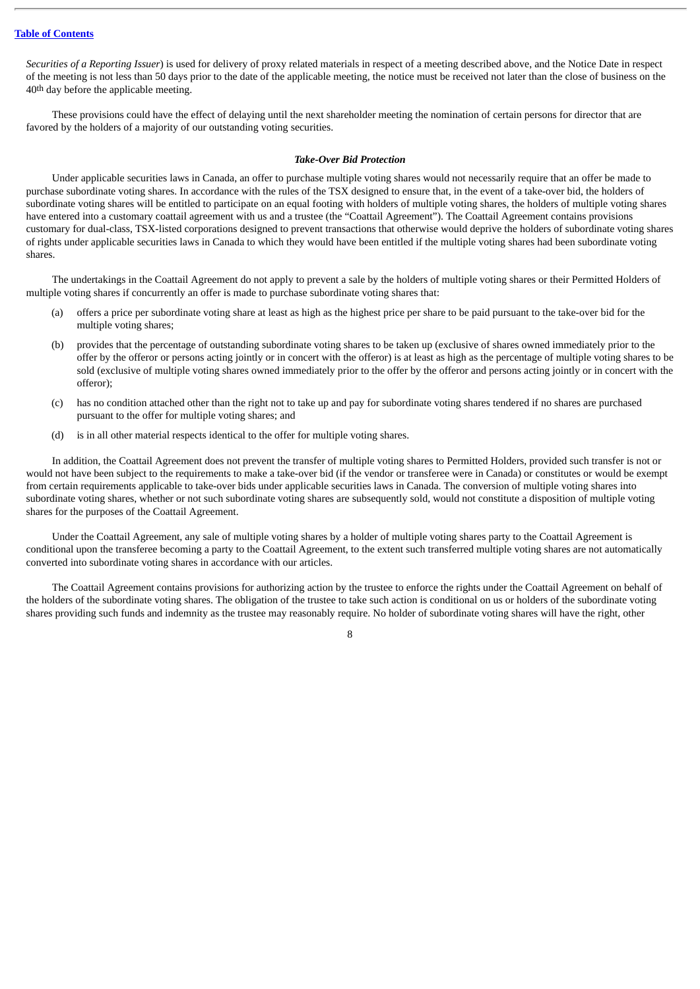*Securities of a Reporting Issuer*) is used for delivery of proxy related materials in respect of a meeting described above, and the Notice Date in respect of the meeting is not less than 50 days prior to the date of the applicable meeting, the notice must be received not later than the close of business on the 40th day before the applicable meeting.

These provisions could have the effect of delaying until the next shareholder meeting the nomination of certain persons for director that are favored by the holders of a majority of our outstanding voting securities.

#### *Take-Over Bid Protection*

Under applicable securities laws in Canada, an offer to purchase multiple voting shares would not necessarily require that an offer be made to purchase subordinate voting shares. In accordance with the rules of the TSX designed to ensure that, in the event of a take-over bid, the holders of subordinate voting shares will be entitled to participate on an equal footing with holders of multiple voting shares, the holders of multiple voting shares have entered into a customary coattail agreement with us and a trustee (the "Coattail Agreement"). The Coattail Agreement contains provisions customary for dual-class, TSX-listed corporations designed to prevent transactions that otherwise would deprive the holders of subordinate voting shares of rights under applicable securities laws in Canada to which they would have been entitled if the multiple voting shares had been subordinate voting shares.

The undertakings in the Coattail Agreement do not apply to prevent a sale by the holders of multiple voting shares or their Permitted Holders of multiple voting shares if concurrently an offer is made to purchase subordinate voting shares that:

- offers a price per subordinate voting share at least as high as the highest price per share to be paid pursuant to the take-over bid for the multiple voting shares;
- (b) provides that the percentage of outstanding subordinate voting shares to be taken up (exclusive of shares owned immediately prior to the offer by the offeror or persons acting jointly or in concert with the offeror) is at least as high as the percentage of multiple voting shares to be sold (exclusive of multiple voting shares owned immediately prior to the offer by the offeror and persons acting jointly or in concert with the offeror);
- (c) has no condition attached other than the right not to take up and pay for subordinate voting shares tendered if no shares are purchased pursuant to the offer for multiple voting shares; and
- (d) is in all other material respects identical to the offer for multiple voting shares.

In addition, the Coattail Agreement does not prevent the transfer of multiple voting shares to Permitted Holders, provided such transfer is not or would not have been subject to the requirements to make a take-over bid (if the vendor or transferee were in Canada) or constitutes or would be exempt from certain requirements applicable to take-over bids under applicable securities laws in Canada. The conversion of multiple voting shares into subordinate voting shares, whether or not such subordinate voting shares are subsequently sold, would not constitute a disposition of multiple voting shares for the purposes of the Coattail Agreement.

Under the Coattail Agreement, any sale of multiple voting shares by a holder of multiple voting shares party to the Coattail Agreement is conditional upon the transferee becoming a party to the Coattail Agreement, to the extent such transferred multiple voting shares are not automatically converted into subordinate voting shares in accordance with our articles.

The Coattail Agreement contains provisions for authorizing action by the trustee to enforce the rights under the Coattail Agreement on behalf of the holders of the subordinate voting shares. The obligation of the trustee to take such action is conditional on us or holders of the subordinate voting shares providing such funds and indemnity as the trustee may reasonably require. No holder of subordinate voting shares will have the right, other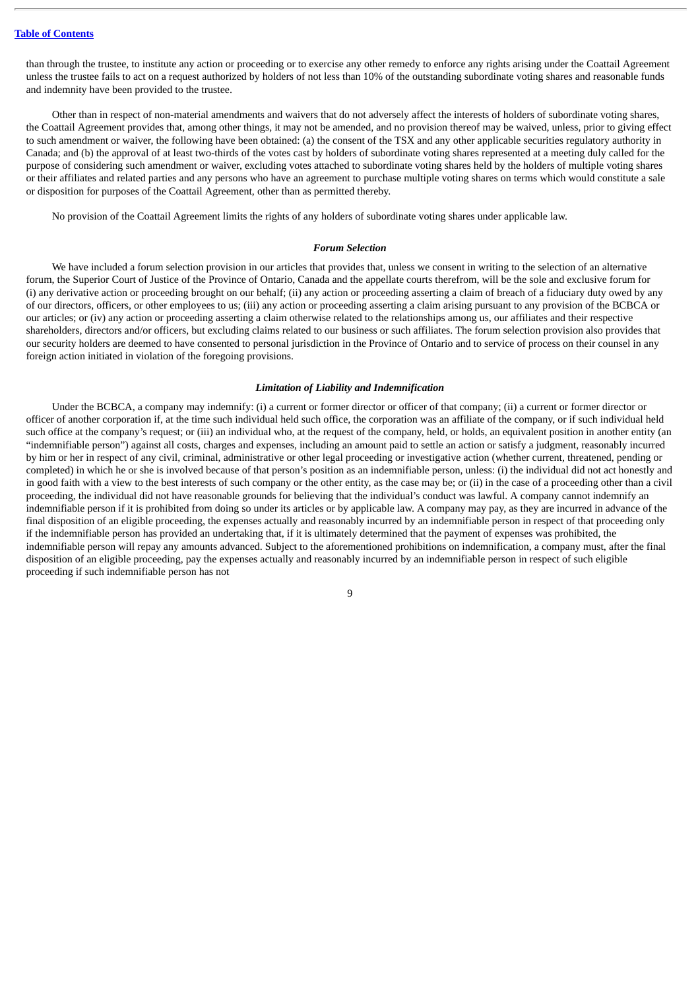than through the trustee, to institute any action or proceeding or to exercise any other remedy to enforce any rights arising under the Coattail Agreement unless the trustee fails to act on a request authorized by holders of not less than 10% of the outstanding subordinate voting shares and reasonable funds and indemnity have been provided to the trustee.

Other than in respect of non-material amendments and waivers that do not adversely affect the interests of holders of subordinate voting shares, the Coattail Agreement provides that, among other things, it may not be amended, and no provision thereof may be waived, unless, prior to giving effect to such amendment or waiver, the following have been obtained: (a) the consent of the TSX and any other applicable securities regulatory authority in Canada; and (b) the approval of at least two-thirds of the votes cast by holders of subordinate voting shares represented at a meeting duly called for the purpose of considering such amendment or waiver, excluding votes attached to subordinate voting shares held by the holders of multiple voting shares or their affiliates and related parties and any persons who have an agreement to purchase multiple voting shares on terms which would constitute a sale or disposition for purposes of the Coattail Agreement, other than as permitted thereby.

No provision of the Coattail Agreement limits the rights of any holders of subordinate voting shares under applicable law.

## *Forum Selection*

We have included a forum selection provision in our articles that provides that, unless we consent in writing to the selection of an alternative forum, the Superior Court of Justice of the Province of Ontario, Canada and the appellate courts therefrom, will be the sole and exclusive forum for (i) any derivative action or proceeding brought on our behalf; (ii) any action or proceeding asserting a claim of breach of a fiduciary duty owed by any of our directors, officers, or other employees to us; (iii) any action or proceeding asserting a claim arising pursuant to any provision of the BCBCA or our articles; or (iv) any action or proceeding asserting a claim otherwise related to the relationships among us, our affiliates and their respective shareholders, directors and/or officers, but excluding claims related to our business or such affiliates. The forum selection provision also provides that our security holders are deemed to have consented to personal jurisdiction in the Province of Ontario and to service of process on their counsel in any foreign action initiated in violation of the foregoing provisions.

#### *Limitation of Liability and Indemnification*

Under the BCBCA, a company may indemnify: (i) a current or former director or officer of that company; (ii) a current or former director or officer of another corporation if, at the time such individual held such office, the corporation was an affiliate of the company, or if such individual held such office at the company's request; or (iii) an individual who, at the request of the company, held, or holds, an equivalent position in another entity (an "indemnifiable person") against all costs, charges and expenses, including an amount paid to settle an action or satisfy a judgment, reasonably incurred by him or her in respect of any civil, criminal, administrative or other legal proceeding or investigative action (whether current, threatened, pending or completed) in which he or she is involved because of that person's position as an indemnifiable person, unless: (i) the individual did not act honestly and in good faith with a view to the best interests of such company or the other entity, as the case may be; or (ii) in the case of a proceeding other than a civil proceeding, the individual did not have reasonable grounds for believing that the individual's conduct was lawful. A company cannot indemnify an indemnifiable person if it is prohibited from doing so under its articles or by applicable law. A company may pay, as they are incurred in advance of the final disposition of an eligible proceeding, the expenses actually and reasonably incurred by an indemnifiable person in respect of that proceeding only if the indemnifiable person has provided an undertaking that, if it is ultimately determined that the payment of expenses was prohibited, the indemnifiable person will repay any amounts advanced. Subject to the aforementioned prohibitions on indemnification, a company must, after the final disposition of an eligible proceeding, pay the expenses actually and reasonably incurred by an indemnifiable person in respect of such eligible proceeding if such indemnifiable person has not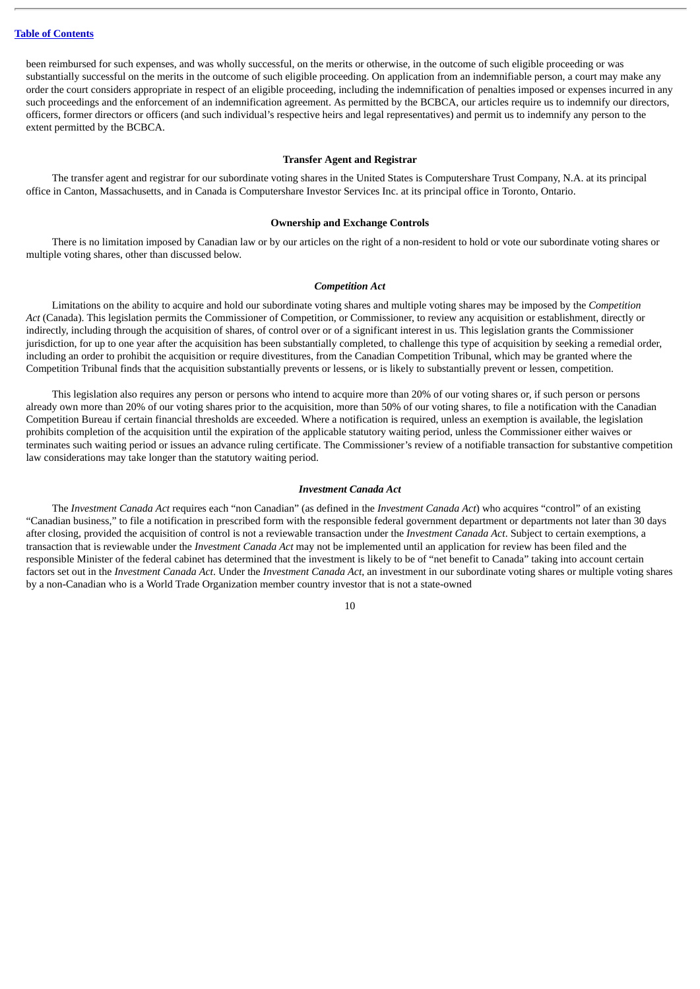been reimbursed for such expenses, and was wholly successful, on the merits or otherwise, in the outcome of such eligible proceeding or was substantially successful on the merits in the outcome of such eligible proceeding. On application from an indemnifiable person, a court may make any order the court considers appropriate in respect of an eligible proceeding, including the indemnification of penalties imposed or expenses incurred in any such proceedings and the enforcement of an indemnification agreement. As permitted by the BCBCA, our articles require us to indemnify our directors, officers, former directors or officers (and such individual's respective heirs and legal representatives) and permit us to indemnify any person to the extent permitted by the BCBCA.

## **Transfer Agent and Registrar**

The transfer agent and registrar for our subordinate voting shares in the United States is Computershare Trust Company, N.A. at its principal office in Canton, Massachusetts, and in Canada is Computershare Investor Services Inc. at its principal office in Toronto, Ontario.

## **Ownership and Exchange Controls**

There is no limitation imposed by Canadian law or by our articles on the right of a non-resident to hold or vote our subordinate voting shares or multiple voting shares, other than discussed below.

#### *Competition Act*

Limitations on the ability to acquire and hold our subordinate voting shares and multiple voting shares may be imposed by the *Competition Act* (Canada). This legislation permits the Commissioner of Competition, or Commissioner, to review any acquisition or establishment, directly or indirectly, including through the acquisition of shares, of control over or of a significant interest in us. This legislation grants the Commissioner jurisdiction, for up to one year after the acquisition has been substantially completed, to challenge this type of acquisition by seeking a remedial order, including an order to prohibit the acquisition or require divestitures, from the Canadian Competition Tribunal, which may be granted where the Competition Tribunal finds that the acquisition substantially prevents or lessens, or is likely to substantially prevent or lessen, competition.

This legislation also requires any person or persons who intend to acquire more than 20% of our voting shares or, if such person or persons already own more than 20% of our voting shares prior to the acquisition, more than 50% of our voting shares, to file a notification with the Canadian Competition Bureau if certain financial thresholds are exceeded. Where a notification is required, unless an exemption is available, the legislation prohibits completion of the acquisition until the expiration of the applicable statutory waiting period, unless the Commissioner either waives or terminates such waiting period or issues an advance ruling certificate. The Commissioner's review of a notifiable transaction for substantive competition law considerations may take longer than the statutory waiting period.

#### *Investment Canada Act*

The *Investment Canada Act* requires each "non Canadian" (as defined in the *Investment Canada Act*) who acquires "control" of an existing "Canadian business," to file a notification in prescribed form with the responsible federal government department or departments not later than 30 days after closing, provided the acquisition of control is not a reviewable transaction under the *Investment Canada Act*. Subject to certain exemptions, a transaction that is reviewable under the *Investment Canada Act* may not be implemented until an application for review has been filed and the responsible Minister of the federal cabinet has determined that the investment is likely to be of "net benefit to Canada" taking into account certain factors set out in the *Investment Canada Act*. Under the *Investment Canada Act*, an investment in our subordinate voting shares or multiple voting shares by a non-Canadian who is a World Trade Organization member country investor that is not a state-owned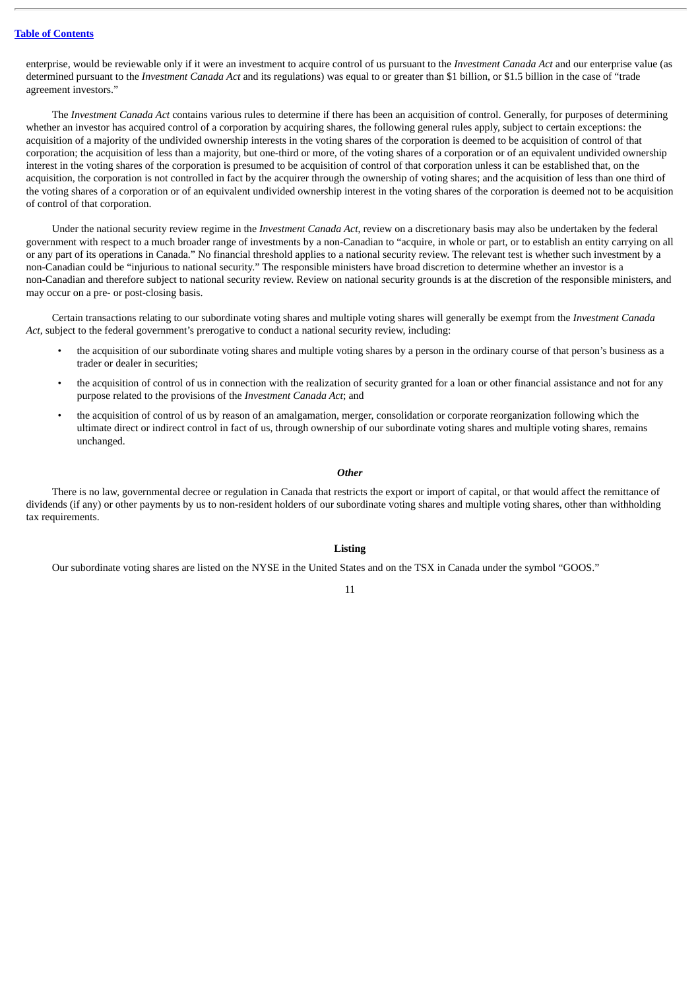enterprise, would be reviewable only if it were an investment to acquire control of us pursuant to the *Investment Canada Act* and our enterprise value (as determined pursuant to the *Investment Canada Act* and its regulations) was equal to or greater than \$1 billion, or \$1.5 billion in the case of "trade agreement investors."

The *Investment Canada Act* contains various rules to determine if there has been an acquisition of control. Generally, for purposes of determining whether an investor has acquired control of a corporation by acquiring shares, the following general rules apply, subject to certain exceptions: the acquisition of a majority of the undivided ownership interests in the voting shares of the corporation is deemed to be acquisition of control of that corporation; the acquisition of less than a majority, but one-third or more, of the voting shares of a corporation or of an equivalent undivided ownership interest in the voting shares of the corporation is presumed to be acquisition of control of that corporation unless it can be established that, on the acquisition, the corporation is not controlled in fact by the acquirer through the ownership of voting shares; and the acquisition of less than one third of the voting shares of a corporation or of an equivalent undivided ownership interest in the voting shares of the corporation is deemed not to be acquisition of control of that corporation.

Under the national security review regime in the *Investment Canada Act*, review on a discretionary basis may also be undertaken by the federal government with respect to a much broader range of investments by a non-Canadian to "acquire, in whole or part, or to establish an entity carrying on all or any part of its operations in Canada." No financial threshold applies to a national security review. The relevant test is whether such investment by a non-Canadian could be "injurious to national security." The responsible ministers have broad discretion to determine whether an investor is a non-Canadian and therefore subject to national security review. Review on national security grounds is at the discretion of the responsible ministers, and may occur on a pre- or post-closing basis.

Certain transactions relating to our subordinate voting shares and multiple voting shares will generally be exempt from the *Investment Canada Act*, subject to the federal government's prerogative to conduct a national security review, including:

- the acquisition of our subordinate voting shares and multiple voting shares by a person in the ordinary course of that person's business as a trader or dealer in securities;
- the acquisition of control of us in connection with the realization of security granted for a loan or other financial assistance and not for any purpose related to the provisions of the *Investment Canada Act*; and
- the acquisition of control of us by reason of an amalgamation, merger, consolidation or corporate reorganization following which the ultimate direct or indirect control in fact of us, through ownership of our subordinate voting shares and multiple voting shares, remains unchanged.

## *Other*

There is no law, governmental decree or regulation in Canada that restricts the export or import of capital, or that would affect the remittance of dividends (if any) or other payments by us to non-resident holders of our subordinate voting shares and multiple voting shares, other than withholding tax requirements.

## **Listing**

Our subordinate voting shares are listed on the NYSE in the United States and on the TSX in Canada under the symbol "GOOS."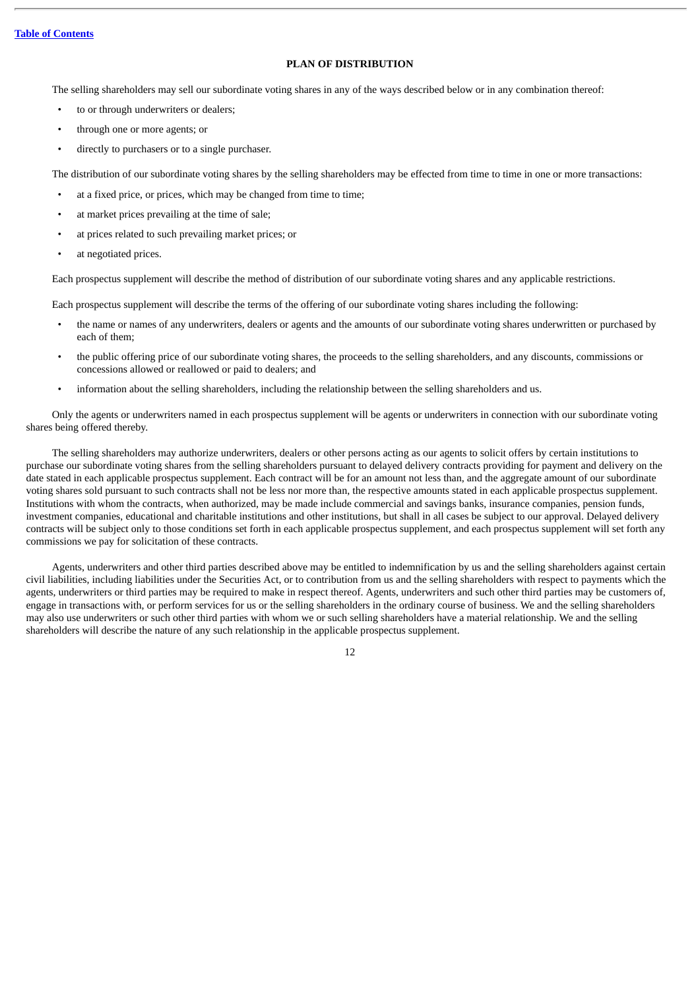## **PLAN OF DISTRIBUTION**

<span id="page-41-0"></span>The selling shareholders may sell our subordinate voting shares in any of the ways described below or in any combination thereof:

- to or through underwriters or dealers;
- through one or more agents; or
- directly to purchasers or to a single purchaser.

The distribution of our subordinate voting shares by the selling shareholders may be effected from time to time in one or more transactions:

- at a fixed price, or prices, which may be changed from time to time;
- at market prices prevailing at the time of sale;
- at prices related to such prevailing market prices; or
- at negotiated prices.

Each prospectus supplement will describe the method of distribution of our subordinate voting shares and any applicable restrictions.

Each prospectus supplement will describe the terms of the offering of our subordinate voting shares including the following:

- the name or names of any underwriters, dealers or agents and the amounts of our subordinate voting shares underwritten or purchased by each of them;
- the public offering price of our subordinate voting shares, the proceeds to the selling shareholders, and any discounts, commissions or concessions allowed or reallowed or paid to dealers; and
- information about the selling shareholders, including the relationship between the selling shareholders and us.

Only the agents or underwriters named in each prospectus supplement will be agents or underwriters in connection with our subordinate voting shares being offered thereby.

The selling shareholders may authorize underwriters, dealers or other persons acting as our agents to solicit offers by certain institutions to purchase our subordinate voting shares from the selling shareholders pursuant to delayed delivery contracts providing for payment and delivery on the date stated in each applicable prospectus supplement. Each contract will be for an amount not less than, and the aggregate amount of our subordinate voting shares sold pursuant to such contracts shall not be less nor more than, the respective amounts stated in each applicable prospectus supplement. Institutions with whom the contracts, when authorized, may be made include commercial and savings banks, insurance companies, pension funds, investment companies, educational and charitable institutions and other institutions, but shall in all cases be subject to our approval. Delayed delivery contracts will be subject only to those conditions set forth in each applicable prospectus supplement, and each prospectus supplement will set forth any commissions we pay for solicitation of these contracts.

Agents, underwriters and other third parties described above may be entitled to indemnification by us and the selling shareholders against certain civil liabilities, including liabilities under the Securities Act, or to contribution from us and the selling shareholders with respect to payments which the agents, underwriters or third parties may be required to make in respect thereof. Agents, underwriters and such other third parties may be customers of, engage in transactions with, or perform services for us or the selling shareholders in the ordinary course of business. We and the selling shareholders may also use underwriters or such other third parties with whom we or such selling shareholders have a material relationship. We and the selling shareholders will describe the nature of any such relationship in the applicable prospectus supplement.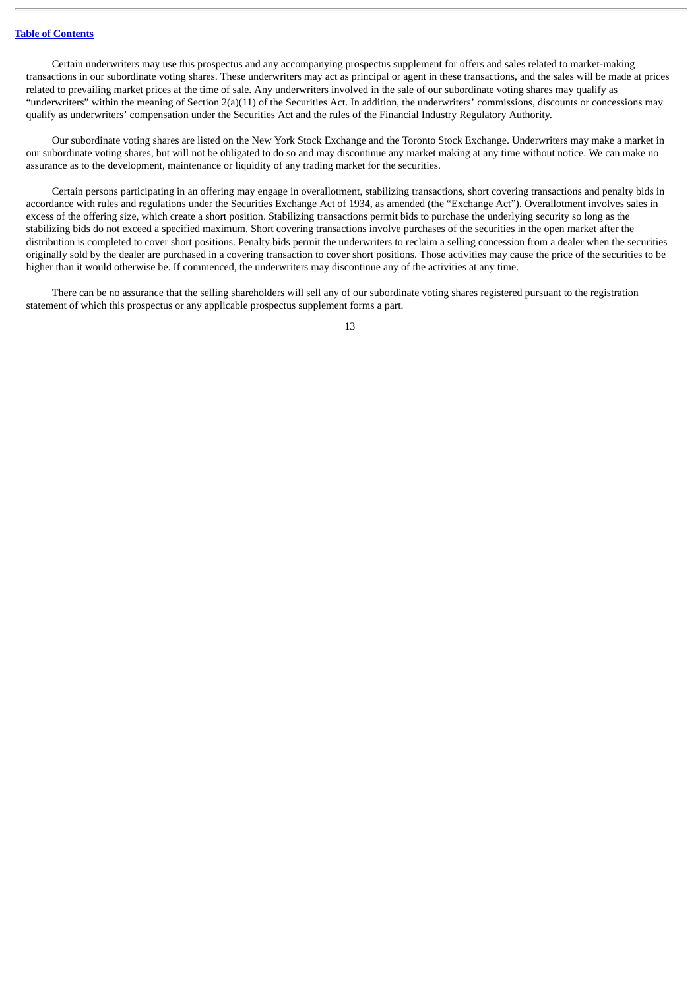Certain underwriters may use this prospectus and any accompanying prospectus supplement for offers and sales related to market-making transactions in our subordinate voting shares. These underwriters may act as principal or agent in these transactions, and the sales will be made at prices related to prevailing market prices at the time of sale. Any underwriters involved in the sale of our subordinate voting shares may qualify as "underwriters" within the meaning of Section 2(a)(11) of the Securities Act. In addition, the underwriters' commissions, discounts or concessions may qualify as underwriters' compensation under the Securities Act and the rules of the Financial Industry Regulatory Authority.

Our subordinate voting shares are listed on the New York Stock Exchange and the Toronto Stock Exchange. Underwriters may make a market in our subordinate voting shares, but will not be obligated to do so and may discontinue any market making at any time without notice. We can make no assurance as to the development, maintenance or liquidity of any trading market for the securities.

Certain persons participating in an offering may engage in overallotment, stabilizing transactions, short covering transactions and penalty bids in accordance with rules and regulations under the Securities Exchange Act of 1934, as amended (the "Exchange Act"). Overallotment involves sales in excess of the offering size, which create a short position. Stabilizing transactions permit bids to purchase the underlying security so long as the stabilizing bids do not exceed a specified maximum. Short covering transactions involve purchases of the securities in the open market after the distribution is completed to cover short positions. Penalty bids permit the underwriters to reclaim a selling concession from a dealer when the securities originally sold by the dealer are purchased in a covering transaction to cover short positions. Those activities may cause the price of the securities to be higher than it would otherwise be. If commenced, the underwriters may discontinue any of the activities at any time.

There can be no assurance that the selling shareholders will sell any of our subordinate voting shares registered pursuant to the registration statement of which this prospectus or any applicable prospectus supplement forms a part.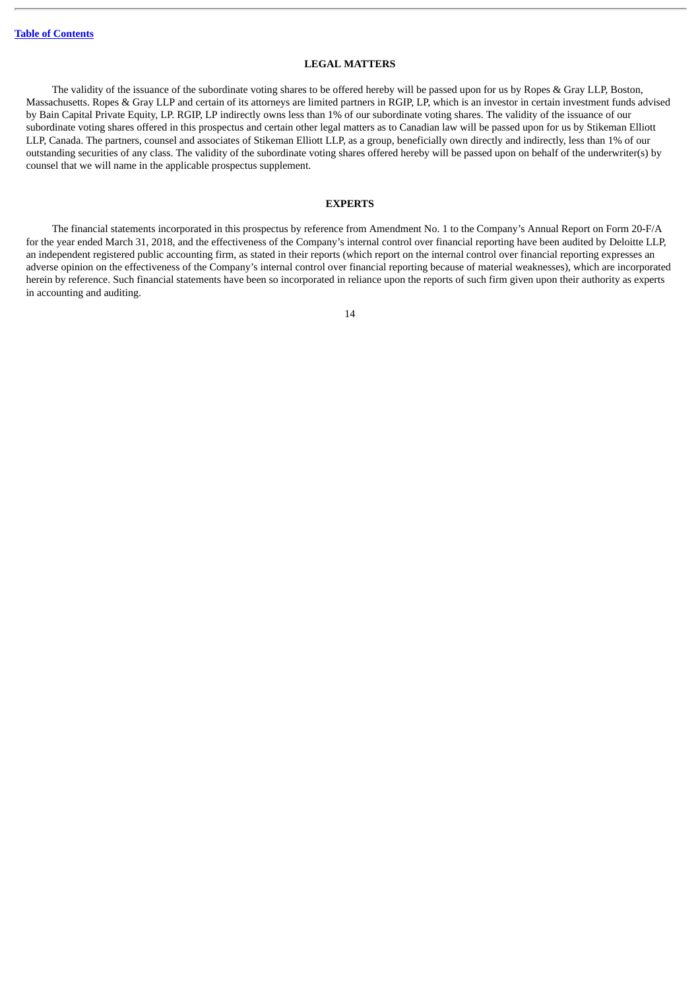## **LEGAL MATTERS**

<span id="page-43-0"></span>The validity of the issuance of the subordinate voting shares to be offered hereby will be passed upon for us by Ropes & Gray LLP, Boston, Massachusetts. Ropes & Gray LLP and certain of its attorneys are limited partners in RGIP, LP, which is an investor in certain investment funds advised by Bain Capital Private Equity, LP. RGIP, LP indirectly owns less than 1% of our subordinate voting shares. The validity of the issuance of our subordinate voting shares offered in this prospectus and certain other legal matters as to Canadian law will be passed upon for us by Stikeman Elliott LLP, Canada. The partners, counsel and associates of Stikeman Elliott LLP, as a group, beneficially own directly and indirectly, less than 1% of our outstanding securities of any class. The validity of the subordinate voting shares offered hereby will be passed upon on behalf of the underwriter(s) by counsel that we will name in the applicable prospectus supplement.

## **EXPERTS**

<span id="page-43-1"></span>The financial statements incorporated in this prospectus by reference from Amendment No. 1 to the Company's Annual Report on Form 20-F/A for the year ended March 31, 2018, and the effectiveness of the Company's internal control over financial reporting have been audited by Deloitte LLP, an independent registered public accounting firm, as stated in their reports (which report on the internal control over financial reporting expresses an adverse opinion on the effectiveness of the Company's internal control over financial reporting because of material weaknesses), which are incorporated herein by reference. Such financial statements have been so incorporated in reliance upon the reports of such firm given upon their authority as experts in accounting and auditing.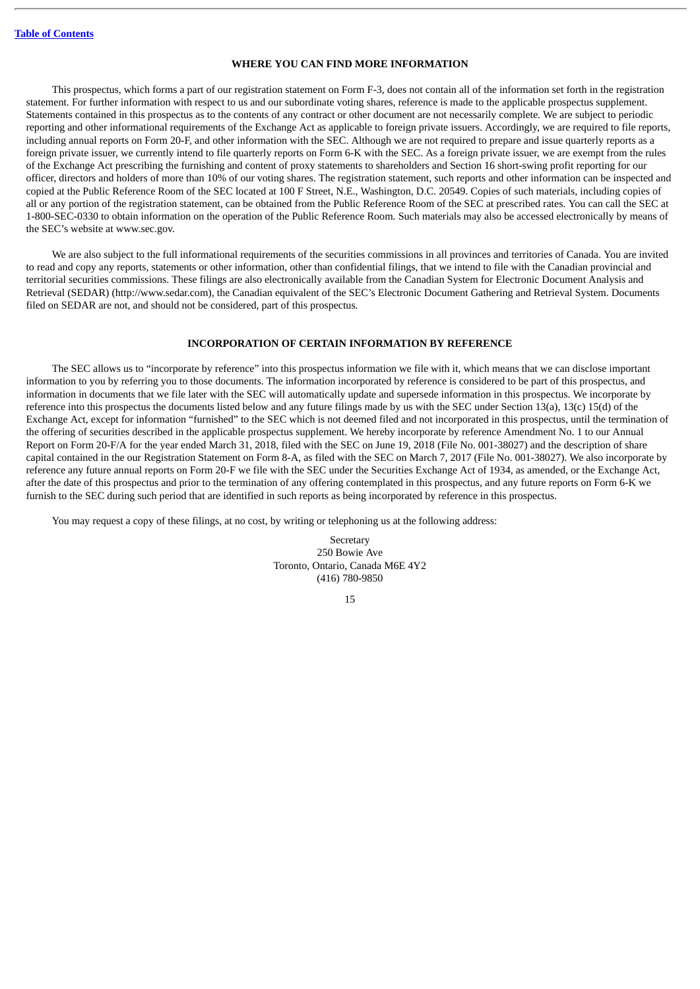## **WHERE YOU CAN FIND MORE INFORMATION**

<span id="page-44-0"></span>This prospectus, which forms a part of our registration statement on Form F-3, does not contain all of the information set forth in the registration statement. For further information with respect to us and our subordinate voting shares, reference is made to the applicable prospectus supplement. Statements contained in this prospectus as to the contents of any contract or other document are not necessarily complete. We are subject to periodic reporting and other informational requirements of the Exchange Act as applicable to foreign private issuers. Accordingly, we are required to file reports, including annual reports on Form 20-F, and other information with the SEC. Although we are not required to prepare and issue quarterly reports as a foreign private issuer, we currently intend to file quarterly reports on Form 6-K with the SEC. As a foreign private issuer, we are exempt from the rules of the Exchange Act prescribing the furnishing and content of proxy statements to shareholders and Section 16 short-swing profit reporting for our officer, directors and holders of more than 10% of our voting shares. The registration statement, such reports and other information can be inspected and copied at the Public Reference Room of the SEC located at 100 F Street, N.E., Washington, D.C. 20549. Copies of such materials, including copies of all or any portion of the registration statement, can be obtained from the Public Reference Room of the SEC at prescribed rates. You can call the SEC at 1-800-SEC-0330 to obtain information on the operation of the Public Reference Room. Such materials may also be accessed electronically by means of the SEC's website at www.sec.gov.

We are also subject to the full informational requirements of the securities commissions in all provinces and territories of Canada. You are invited to read and copy any reports, statements or other information, other than confidential filings, that we intend to file with the Canadian provincial and territorial securities commissions. These filings are also electronically available from the Canadian System for Electronic Document Analysis and Retrieval (SEDAR) (http://www.sedar.com), the Canadian equivalent of the SEC's Electronic Document Gathering and Retrieval System. Documents filed on SEDAR are not, and should not be considered, part of this prospectus.

## **INCORPORATION OF CERTAIN INFORMATION BY REFERENCE**

<span id="page-44-1"></span>The SEC allows us to "incorporate by reference" into this prospectus information we file with it, which means that we can disclose important information to you by referring you to those documents. The information incorporated by reference is considered to be part of this prospectus, and information in documents that we file later with the SEC will automatically update and supersede information in this prospectus. We incorporate by reference into this prospectus the documents listed below and any future filings made by us with the SEC under Section 13(a), 13(c) 15(d) of the Exchange Act, except for information "furnished" to the SEC which is not deemed filed and not incorporated in this prospectus, until the termination of the offering of securities described in the applicable prospectus supplement. We hereby incorporate by reference Amendment No. 1 to our Annual Report on Form 20-F/A for the year ended March 31, 2018, filed with the SEC on June 19, 2018 (File No. 001-38027) and the description of share capital contained in the our Registration Statement on Form 8-A, as filed with the SEC on March 7, 2017 (File No. 001-38027). We also incorporate by reference any future annual reports on Form 20-F we file with the SEC under the Securities Exchange Act of 1934, as amended, or the Exchange Act, after the date of this prospectus and prior to the termination of any offering contemplated in this prospectus, and any future reports on Form 6-K we furnish to the SEC during such period that are identified in such reports as being incorporated by reference in this prospectus.

You may request a copy of these filings, at no cost, by writing or telephoning us at the following address:

Secretary 250 Bowie Ave Toronto, Ontario, Canada M6E 4Y2 (416) 780-9850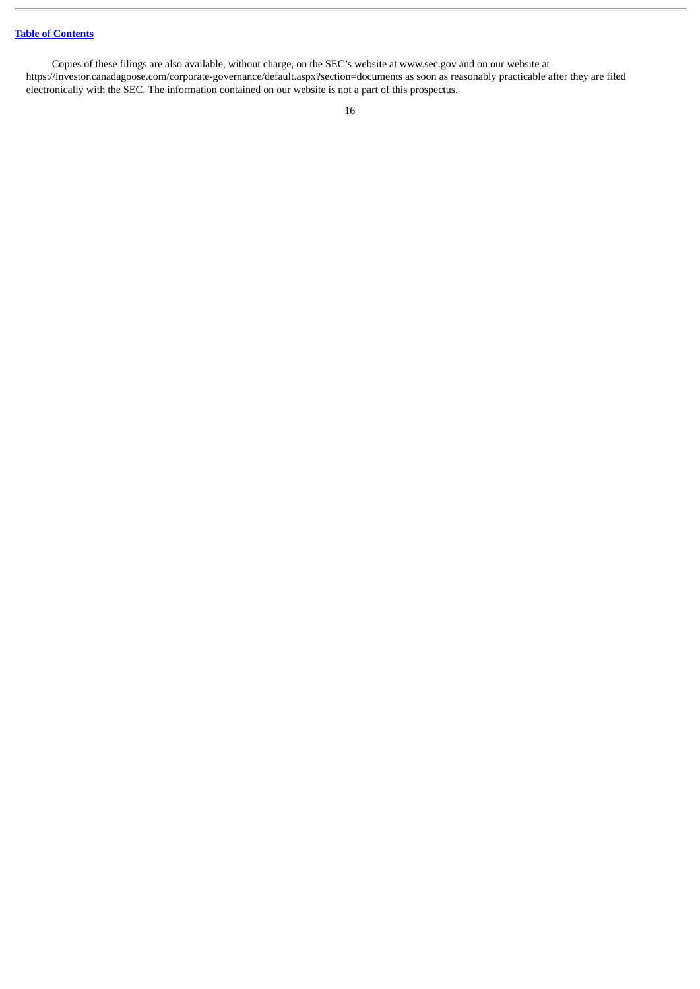Copies of these filings are also available, without charge, on the SEC's website at www.sec.gov and on our website at https://investor.canadagoose.com/corporate-governance/default.aspx?section=documents as soon as reasonably practicable after they are filed electronically with the SEC. The information contained on our website is not a part of this prospectus.